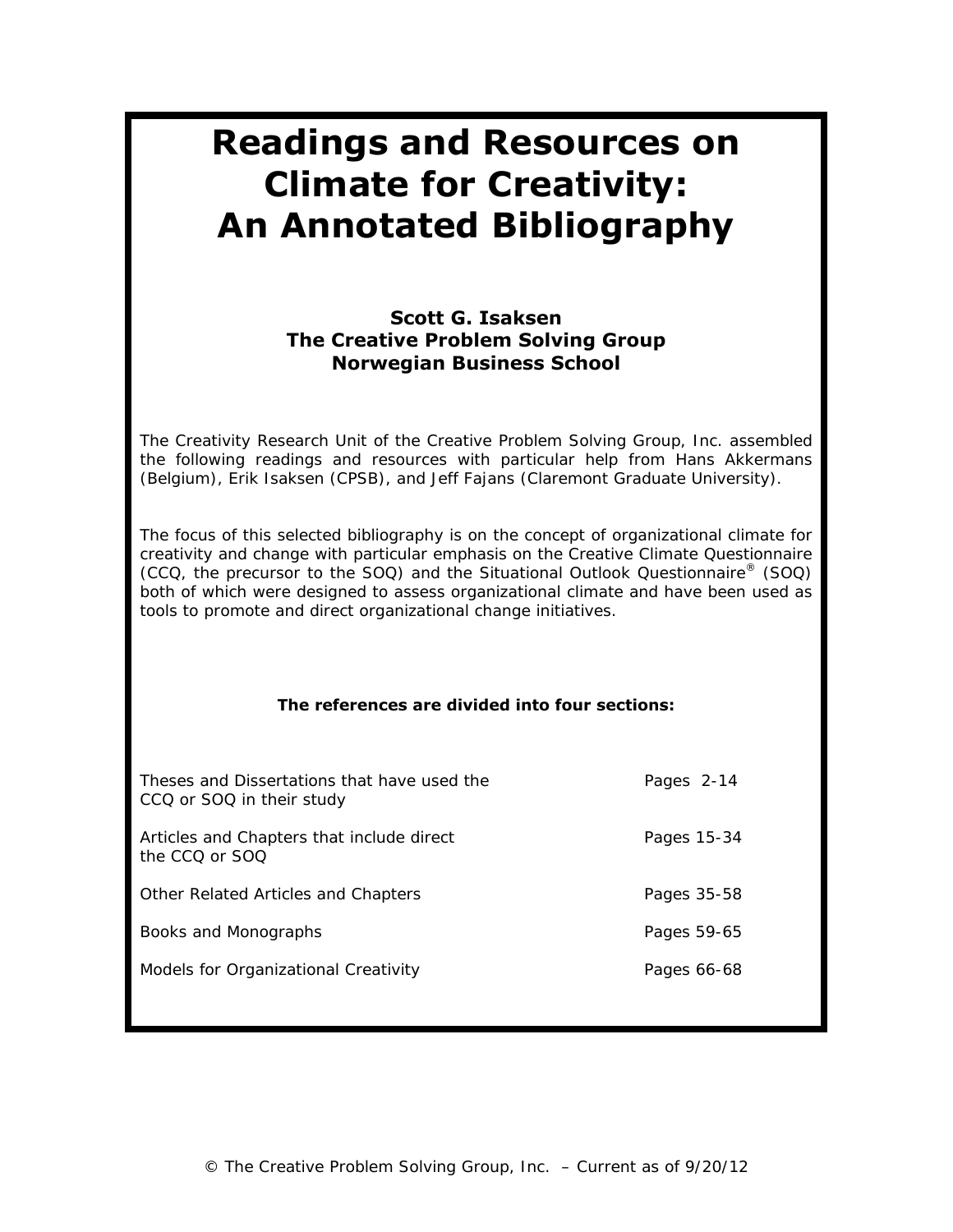# **Readings and Resources on Climate for Creativity: An Annotated Bibliography**

# **Scott G. Isaksen The Creative Problem Solving Group Norwegian Business School**

The Creativity Research Unit of the Creative Problem Solving Group, Inc. assembled the following readings and resources with particular help from Hans Akkermans (Belgium), Erik Isaksen (CPSB), and Jeff Fajans (Claremont Graduate University).

The focus of this selected bibliography is on the concept of organizational climate for creativity and change with particular emphasis on the Creative Climate Questionnaire (CCQ, the precursor to the SOQ) and the Situational Outlook Questionnaire® (SOQ) both of which were designed to assess organizational climate and have been used as tools to promote and direct organizational change initiatives.

### **The references are divided into four sections:**

| Theses and Dissertations that have used the<br>CCQ or SOQ in their study | Pages 2-14  |
|--------------------------------------------------------------------------|-------------|
| Articles and Chapters that include direct<br>the CCO or SOO              | Pages 15-34 |
| Other Related Articles and Chapters                                      | Pages 35-58 |
| Books and Monographs                                                     | Pages 59-65 |
| Models for Organizational Creativity                                     | Pages 66-68 |
|                                                                          |             |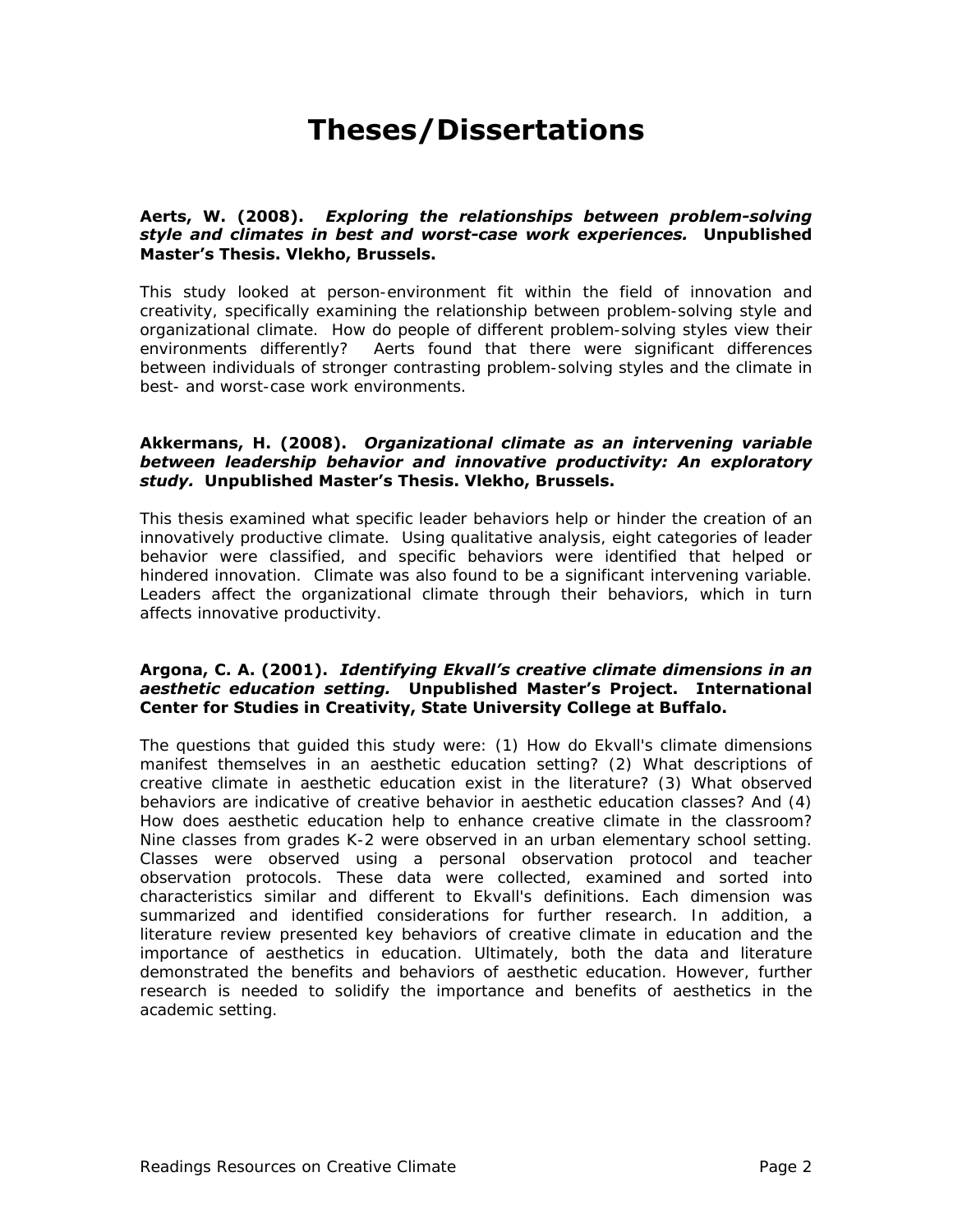# **Theses/Dissertations**

#### **Aerts, W. (2008).** *Exploring the relationships between problem-solving style and climates in best and worst-case work experiences.* **Unpublished Master's Thesis. Vlekho, Brussels.**

This study looked at person-environment fit within the field of innovation and creativity, specifically examining the relationship between problem-solving style and organizational climate. How do people of different problem-solving styles view their environments differently? Aerts found that there were significant differences between individuals of stronger contrasting problem-solving styles and the climate in best- and worst-case work environments.

#### **Akkermans, H. (2008).** *Organizational climate as an intervening variable between leadership behavior and innovative productivity: An exploratory study.* **Unpublished Master's Thesis. Vlekho, Brussels.**

This thesis examined what specific leader behaviors help or hinder the creation of an innovatively productive climate. Using qualitative analysis, eight categories of leader behavior were classified, and specific behaviors were identified that helped or hindered innovation. Climate was also found to be a significant intervening variable. Leaders affect the organizational climate through their behaviors, which in turn affects innovative productivity.

#### **Argona, C. A. (2001).** *Identifying Ekvall's creative climate dimensions in an aesthetic education setting.* **Unpublished Master's Project. International Center for Studies in Creativity, State University College at Buffalo.**

The questions that guided this study were: (1) How do Ekvall's climate dimensions manifest themselves in an aesthetic education setting? (2) What descriptions of creative climate in aesthetic education exist in the literature? (3) What observed behaviors are indicative of creative behavior in aesthetic education classes? And (4) How does aesthetic education help to enhance creative climate in the classroom? Nine classes from grades K-2 were observed in an urban elementary school setting. Classes were observed using a personal observation protocol and teacher observation protocols. These data were collected, examined and sorted into characteristics similar and different to Ekvall's definitions. Each dimension was summarized and identified considerations for further research. In addition, a literature review presented key behaviors of creative climate in education and the importance of aesthetics in education. Ultimately, both the data and literature demonstrated the benefits and behaviors of aesthetic education. However, further research is needed to solidify the importance and benefits of aesthetics in the academic setting.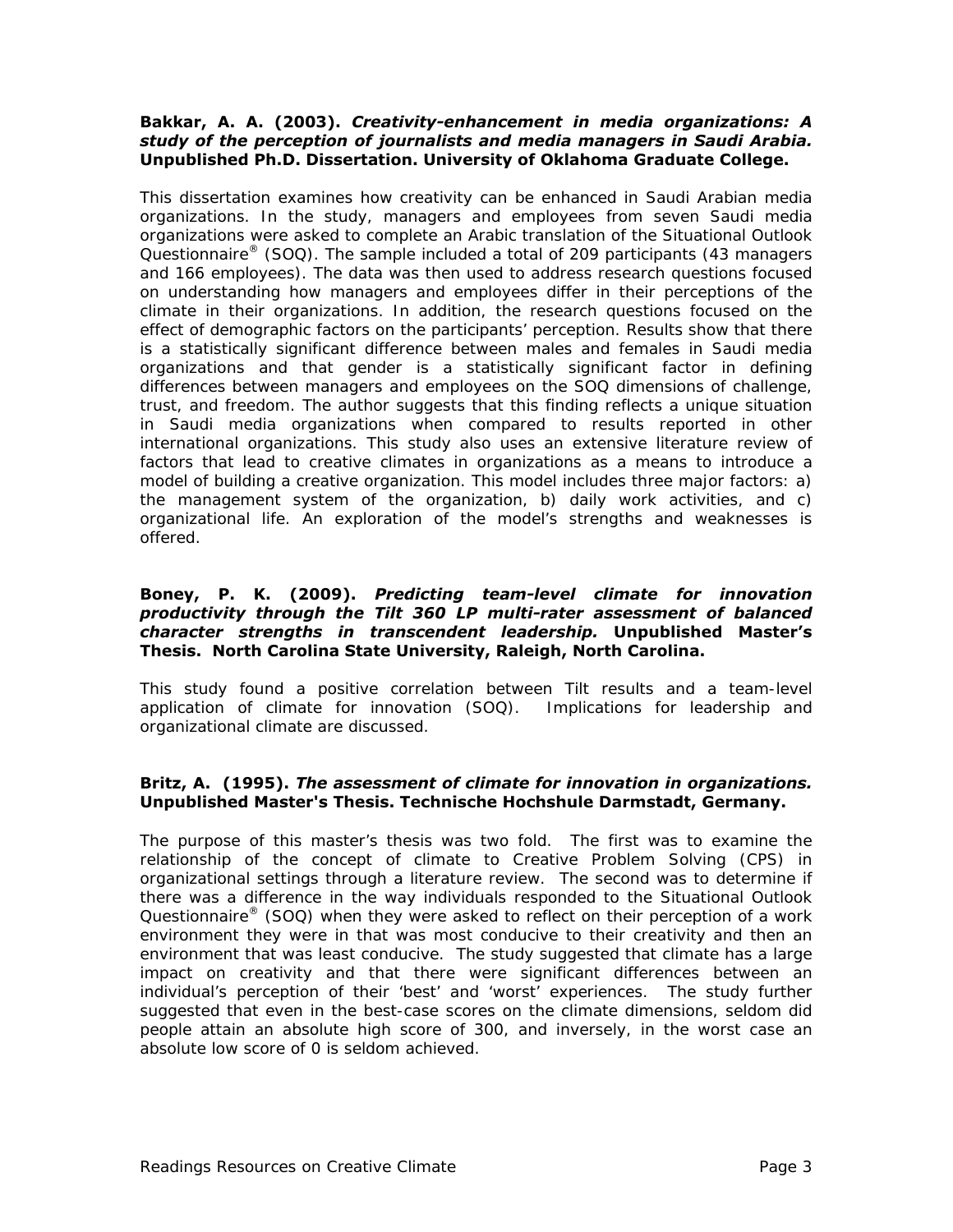#### **Bakkar, A. A. (2003).** *Creativity-enhancement in media organizations: A study of the perception of journalists and media managers in Saudi Arabia.* **Unpublished Ph.D. Dissertation. University of Oklahoma Graduate College.**

This dissertation examines how creativity can be enhanced in Saudi Arabian media organizations. In the study, managers and employees from seven Saudi media organizations were asked to complete an Arabic translation of the Situational Outlook Questionnaire<sup>®</sup> (SOQ). The sample included a total of 209 participants (43 managers and 166 employees). The data was then used to address research questions focused on understanding how managers and employees differ in their perceptions of the climate in their organizations. In addition, the research questions focused on the effect of demographic factors on the participants' perception. Results show that there is a statistically significant difference between males and females in Saudi media organizations and that gender is a statistically significant factor in defining differences between managers and employees on the SOQ dimensions of challenge, trust, and freedom. The author suggests that this finding reflects a unique situation in Saudi media organizations when compared to results reported in other international organizations. This study also uses an extensive literature review of factors that lead to creative climates in organizations as a means to introduce a model of building a creative organization. This model includes three major factors: a) the management system of the organization, b) daily work activities, and c) organizational life. An exploration of the model's strengths and weaknesses is offered.

#### **Boney, P. K. (2009).** *Predicting team-level climate for innovation productivity through the Tilt 360 LP multi-rater assessment of balanced character strengths in transcendent leadership.* **Unpublished Master's Thesis. North Carolina State University, Raleigh, North Carolina.**

This study found a positive correlation between Tilt results and a team-level application of climate for innovation (SOQ). Implications for leadership and organizational climate are discussed.

### **Britz, A. (1995).** *The assessment of climate for innovation in organizations.* **Unpublished Master's Thesis. Technische Hochshule Darmstadt, Germany.**

The purpose of this master's thesis was two fold. The first was to examine the relationship of the concept of climate to Creative Problem Solving (CPS) in organizational settings through a literature review. The second was to determine if there was a difference in the way individuals responded to the Situational Outlook Questionnaire<sup>®</sup> (SOQ) when they were asked to reflect on their perception of a work environment they were in that was most conducive to their creativity and then an environment that was least conducive. The study suggested that climate has a large impact on creativity and that there were significant differences between an individual's perception of their 'best' and 'worst' experiences. The study further suggested that even in the best-case scores on the climate dimensions, seldom did people attain an absolute high score of 300, and inversely, in the worst case an absolute low score of 0 is seldom achieved.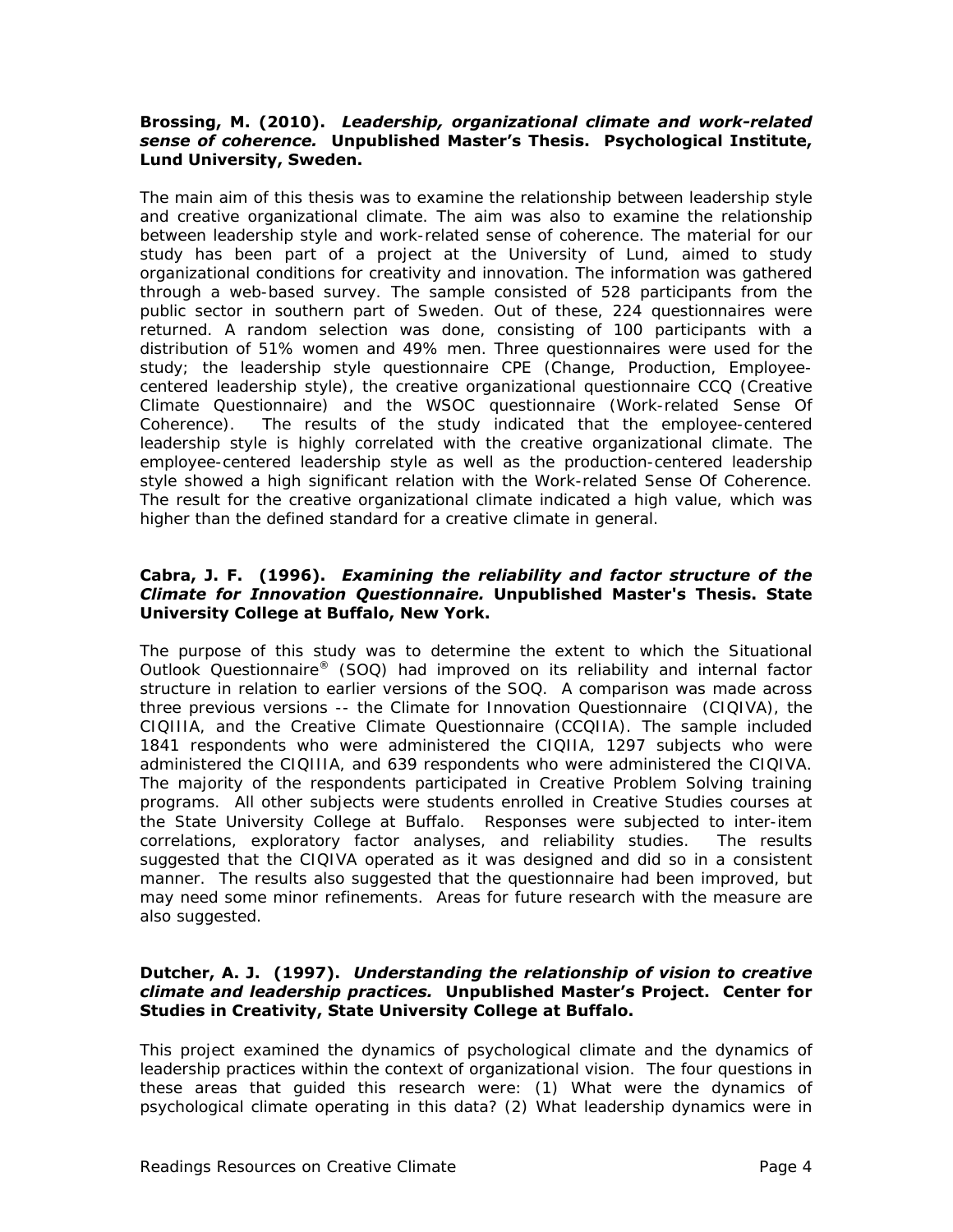#### **Brossing, M. (2010).** *Leadership, organizational climate and work-related sense of coherence.* **Unpublished Master's Thesis. Psychological Institute, Lund University, Sweden.**

The main aim of this thesis was to examine the relationship between leadership style and creative organizational climate. The aim was also to examine the relationship between leadership style and work-related sense of coherence. The material for our study has been part of a project at the University of Lund, aimed to study organizational conditions for creativity and innovation. The information was gathered through a web-based survey. The sample consisted of 528 participants from the public sector in southern part of Sweden. Out of these, 224 questionnaires were returned. A random selection was done, consisting of 100 participants with a distribution of 51% women and 49% men. Three questionnaires were used for the study; the leadership style questionnaire CPE (Change, Production, Employeecentered leadership style), the creative organizational questionnaire CCQ (Creative Climate Questionnaire) and the WSOC questionnaire (Work-related Sense Of Coherence). The results of the study indicated that the employee-centered leadership style is highly correlated with the creative organizational climate. The employee-centered leadership style as well as the production-centered leadership style showed a high significant relation with the Work-related Sense Of Coherence. The result for the creative organizational climate indicated a high value, which was higher than the defined standard for a creative climate in general.

#### **Cabra, J. F. (1996).** *Examining the reliability and factor structure of the Climate for Innovation Questionnaire.* **Unpublished Master's Thesis. State University College at Buffalo, New York.**

The purpose of this study was to determine the extent to which the Situational Outlook Questionnaire® (SOQ) had improved on its reliability and internal factor structure in relation to earlier versions of the SOQ. A comparison was made across three previous versions -- the Climate for Innovation Questionnaire (CIQIVA), the CIQIIIA, and the Creative Climate Questionnaire (CCQIIA). The sample included 1841 respondents who were administered the CIQIIA, 1297 subjects who were administered the CIQIIIA, and 639 respondents who were administered the CIQIVA. The majority of the respondents participated in Creative Problem Solving training programs. All other subjects were students enrolled in Creative Studies courses at the State University College at Buffalo. Responses were subjected to inter-item correlations, exploratory factor analyses, and reliability studies. The results suggested that the CIQIVA operated as it was designed and did so in a consistent manner. The results also suggested that the questionnaire had been improved, but may need some minor refinements. Areas for future research with the measure are also suggested.

#### **Dutcher, A. J. (1997).** *Understanding the relationship of vision to creative climate and leadership practices.* **Unpublished Master's Project. Center for Studies in Creativity, State University College at Buffalo.**

This project examined the dynamics of psychological climate and the dynamics of leadership practices within the context of organizational vision. The four questions in these areas that guided this research were: (1) What were the dynamics of psychological climate operating in this data? (2) What leadership dynamics were in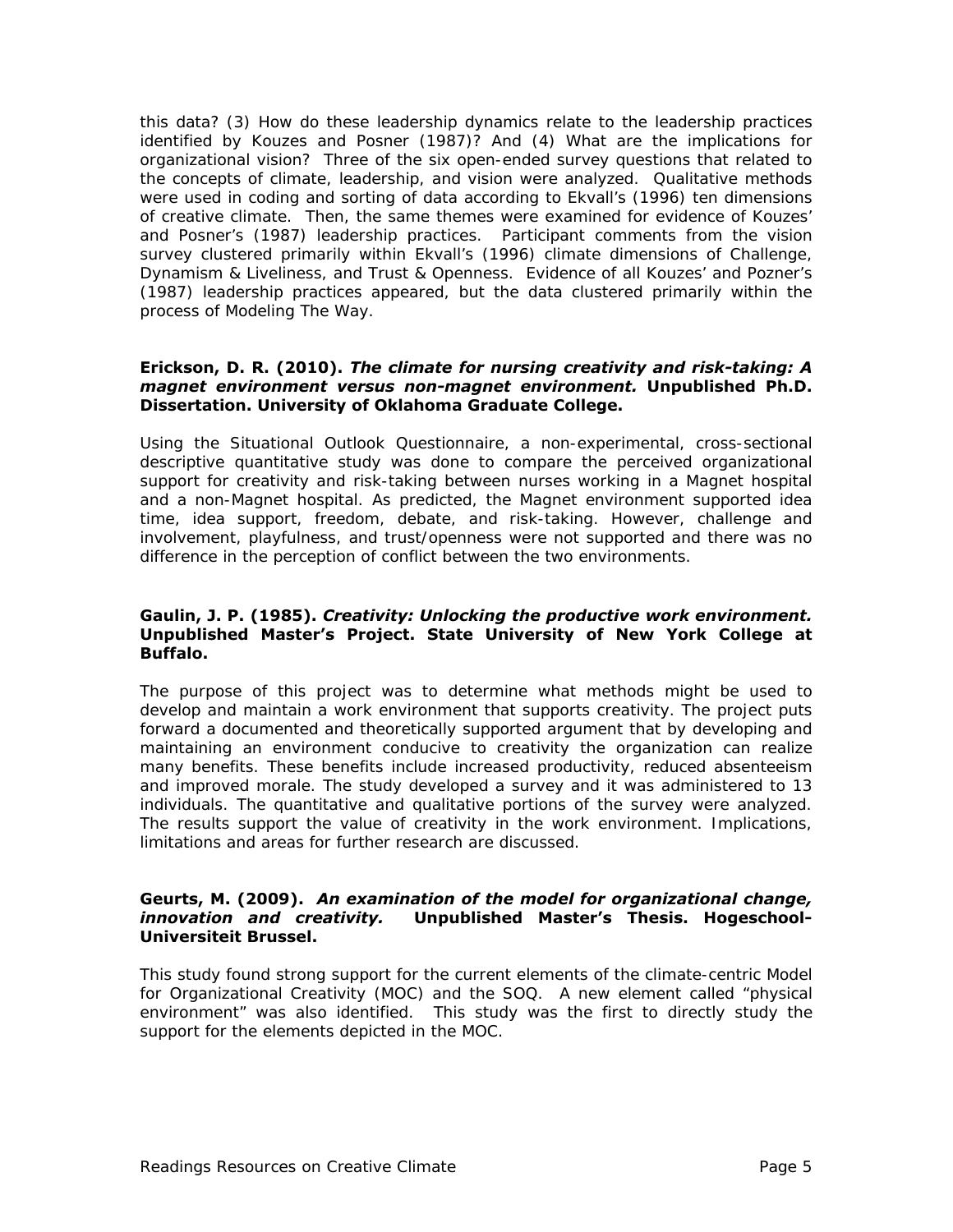this data? (3) How do these leadership dynamics relate to the leadership practices identified by Kouzes and Posner (1987)? And (4) What are the implications for organizational vision? Three of the six open-ended survey questions that related to the concepts of climate, leadership, and vision were analyzed. Qualitative methods were used in coding and sorting of data according to Ekvall's (1996) ten dimensions of creative climate. Then, the same themes were examined for evidence of Kouzes' and Posner's (1987) leadership practices. Participant comments from the vision survey clustered primarily within Ekvall's (1996) climate dimensions of Challenge, Dynamism & Liveliness, and Trust & Openness. Evidence of all Kouzes' and Pozner's (1987) leadership practices appeared, but the data clustered primarily within the process of Modeling The Way.

#### **Erickson, D. R. (2010).** *The climate for nursing creativity and risk-taking: A magnet environment versus non-magnet environment.* **Unpublished Ph.D. Dissertation. University of Oklahoma Graduate College.**

Using the Situational Outlook Questionnaire, a non-experimental, cross-sectional descriptive quantitative study was done to compare the perceived organizational support for creativity and risk-taking between nurses working in a Magnet hospital and a non-Magnet hospital. As predicted, the Magnet environment supported idea time, idea support, freedom, debate, and risk-taking. However, challenge and involvement, playfulness, and trust/openness were not supported and there was no difference in the perception of conflict between the two environments.

#### **Gaulin, J. P. (1985).** *Creativity: Unlocking the productive work environment.*  **Unpublished Master's Project. State University of New York College at Buffalo.**

The purpose of this project was to determine what methods might be used to develop and maintain a work environment that supports creativity. The project puts forward a documented and theoretically supported argument that by developing and maintaining an environment conducive to creativity the organization can realize many benefits. These benefits include increased productivity, reduced absenteeism and improved morale. The study developed a survey and it was administered to 13 individuals. The quantitative and qualitative portions of the survey were analyzed. The results support the value of creativity in the work environment. Implications, limitations and areas for further research are discussed.

#### **Geurts, M. (2009).** *An examination of the model for organizational change, innovation and creativity.* **Unpublished Master's Thesis. Hogeschool-Universiteit Brussel.**

This study found strong support for the current elements of the climate-centric Model for Organizational Creativity (MOC) and the SOQ. A new element called "physical environment" was also identified. This study was the first to directly study the support for the elements depicted in the MOC.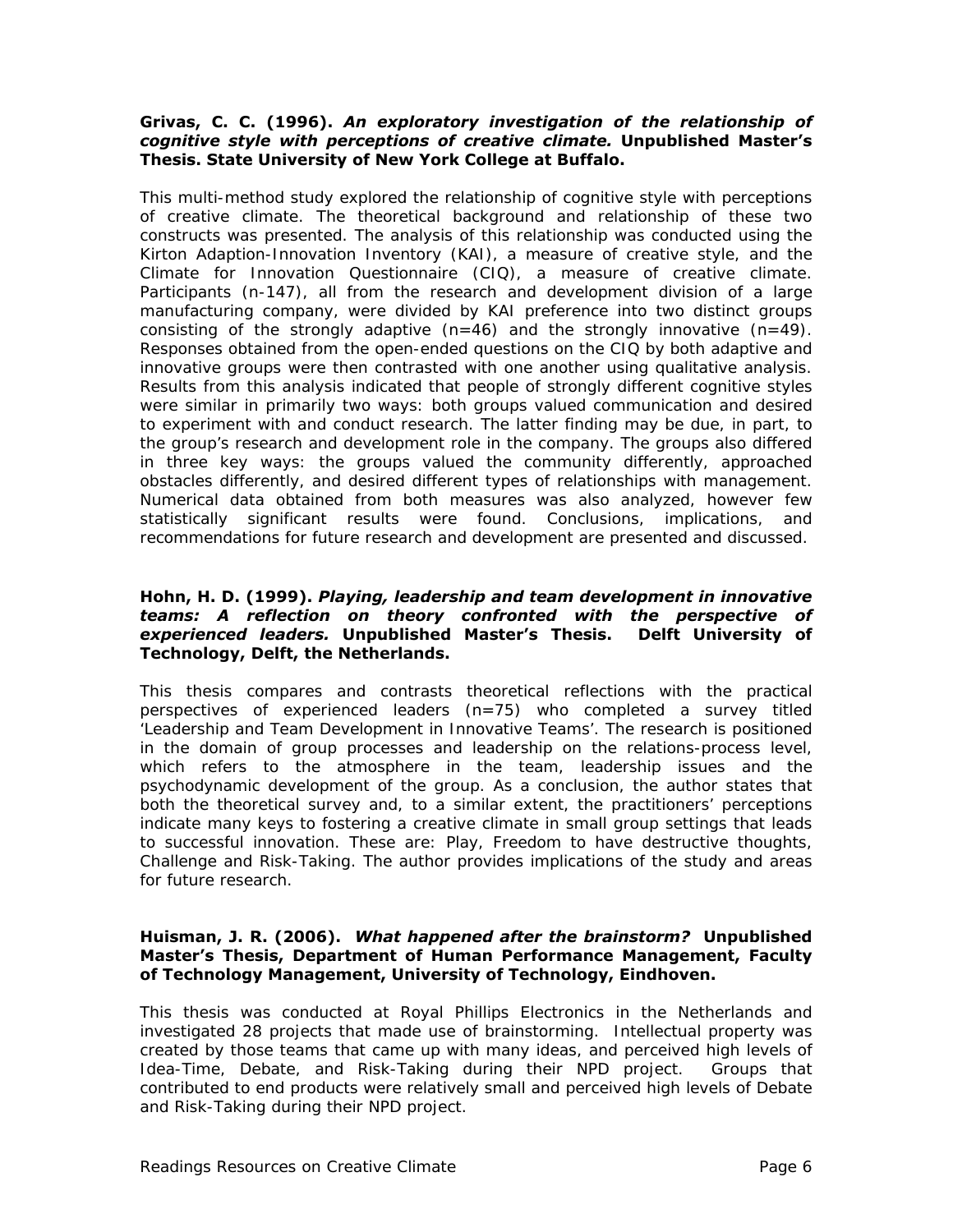#### **Grivas, C. C. (1996).** *An exploratory investigation of the relationship of cognitive style with perceptions of creative climate.* **Unpublished Master's Thesis. State University of New York College at Buffalo.**

This multi-method study explored the relationship of cognitive style with perceptions of creative climate. The theoretical background and relationship of these two constructs was presented. The analysis of this relationship was conducted using the Kirton Adaption-Innovation Inventory (KAI), a measure of creative style, and the Climate for Innovation Questionnaire (CIQ), a measure of creative climate. Participants (n-147), all from the research and development division of a large manufacturing company, were divided by KAI preference into two distinct groups consisting of the strongly adaptive  $(n=46)$  and the strongly innovative  $(n=49)$ . Responses obtained from the open-ended questions on the CIQ by both adaptive and innovative groups were then contrasted with one another using qualitative analysis. Results from this analysis indicated that people of strongly different cognitive styles were similar in primarily two ways: both groups valued communication and desired to experiment with and conduct research. The latter finding may be due, in part, to the group's research and development role in the company. The groups also differed in three key ways: the groups valued the community differently, approached obstacles differently, and desired different types of relationships with management. Numerical data obtained from both measures was also analyzed, however few statistically significant results were found. Conclusions, implications, and recommendations for future research and development are presented and discussed.

#### **Hohn, H. D. (1999).** *Playing, leadership and team development in innovative teams: A reflection on theory confronted with the perspective of experienced leaders.* **Unpublished Master's Thesis. Delft University of Technology, Delft, the Netherlands.**

This thesis compares and contrasts theoretical reflections with the practical perspectives of experienced leaders (n=75) who completed a survey titled 'Leadership and Team Development in Innovative Teams'. The research is positioned in the domain of group processes and leadership on the relations-process level, which refers to the atmosphere in the team, leadership issues and the psychodynamic development of the group. As a conclusion, the author states that both the theoretical survey and, to a similar extent, the practitioners' perceptions indicate many keys to fostering a creative climate in small group settings that leads to successful innovation. These are: Play, Freedom to have destructive thoughts, Challenge and Risk-Taking. The author provides implications of the study and areas for future research.

#### **Huisman, J. R. (2006).** *What happened after the brainstorm?* **Unpublished Master's Thesis, Department of Human Performance Management, Faculty of Technology Management, University of Technology, Eindhoven.**

This thesis was conducted at Royal Phillips Electronics in the Netherlands and investigated 28 projects that made use of brainstorming. Intellectual property was created by those teams that came up with many ideas, and perceived high levels of Idea-Time, Debate, and Risk-Taking during their NPD project. Groups that contributed to end products were relatively small and perceived high levels of Debate and Risk-Taking during their NPD project.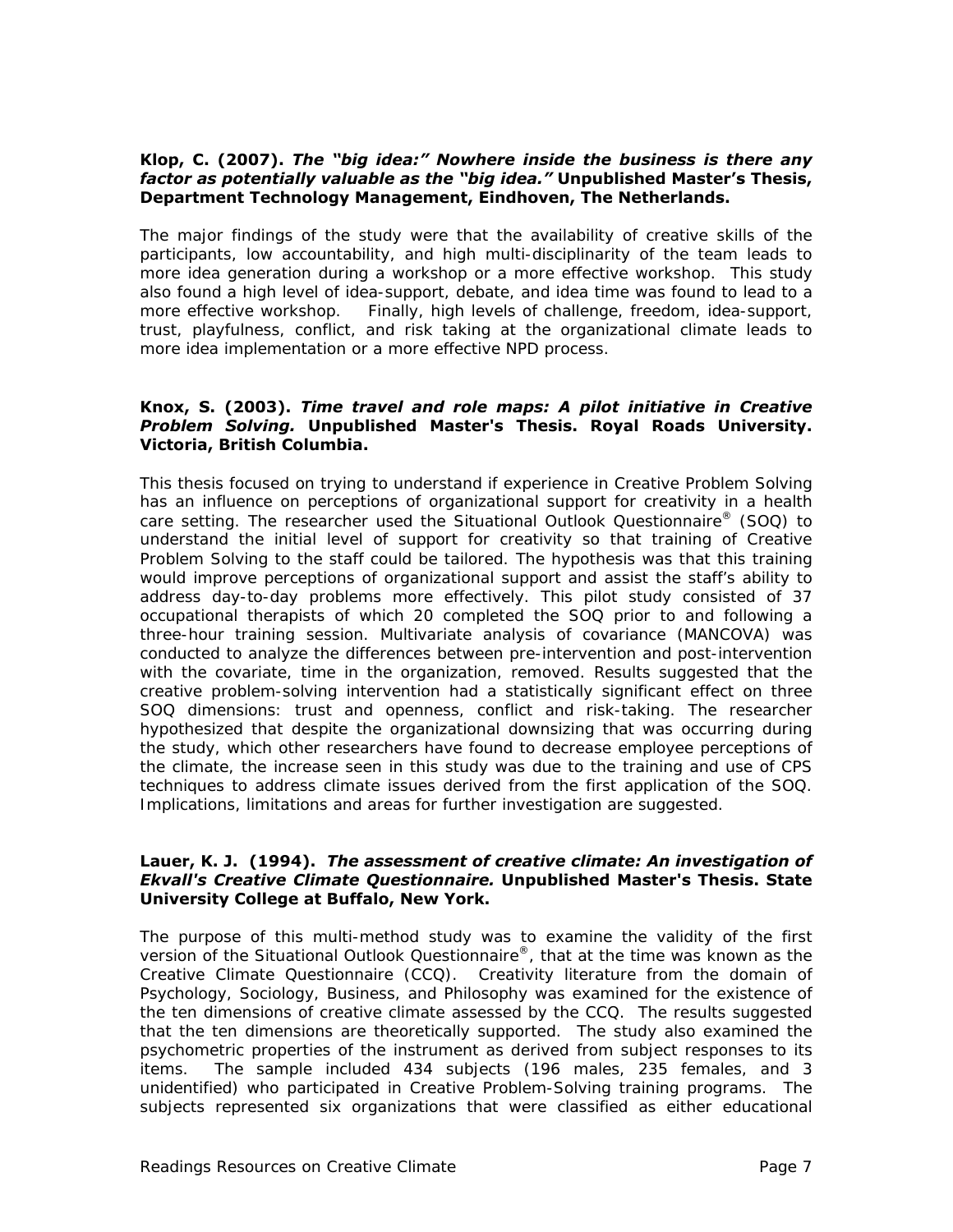#### **Klop, C. (2007).** *The "big idea:" Nowhere inside the business is there any factor as potentially valuable as the "big idea."* **Unpublished Master's Thesis, Department Technology Management, Eindhoven, The Netherlands.**

The major findings of the study were that the availability of creative skills of the participants, low accountability, and high multi-disciplinarity of the team leads to more idea generation during a workshop or a more effective workshop. This study also found a high level of idea-support, debate, and idea time was found to lead to a more effective workshop. Finally, high levels of challenge, freedom, idea-support, trust, playfulness, conflict, and risk taking at the organizational climate leads to more idea implementation or a more effective NPD process.

#### **Knox, S. (2003).** *Time travel and role maps: A pilot initiative in Creative Problem Solving.* **Unpublished Master's Thesis. Royal Roads University. Victoria, British Columbia.**

This thesis focused on trying to understand if experience in Creative Problem Solving has an influence on perceptions of organizational support for creativity in a health care setting. The researcher used the Situational Outlook Questionnaire® (SOQ) to understand the initial level of support for creativity so that training of Creative Problem Solving to the staff could be tailored. The hypothesis was that this training would improve perceptions of organizational support and assist the staff's ability to address day-to-day problems more effectively. This pilot study consisted of 37 occupational therapists of which 20 completed the SOQ prior to and following a three-hour training session. Multivariate analysis of covariance (MANCOVA) was conducted to analyze the differences between pre-intervention and post-intervention with the covariate, time in the organization, removed. Results suggested that the creative problem-solving intervention had a statistically significant effect on three SOQ dimensions: trust and openness, conflict and risk-taking. The researcher hypothesized that despite the organizational downsizing that was occurring during the study, which other researchers have found to decrease employee perceptions of the climate, the increase seen in this study was due to the training and use of CPS techniques to address climate issues derived from the first application of the SOQ. Implications, limitations and areas for further investigation are suggested.

#### **Lauer, K. J. (1994).** *The assessment of creative climate: An investigation of Ekvall's Creative Climate Questionnaire.* **Unpublished Master's Thesis. State University College at Buffalo, New York.**

The purpose of this multi-method study was to examine the validity of the first version of the Situational Outlook Questionnaire®, that at the time was known as the Creative Climate Questionnaire (CCQ). Creativity literature from the domain of Psychology, Sociology, Business, and Philosophy was examined for the existence of the ten dimensions of creative climate assessed by the CCQ. The results suggested that the ten dimensions are theoretically supported. The study also examined the psychometric properties of the instrument as derived from subject responses to its items. The sample included 434 subjects (196 males, 235 females, and 3 unidentified) who participated in Creative Problem-Solving training programs. The subjects represented six organizations that were classified as either educational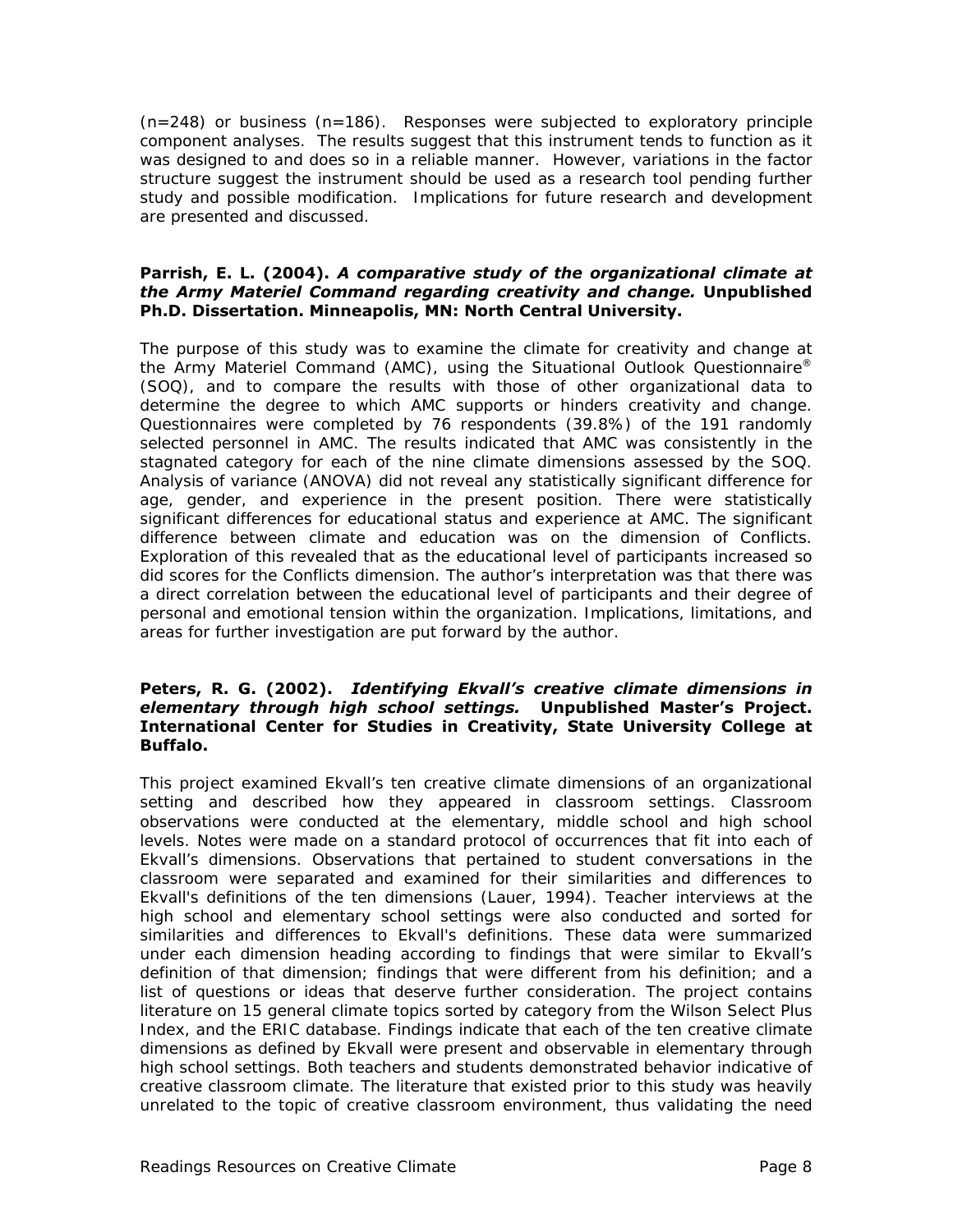$(n=248)$  or business  $(n=186)$ . Responses were subjected to exploratory principle component analyses. The results suggest that this instrument tends to function as it was designed to and does so in a reliable manner. However, variations in the factor structure suggest the instrument should be used as a research tool pending further study and possible modification. Implications for future research and development are presented and discussed.

#### **Parrish, E. L. (2004).** *A comparative study of the organizational climate at the Army Materiel Command regarding creativity and change.* **Unpublished Ph.D. Dissertation. Minneapolis, MN: North Central University.**

The purpose of this study was to examine the climate for creativity and change at the Army Materiel Command (AMC), using the Situational Outlook Questionnaire® (SOQ), and to compare the results with those of other organizational data to determine the degree to which AMC supports or hinders creativity and change. Questionnaires were completed by 76 respondents (39.8%) of the 191 randomly selected personnel in AMC. The results indicated that AMC was consistently in the stagnated category for each of the nine climate dimensions assessed by the SOQ. Analysis of variance (ANOVA) did not reveal any statistically significant difference for age, gender, and experience in the present position. There were statistically significant differences for educational status and experience at AMC. The significant difference between climate and education was on the dimension of Conflicts. Exploration of this revealed that as the educational level of participants increased so did scores for the Conflicts dimension. The author's interpretation was that there was a direct correlation between the educational level of participants and their degree of personal and emotional tension within the organization. Implications, limitations, and areas for further investigation are put forward by the author.

#### **Peters, R. G. (2002).** *Identifying Ekvall's creative climate dimensions in elementary through high school settings.* **Unpublished Master's Project. International Center for Studies in Creativity, State University College at Buffalo.**

This project examined Ekvall's ten creative climate dimensions of an organizational setting and described how they appeared in classroom settings. Classroom observations were conducted at the elementary, middle school and high school levels. Notes were made on a standard protocol of occurrences that fit into each of Ekvall's dimensions. Observations that pertained to student conversations in the classroom were separated and examined for their similarities and differences to Ekvall's definitions of the ten dimensions (Lauer, 1994). Teacher interviews at the high school and elementary school settings were also conducted and sorted for similarities and differences to Ekvall's definitions. These data were summarized under each dimension heading according to findings that were similar to Ekvall's definition of that dimension; findings that were different from his definition; and a list of questions or ideas that deserve further consideration. The project contains literature on 15 general climate topics sorted by category from the Wilson Select Plus Index, and the ERIC database. Findings indicate that each of the ten creative climate dimensions as defined by Ekvall were present and observable in elementary through high school settings. Both teachers and students demonstrated behavior indicative of creative classroom climate. The literature that existed prior to this study was heavily unrelated to the topic of creative classroom environment, thus validating the need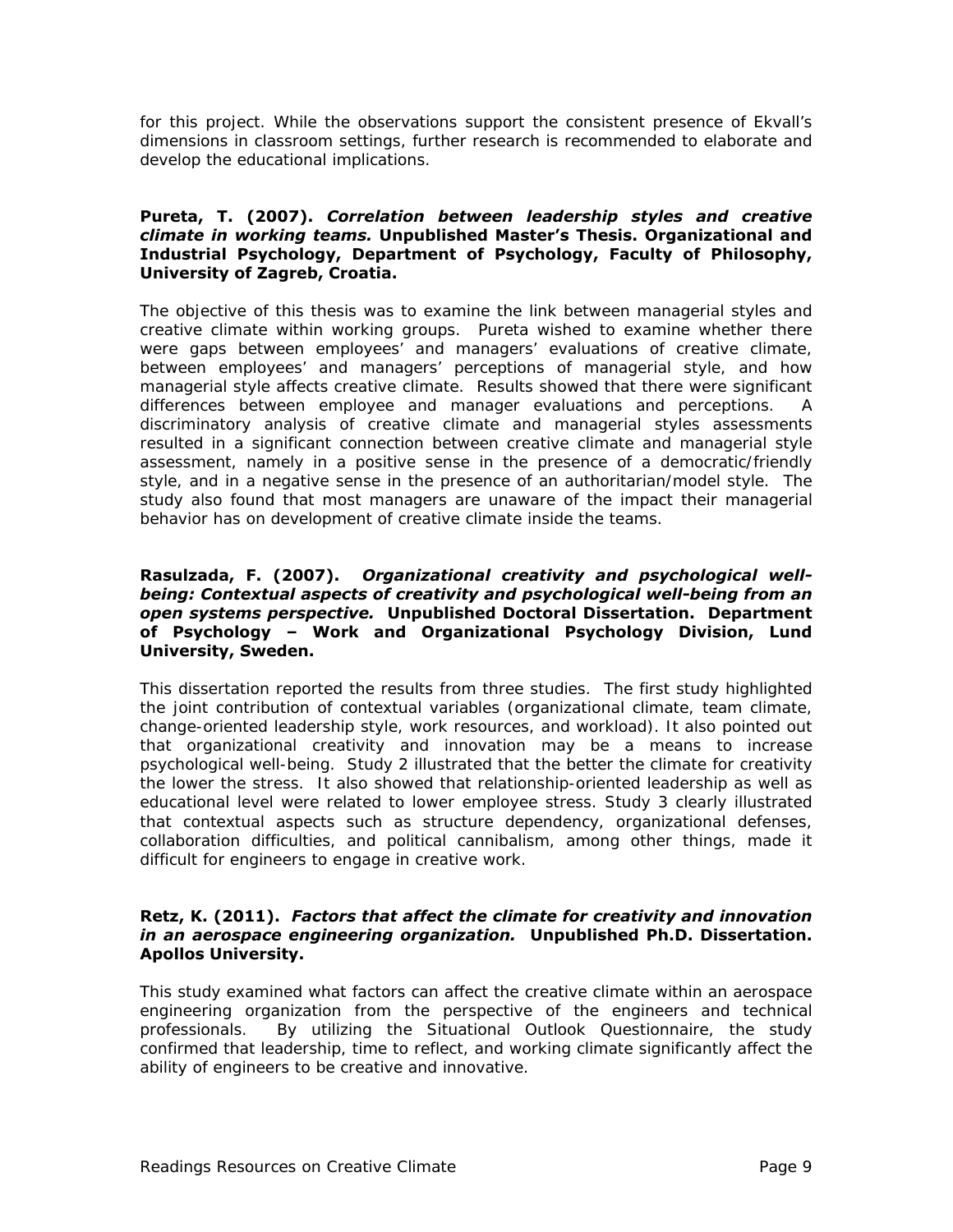for this project. While the observations support the consistent presence of Ekvall's dimensions in classroom settings, further research is recommended to elaborate and develop the educational implications.

#### **Pureta, T. (2007).** *Correlation between leadership styles and creative climate in working teams.* **Unpublished Master's Thesis. Organizational and Industrial Psychology, Department of Psychology, Faculty of Philosophy, University of Zagreb, Croatia.**

The objective of this thesis was to examine the link between managerial styles and creative climate within working groups. Pureta wished to examine whether there were gaps between employees' and managers' evaluations of creative climate, between employees' and managers' perceptions of managerial style, and how managerial style affects creative climate. Results showed that there were significant differences between employee and manager evaluations and perceptions. A discriminatory analysis of creative climate and managerial styles assessments resulted in a significant connection between creative climate and managerial style assessment, namely in a positive sense in the presence of a democratic/friendly style, and in a negative sense in the presence of an authoritarian/model style. The study also found that most managers are unaware of the impact their managerial behavior has on development of creative climate inside the teams.

#### **Rasulzada, F. (2007).** *Organizational creativity and psychological wellbeing: Contextual aspects of creativity and psychological well-being from an open systems perspective.* **Unpublished Doctoral Dissertation. Department of Psychology – Work and Organizational Psychology Division, Lund University, Sweden.**

This dissertation reported the results from three studies. The first study highlighted the joint contribution of contextual variables (organizational climate, team climate, change-oriented leadership style, work resources, and workload). It also pointed out that organizational creativity and innovation may be a means to increase psychological well-being. Study 2 illustrated that the better the climate for creativity the lower the stress. It also showed that relationship-oriented leadership as well as educational level were related to lower employee stress. Study 3 clearly illustrated that contextual aspects such as structure dependency, organizational defenses, collaboration difficulties, and political cannibalism, among other things, made it difficult for engineers to engage in creative work.

#### **Retz, K. (2011).** *Factors that affect the climate for creativity and innovation in an aerospace engineering organization.* **Unpublished Ph.D. Dissertation. Apollos University.**

This study examined what factors can affect the creative climate within an aerospace engineering organization from the perspective of the engineers and technical professionals. By utilizing the Situational Outlook Questionnaire, the study confirmed that leadership, time to reflect, and working climate significantly affect the ability of engineers to be creative and innovative.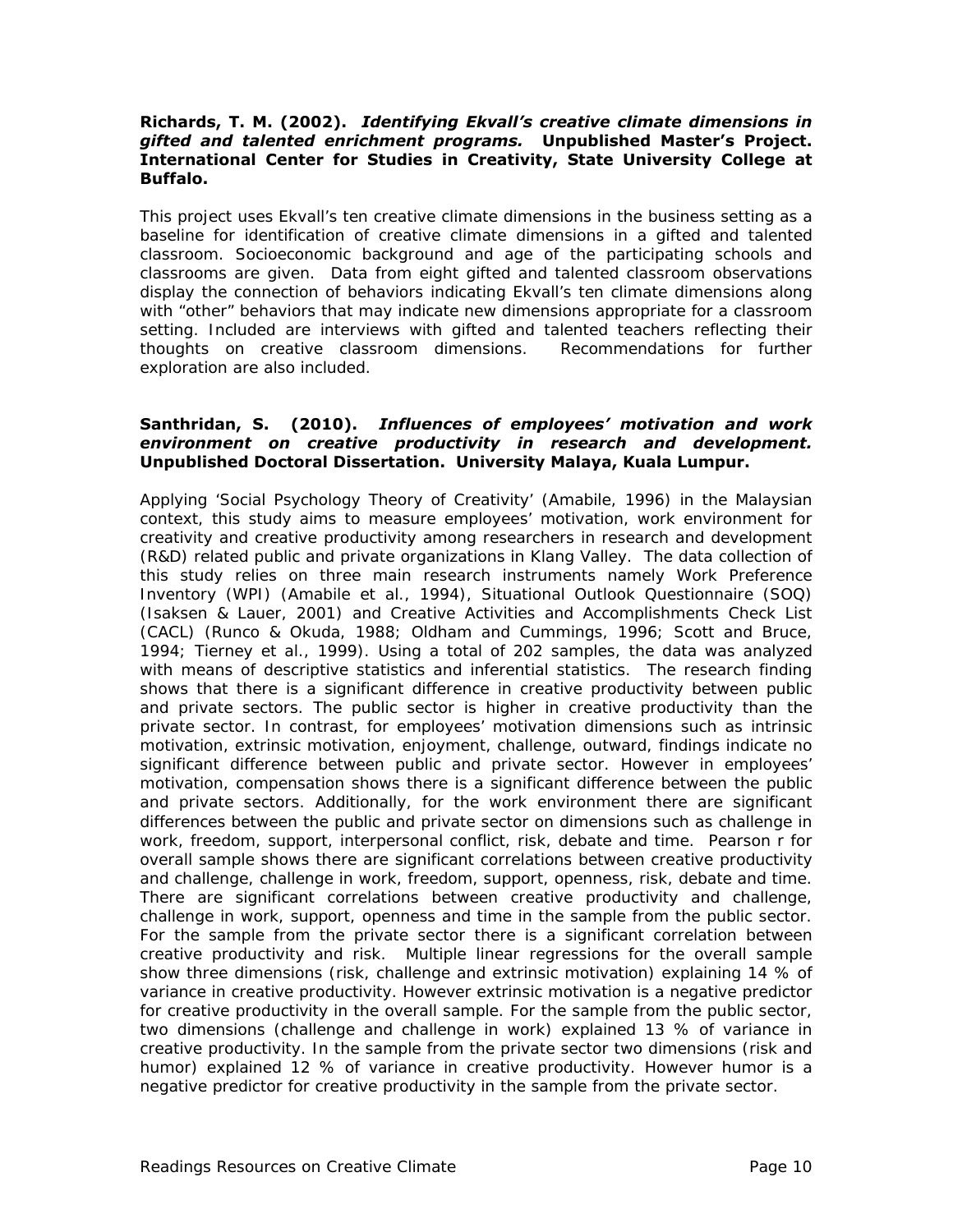#### **Richards, T. M. (2002).** *Identifying Ekvall's creative climate dimensions in gifted and talented enrichment programs.* **Unpublished Master's Project. International Center for Studies in Creativity, State University College at Buffalo.**

This project uses Ekvall's ten creative climate dimensions in the business setting as a baseline for identification of creative climate dimensions in a gifted and talented classroom. Socioeconomic background and age of the participating schools and classrooms are given. Data from eight gifted and talented classroom observations display the connection of behaviors indicating Ekvall's ten climate dimensions along with "other" behaviors that may indicate new dimensions appropriate for a classroom setting. Included are interviews with gifted and talented teachers reflecting their thoughts on creative classroom dimensions. Recommendations for further exploration are also included.

#### **Santhridan, S. (2010).** *Influences of employees' motivation and work environment on creative productivity in research and development.* **Unpublished Doctoral Dissertation. University Malaya, Kuala Lumpur.**

Applying '*Social Psychology Theory of Creativity*' (Amabile, 1996) in the Malaysian context, this study aims to measure employees' motivation, work environment for creativity and creative productivity among researchers in research and development (R&D) related public and private organizations in Klang Valley. The data collection of this study relies on three main research instruments namely *Work Preference Inventory* (WPI) (Amabile et al., 1994), *Situational Outlook Questionnaire* (SOQ) (Isaksen & Lauer, 2001) and *Creative Activities and Accomplishments Check List*  (CACL) (Runco & Okuda, 1988; Oldham and Cummings, 1996; Scott and Bruce, 1994; Tierney et al., 1999). Using a total of 202 samples, the data was analyzed with means of descriptive statistics and inferential statistics. The research finding shows that there is a significant difference in creative productivity between public and private sectors. The public sector is higher in creative productivity than the private sector. In contrast, for employees' motivation dimensions such as intrinsic motivation, extrinsic motivation, enjoyment, challenge, outward, findings indicate no significant difference between public and private sector. However in employees' motivation, compensation shows there is a significant difference between the public and private sectors. Additionally, for the work environment there are significant differences between the public and private sector on dimensions such as challenge in work, freedom, support, interpersonal conflict, risk, debate and time. Pearson *r* for overall sample shows there are significant correlations between creative productivity and challenge, challenge in work, freedom, support, openness, risk, debate and time. There are significant correlations between creative productivity and challenge, challenge in work, support, openness and time in the sample from the public sector. For the sample from the private sector there is a significant correlation between creative productivity and risk. Multiple linear regressions for the overall sample show three dimensions (risk, challenge and extrinsic motivation) explaining 14 % of variance in creative productivity. However extrinsic motivation is a negative predictor for creative productivity in the overall sample. For the sample from the public sector, two dimensions (challenge and challenge in work) explained 13 % of variance in creative productivity. In the sample from the private sector two dimensions (risk and humor) explained 12 % of variance in creative productivity. However humor is a negative predictor for creative productivity in the sample from the private sector.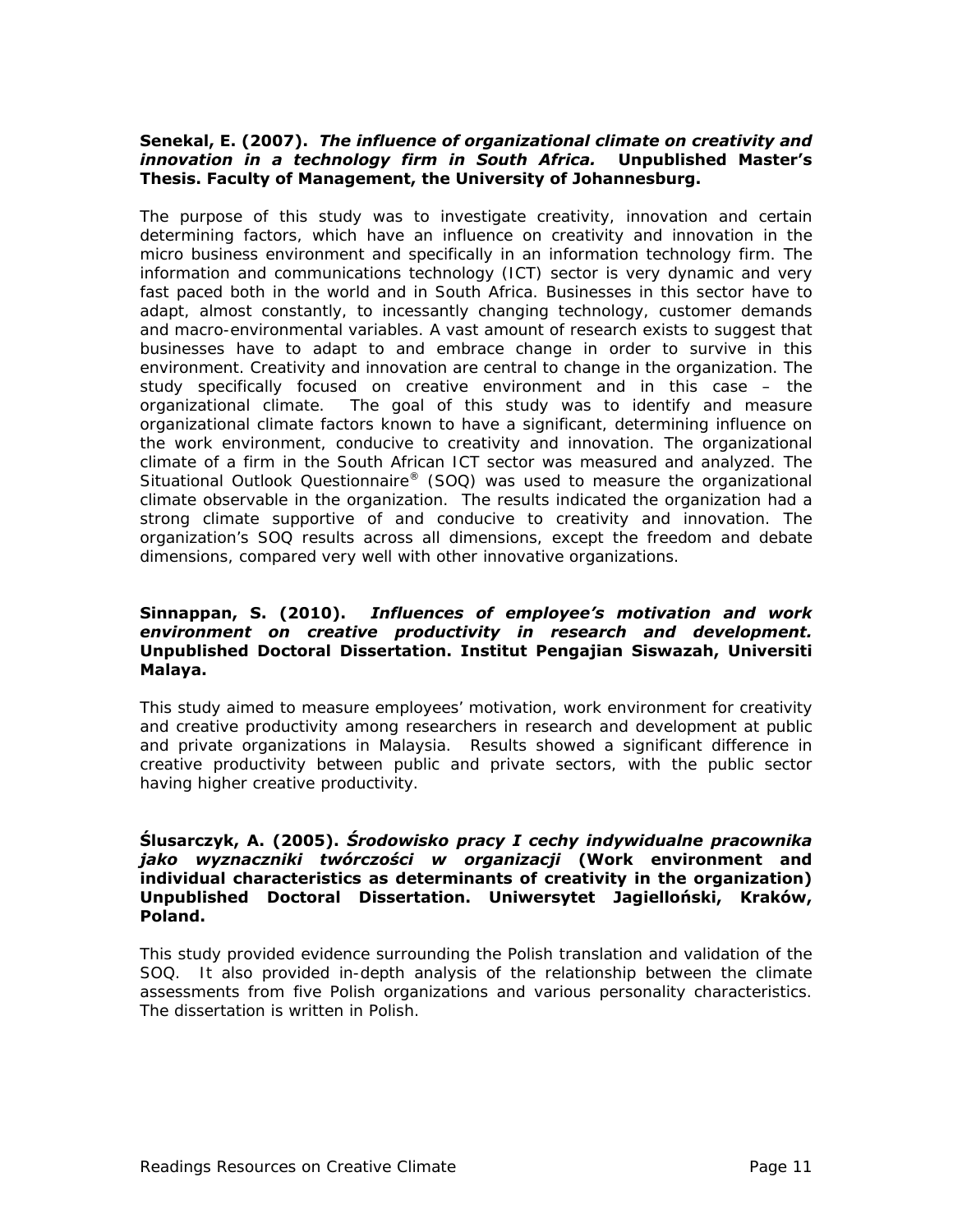#### **Senekal, E. (2007).** *The influence of organizational climate on creativity and innovation in a technology firm in South Africa.* **Unpublished Master's Thesis. Faculty of Management, the University of Johannesburg.**

The purpose of this study was to investigate creativity, innovation and certain determining factors, which have an influence on creativity and innovation in the micro business environment and specifically in an information technology firm. The information and communications technology (ICT) sector is very dynamic and very fast paced both in the world and in South Africa. Businesses in this sector have to adapt, almost constantly, to incessantly changing technology, customer demands and macro-environmental variables. A vast amount of research exists to suggest that businesses have to adapt to and embrace change in order to survive in this environment. Creativity and innovation are central to change in the organization. The study specifically focused on creative environment and in this case – the organizational climate. The goal of this study was to identify and measure organizational climate factors known to have a significant, determining influence on the work environment, conducive to creativity and innovation. The organizational climate of a firm in the South African ICT sector was measured and analyzed. The Situational Outlook Questionnaire® (SOQ) was used to measure the organizational climate observable in the organization. The results indicated the organization had a strong climate supportive of and conducive to creativity and innovation. The organization's SOQ results across all dimensions, except the freedom and debate dimensions, compared very well with other innovative organizations.

#### **Sinnappan, S. (2010).** *Influences of employee's motivation and work environment on creative productivity in research and development.*  **Unpublished Doctoral Dissertation. Institut Pengajian Siswazah, Universiti Malaya.**

This study aimed to measure employees' motivation, work environment for creativity and creative productivity among researchers in research and development at public and private organizations in Malaysia. Results showed a significant difference in creative productivity between public and private sectors, with the public sector having higher creative productivity.

#### **Ślusarczyk, A. (2005).** *Środowisko pracy I cechy indywidualne pracownika jako wyznaczniki twórczości w organizacji* **(Work environment and individual characteristics as determinants of creativity in the organization) Unpublished Doctoral Dissertation. Uniwersytet Jagielloński, Kraków, Poland.**

This study provided evidence surrounding the Polish translation and validation of the SOQ. It also provided in-depth analysis of the relationship between the climate assessments from five Polish organizations and various personality characteristics. The dissertation is written in Polish.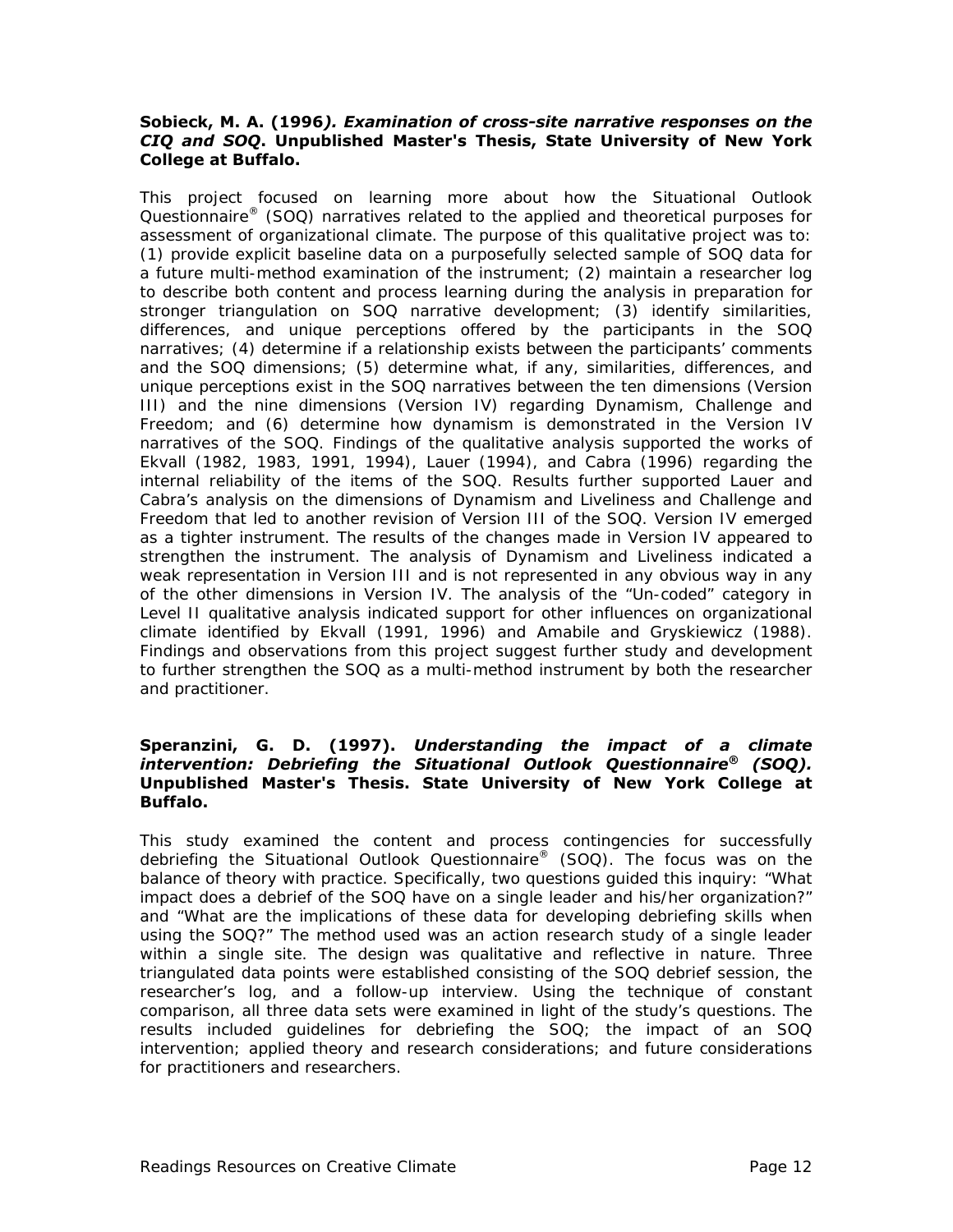#### **Sobieck, M. A. (1996***). Examination of cross-site narrative responses on the CIQ and SOQ***. Unpublished Master's Thesis, State University of New York College at Buffalo.**

This project focused on learning more about how the Situational Outlook Questionnaire® (SOQ) narratives related to the applied and theoretical purposes for assessment of organizational climate. The purpose of this qualitative project was to: (1) provide explicit baseline data on a purposefully selected sample of SOQ data for a future multi-method examination of the instrument; (2) maintain a researcher log to describe both content and process learning during the analysis in preparation for stronger triangulation on SOQ narrative development; (3) identify similarities, differences, and unique perceptions offered by the participants in the SOQ narratives; (4) determine if a relationship exists between the participants' comments and the SOQ dimensions; (5) determine what, if any, similarities, differences, and unique perceptions exist in the SOQ narratives between the ten dimensions (Version III) and the nine dimensions (Version IV) regarding Dynamism, Challenge and Freedom; and (6) determine how dynamism is demonstrated in the Version IV narratives of the SOQ. Findings of the qualitative analysis supported the works of Ekvall (1982, 1983, 1991, 1994), Lauer (1994), and Cabra (1996) regarding the internal reliability of the items of the SOQ. Results further supported Lauer and Cabra's analysis on the dimensions of Dynamism and Liveliness and Challenge and Freedom that led to another revision of Version III of the SOQ. Version IV emerged as a tighter instrument. The results of the changes made in Version IV appeared to strengthen the instrument. The analysis of Dynamism and Liveliness indicated a weak representation in Version III and is not represented in any obvious way in any of the other dimensions in Version IV. The analysis of the "Un-coded" category in Level II qualitative analysis indicated support for other influences on organizational climate identified by Ekvall (1991, 1996) and Amabile and Gryskiewicz (1988). Findings and observations from this project suggest further study and development to further strengthen the SOQ as a multi-method instrument by both the researcher and practitioner*.*

#### **Speranzini, G. D. (1997).** *Understanding the impact of a climate intervention: Debriefing the Situational Outlook Questionnaire® (SOQ).* **Unpublished Master's Thesis. State University of New York College at Buffalo.**

This study examined the content and process contingencies for successfully debriefing the Situational Outlook Questionnaire® (SOQ). The focus was on the balance of theory with practice. Specifically, two questions guided this inquiry: "What impact does a debrief of the SOQ have on a single leader and his/her organization?" and "What are the implications of these data for developing debriefing skills when using the SOQ?" The method used was an action research study of a single leader within a single site. The design was qualitative and reflective in nature. Three triangulated data points were established consisting of the SOQ debrief session, the researcher's log, and a follow-up interview. Using the technique of constant comparison, all three data sets were examined in light of the study's questions. The results included guidelines for debriefing the SOQ; the impact of an SOQ intervention; applied theory and research considerations; and future considerations for practitioners and researchers.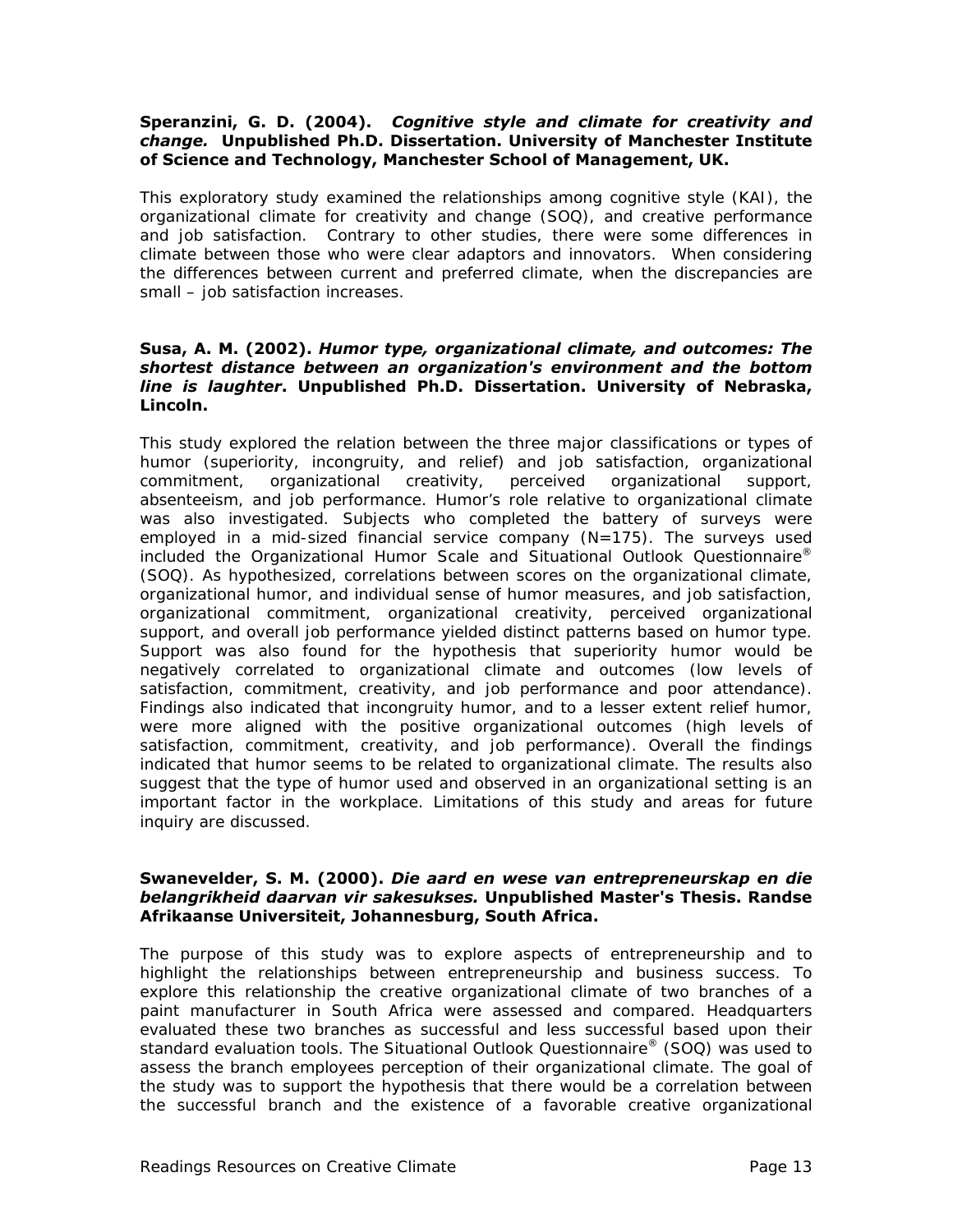#### **Speranzini, G. D. (2004).** *Cognitive style and climate for creativity and change.* **Unpublished Ph.D. Dissertation. University of Manchester Institute of Science and Technology, Manchester School of Management, UK.**

This exploratory study examined the relationships among cognitive style (KAI), the organizational climate for creativity and change (SOQ), and creative performance and job satisfaction. Contrary to other studies, there were some differences in climate between those who were clear adaptors and innovators. When considering the differences between current and preferred climate, when the discrepancies are small – job satisfaction increases.

#### **Susa, A. M. (2002).** *Humor type, organizational climate, and outcomes: The shortest distance between an organization's environment and the bottom line is laughter***. Unpublished Ph.D. Dissertation. University of Nebraska, Lincoln.**

This study explored the relation between the three major classifications or types of humor (superiority, incongruity, and relief) and job satisfaction, organizational commitment, organizational creativity, perceived organizational support, absenteeism, and job performance. Humor's role relative to organizational climate was also investigated. Subjects who completed the battery of surveys were employed in a mid-sized financial service company (N=175). The surveys used included the Organizational Humor Scale and Situational Outlook Questionnaire® (SOQ). As hypothesized, correlations between scores on the organizational climate, organizational humor, and individual sense of humor measures, and job satisfaction, organizational commitment, organizational creativity, perceived organizational support, and overall job performance yielded distinct patterns based on humor type. Support was also found for the hypothesis that superiority humor would be negatively correlated to organizational climate and outcomes (low levels of satisfaction, commitment, creativity, and job performance and poor attendance). Findings also indicated that incongruity humor, and to a lesser extent relief humor, were more aligned with the positive organizational outcomes (high levels of satisfaction, commitment, creativity, and job performance). Overall the findings indicated that humor seems to be related to organizational climate. The results also suggest that the type of humor used and observed in an organizational setting is an important factor in the workplace. Limitations of this study and areas for future inquiry are discussed.

#### **Swanevelder, S. M. (2000).** *Die aard en wese van entrepreneurskap en die belangrikheid daarvan vir sakesukses.* **Unpublished Master's Thesis. Randse Afrikaanse Universiteit, Johannesburg, South Africa.**

The purpose of this study was to explore aspects of entrepreneurship and to highlight the relationships between entrepreneurship and business success. To explore this relationship the creative organizational climate of two branches of a paint manufacturer in South Africa were assessed and compared. Headquarters evaluated these two branches as successful and less successful based upon their standard evaluation tools. The Situational Outlook Questionnaire® (SOQ) was used to assess the branch employees perception of their organizational climate. The goal of the study was to support the hypothesis that there would be a correlation between the successful branch and the existence of a favorable creative organizational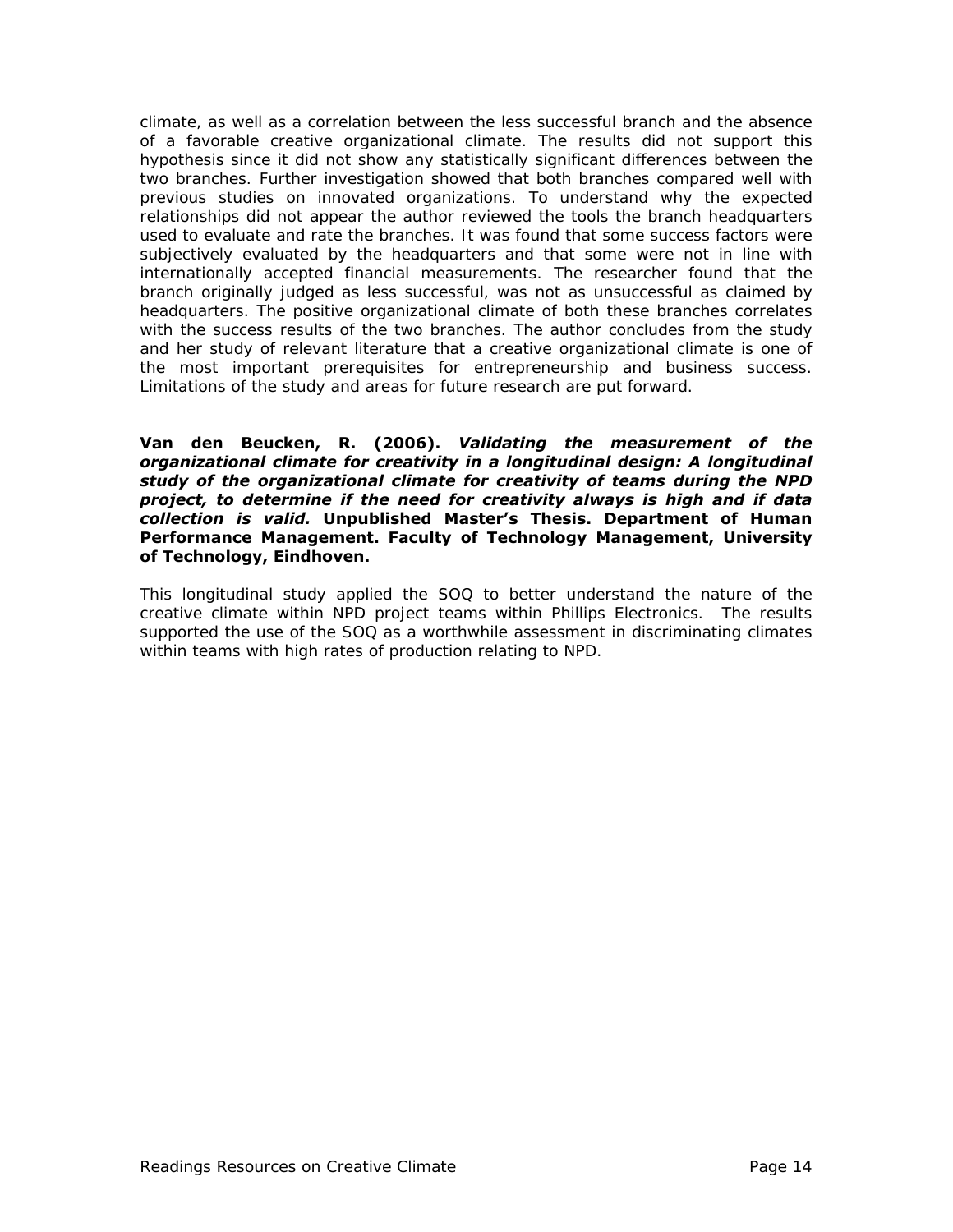climate, as well as a correlation between the less successful branch and the absence of a favorable creative organizational climate. The results did not support this hypothesis since it did not show any statistically significant differences between the two branches. Further investigation showed that both branches compared well with previous studies on innovated organizations. To understand why the expected relationships did not appear the author reviewed the tools the branch headquarters used to evaluate and rate the branches. It was found that some success factors were subjectively evaluated by the headquarters and that some were not in line with internationally accepted financial measurements. The researcher found that the branch originally judged as less successful, was not as unsuccessful as claimed by headquarters. The positive organizational climate of both these branches correlates with the success results of the two branches. The author concludes from the study and her study of relevant literature that a creative organizational climate is one of the most important prerequisites for entrepreneurship and business success. Limitations of the study and areas for future research are put forward.

#### **Van den Beucken, R. (2006).** *Validating the measurement of the organizational climate for creativity in a longitudinal design: A longitudinal study of the organizational climate for creativity of teams during the NPD project, to determine if the need for creativity always is high and if data collection is valid.* **Unpublished Master's Thesis. Department of Human Performance Management. Faculty of Technology Management, University of Technology, Eindhoven.**

This longitudinal study applied the SOQ to better understand the nature of the creative climate within NPD project teams within Phillips Electronics. The results supported the use of the SOQ as a worthwhile assessment in discriminating climates within teams with high rates of production relating to NPD.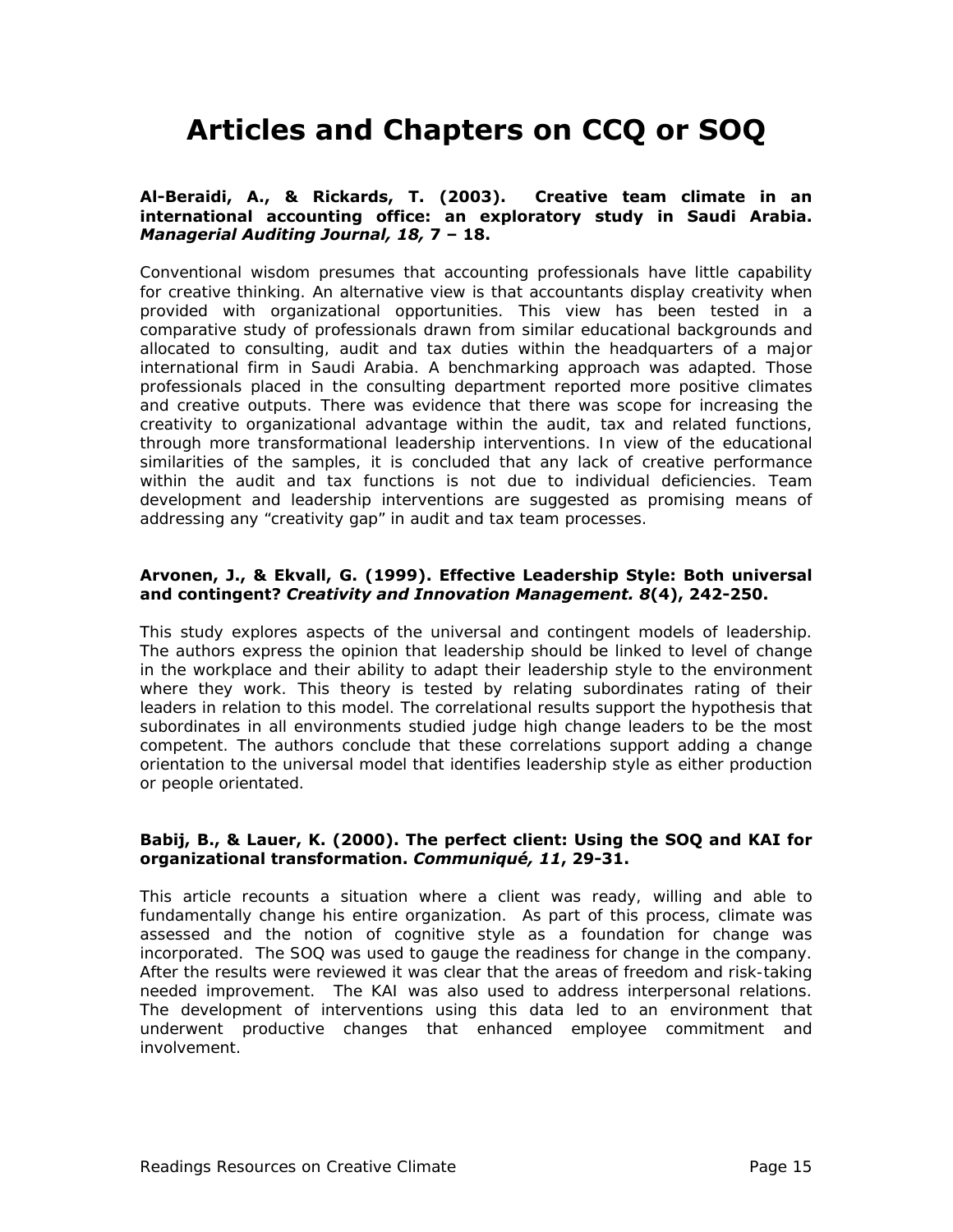# **Articles and Chapters on CCQ or SOQ**

#### **Al-Beraidi, A., & Rickards, T. (2003). Creative team climate in an international accounting office: an exploratory study in Saudi Arabia.**  *Managerial Auditing Journal, 18,* **7 – 18.**

Conventional wisdom presumes that accounting professionals have little capability for creative thinking. An alternative view is that accountants display creativity when provided with organizational opportunities. This view has been tested in a comparative study of professionals drawn from similar educational backgrounds and allocated to consulting, audit and tax duties within the headquarters of a major international firm in Saudi Arabia. A benchmarking approach was adapted. Those professionals placed in the consulting department reported more positive climates and creative outputs. There was evidence that there was scope for increasing the creativity to organizational advantage within the audit, tax and related functions, through more transformational leadership interventions. In view of the educational similarities of the samples, it is concluded that any lack of creative performance within the audit and tax functions is not due to individual deficiencies. Team development and leadership interventions are suggested as promising means of addressing any "creativity gap" in audit and tax team processes.

#### **Arvonen, J., & Ekvall, G. (1999). Effective Leadership Style: Both universal and contingent?** *Creativity and Innovation Management. 8***(4), 242-250.**

This study explores aspects of the universal and contingent models of leadership. The authors express the opinion that leadership should be linked to level of change in the workplace and their ability to adapt their leadership style to the environment where they work. This theory is tested by relating subordinates rating of their leaders in relation to this model. The correlational results support the hypothesis that subordinates in all environments studied judge high change leaders to be the most competent. The authors conclude that these correlations support adding a change orientation to the universal model that identifies leadership style as either production or people orientated.

#### **Babij, B., & Lauer, K. (2000). The perfect client: Using the SOQ and KAI for organizational transformation.** *Communiqué, 11***, 29-31.**

This article recounts a situation where a client was ready, willing and able to fundamentally change his entire organization. As part of this process, climate was assessed and the notion of cognitive style as a foundation for change was incorporated. The SOQ was used to gauge the readiness for change in the company. After the results were reviewed it was clear that the areas of freedom and risk-taking needed improvement. The KAI was also used to address interpersonal relations. The development of interventions using this data led to an environment that underwent productive changes that enhanced employee commitment and involvement.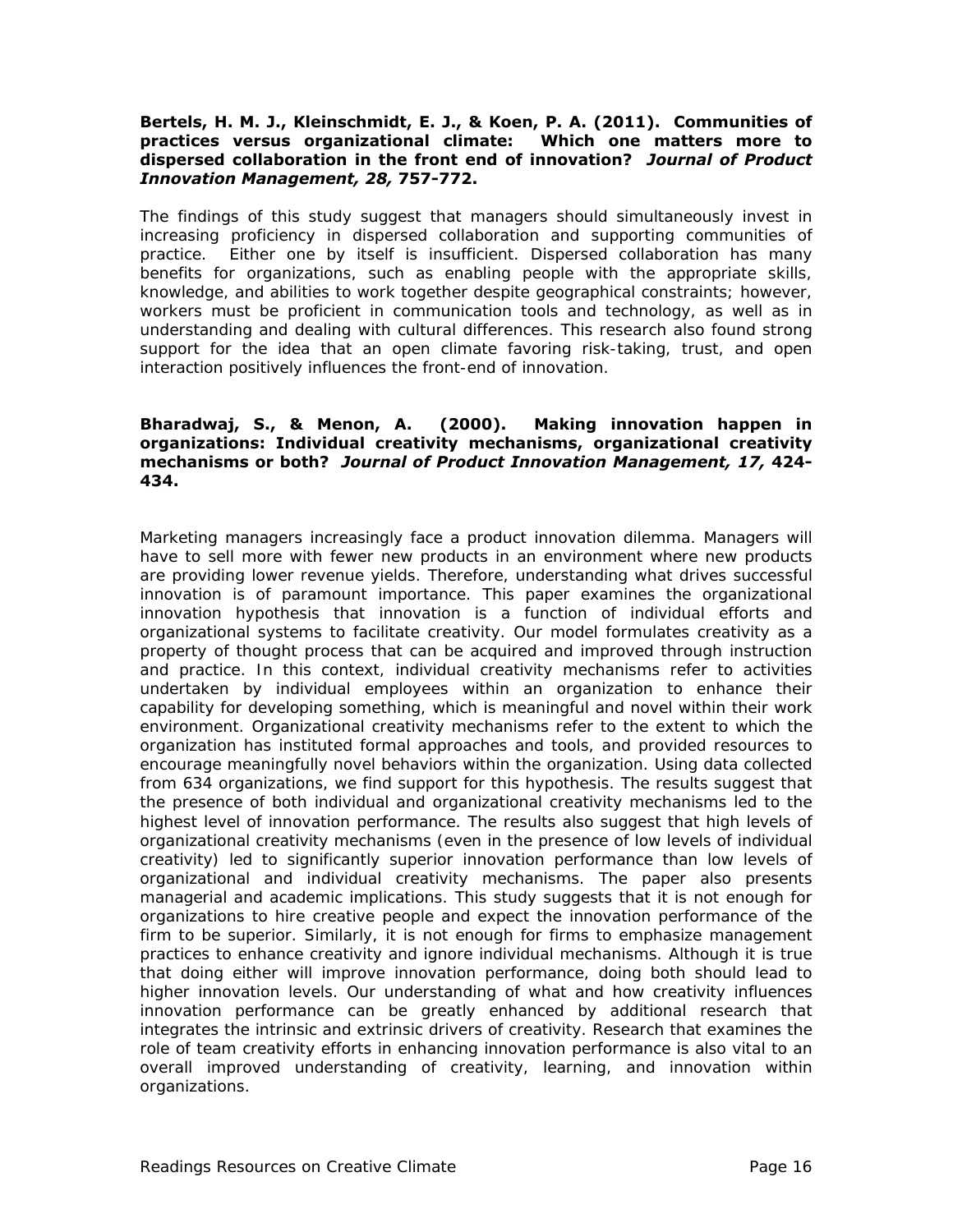#### **Bertels, H. M. J., Kleinschmidt, E. J., & Koen, P. A. (2011). Communities of practices versus organizational climate: Which one matters more to dispersed collaboration in the front end of innovation?** *Journal of Product Innovation Management, 28,* **757-772.**

The findings of this study suggest that managers should simultaneously invest in increasing proficiency in dispersed collaboration and supporting communities of practice. Either one by itself is insufficient. Dispersed collaboration has many benefits for organizations, such as enabling people with the appropriate skills, knowledge, and abilities to work together despite geographical constraints; however, workers must be proficient in communication tools and technology, as well as in understanding and dealing with cultural differences. This research also found strong support for the idea that an open climate favoring risk-taking, trust, and open interaction positively influences the front-end of innovation.

#### **Bharadwaj, S., & Menon, A. (2000). Making innovation happen in organizations: Individual creativity mechanisms, organizational creativity mechanisms or both?** *Journal of Product Innovation Management, 17,* **424- 434.**

Marketing managers increasingly face a product innovation dilemma. Managers will have to sell more with fewer new products in an environment where new products are providing lower revenue yields. Therefore, understanding what drives successful innovation is of paramount importance. This paper examines the organizational innovation hypothesis that innovation is a function of individual efforts and organizational systems to facilitate creativity. Our model formulates creativity as a property of thought process that can be acquired and improved through instruction and practice. In this context, individual creativity mechanisms refer to activities undertaken by individual employees within an organization to enhance their capability for developing something, which is meaningful and novel within their work environment. Organizational creativity mechanisms refer to the extent to which the organization has instituted formal approaches and tools, and provided resources to encourage meaningfully novel behaviors within the organization. Using data collected from 634 organizations, we find support for this hypothesis. The results suggest that the presence of both individual and organizational creativity mechanisms led to the highest level of innovation performance. The results also suggest that high levels of organizational creativity mechanisms (even in the presence of low levels of individual creativity) led to significantly superior innovation performance than low levels of organizational and individual creativity mechanisms. The paper also presents managerial and academic implications. This study suggests that it is not enough for organizations to hire creative people and expect the innovation performance of the firm to be superior. Similarly, it is not enough for firms to emphasize management practices to enhance creativity and ignore individual mechanisms. Although it is true that doing either will improve innovation performance, doing both should lead to higher innovation levels. Our understanding of what and how creativity influences innovation performance can be greatly enhanced by additional research that integrates the intrinsic and extrinsic drivers of creativity. Research that examines the role of team creativity efforts in enhancing innovation performance is also vital to an overall improved understanding of creativity, learning, and innovation within organizations.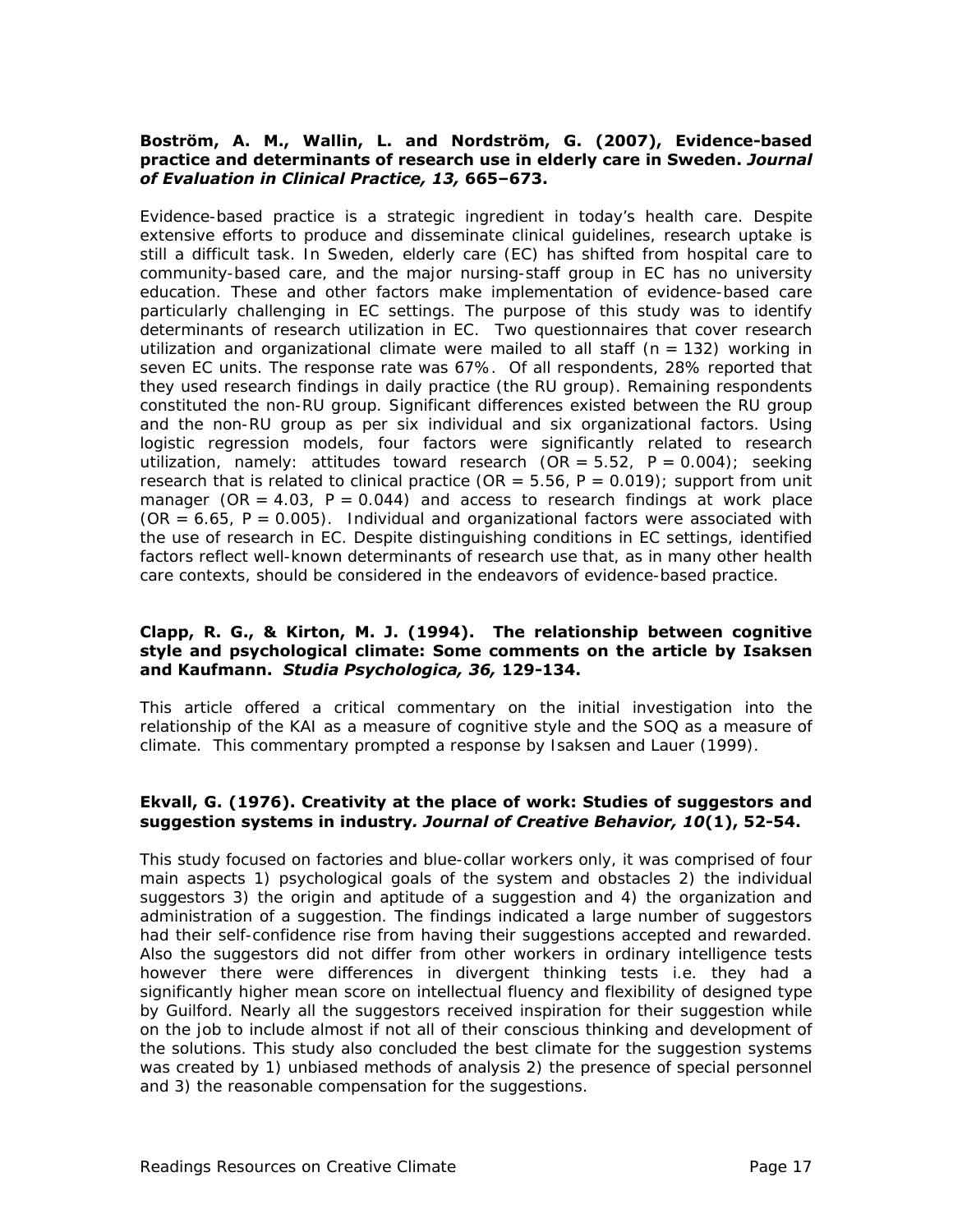#### **Boström, A. M., Wallin, L. and Nordström, G. (2007), Evidence-based practice and determinants of research use in elderly care in Sweden.** *Journal of Evaluation in Clinical Practice, 13,* **665–673.**

Evidence-based practice is a strategic ingredient in today's health care. Despite extensive efforts to produce and disseminate clinical guidelines, research uptake is still a difficult task. In Sweden, elderly care (EC) has shifted from hospital care to community-based care, and the major nursing-staff group in EC has no university education. These and other factors make implementation of evidence-based care particularly challenging in EC settings. The purpose of this study was to identify determinants of research utilization in EC. Two questionnaires that cover research utilization and organizational climate were mailed to all staff  $(n = 132)$  working in seven EC units. The response rate was 67%. Of all respondents, 28% reported that they used research findings in daily practice (the RU group). Remaining respondents constituted the non-RU group. Significant differences existed between the RU group and the non-RU group as per six individual and six organizational factors. Using logistic regression models, four factors were significantly related to research utilization, namely: attitudes toward research  $(OR = 5.52, P = 0.004)$ ; seeking research that is related to clinical practice ( $OR = 5.56$ ,  $P = 0.019$ ); support from unit manager (OR =  $4.03$ ,  $P = 0.044$ ) and access to research findings at work place  $(OR = 6.65, P = 0.005)$ . Individual and organizational factors were associated with the use of research in EC. Despite distinguishing conditions in EC settings, identified factors reflect well-known determinants of research use that, as in many other health care contexts, should be considered in the endeavors of evidence-based practice.

#### **Clapp, R. G., & Kirton, M. J. (1994). The relationship between cognitive style and psychological climate: Some comments on the article by Isaksen and Kaufmann.** *Studia Psychologica, 36,* **129-134.**

This article offered a critical commentary on the initial investigation into the relationship of the KAI as a measure of cognitive style and the SOQ as a measure of climate. This commentary prompted a response by Isaksen and Lauer (1999).

#### **Ekvall, G. (1976). Creativity at the place of work: Studies of suggestors and suggestion systems in industry***. Journal of Creative Behavior, 10***(1), 52-54.**

This study focused on factories and blue-collar workers only, it was comprised of four main aspects 1) psychological goals of the system and obstacles 2) the individual suggestors 3) the origin and aptitude of a suggestion and 4) the organization and administration of a suggestion. The findings indicated a large number of suggestors had their self-confidence rise from having their suggestions accepted and rewarded. Also the suggestors did not differ from other workers in ordinary intelligence tests however there were differences in divergent thinking tests i.e. they had a significantly higher mean score on intellectual fluency and flexibility of designed type by Guilford. Nearly all the suggestors received inspiration for their suggestion while on the job to include almost if not all of their conscious thinking and development of the solutions. This study also concluded the best climate for the suggestion systems was created by 1) unbiased methods of analysis 2) the presence of special personnel and 3) the reasonable compensation for the suggestions.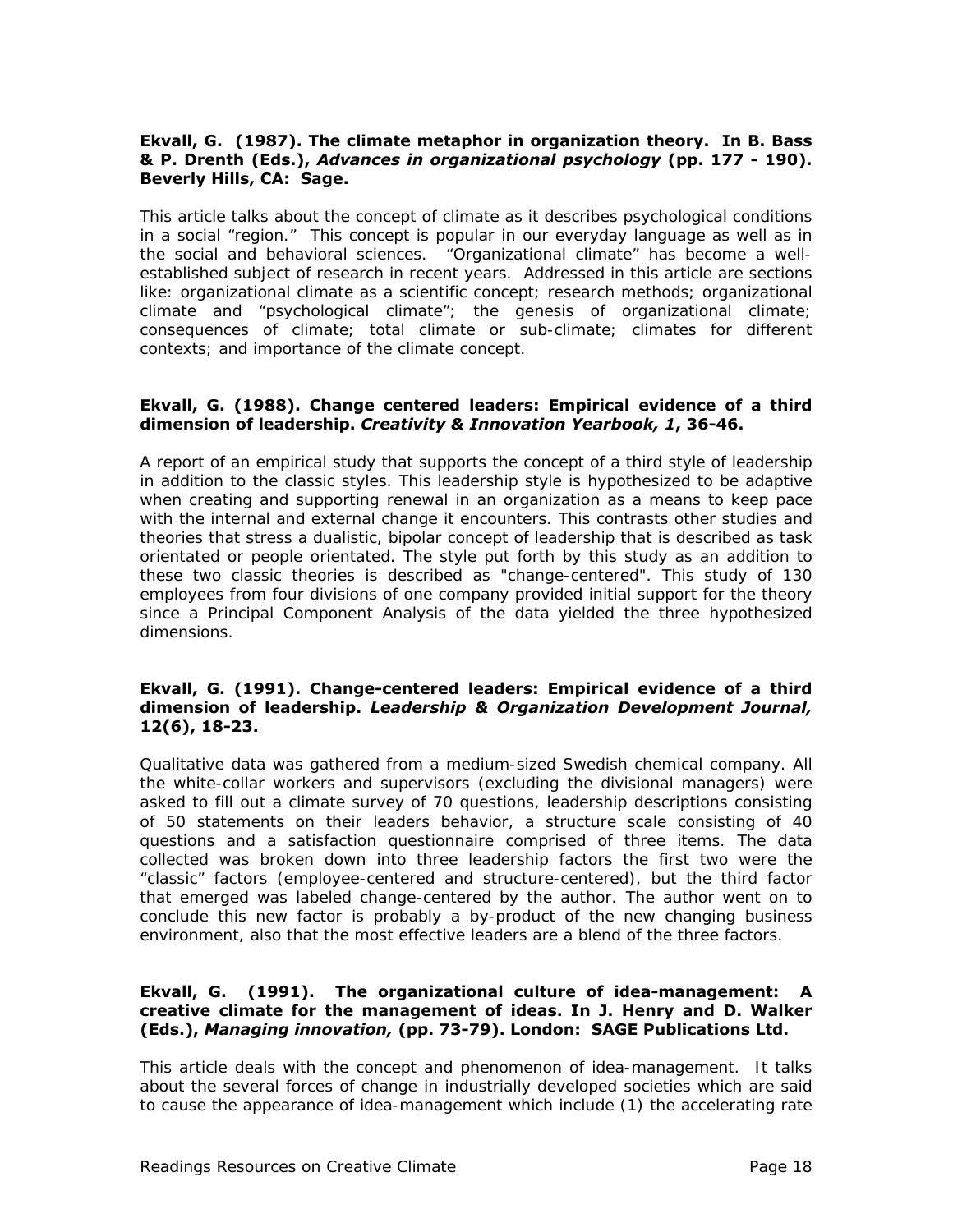#### **Ekvall, G. (1987). The climate metaphor in organization theory. In B. Bass & P. Drenth (Eds.),** *Advances in organizational psychology* **(pp. 177 - 190). Beverly Hills, CA: Sage.**

This article talks about the concept of climate as it describes psychological conditions in a social "region." This concept is popular in our everyday language as well as in the social and behavioral sciences. "Organizational climate" has become a wellestablished subject of research in recent years. Addressed in this article are sections like: organizational climate as a scientific concept; research methods; organizational climate and "psychological climate"; the genesis of organizational climate; consequences of climate; total climate or sub-climate; climates for different contexts; and importance of the climate concept.

#### **Ekvall, G. (1988). Change centered leaders: Empirical evidence of a third dimension of leadership.** *Creativity & Innovation Yearbook, 1***, 36-46.**

A report of an empirical study that supports the concept of a third style of leadership in addition to the classic styles. This leadership style is hypothesized to be adaptive when creating and supporting renewal in an organization as a means to keep pace with the internal and external change it encounters. This contrasts other studies and theories that stress a dualistic, bipolar concept of leadership that is described as task orientated or people orientated. The style put forth by this study as an addition to these two classic theories is described as "change-centered". This study of 130 employees from four divisions of one company provided initial support for the theory since a Principal Component Analysis of the data yielded the three hypothesized dimensions.

#### **Ekvall, G. (1991). Change-centered leaders: Empirical evidence of a third dimension of leadership.** *Leadership & Organization Development Journal,*  **12(6), 18-23.**

Qualitative data was gathered from a medium-sized Swedish chemical company. All the white-collar workers and supervisors (excluding the divisional managers) were asked to fill out a climate survey of 70 questions, leadership descriptions consisting of 50 statements on their leaders behavior, a structure scale consisting of 40 questions and a satisfaction questionnaire comprised of three items. The data collected was broken down into three leadership factors the first two were the "classic" factors (employee-centered and structure-centered), but the third factor that emerged was labeled change-centered by the author. The author went on to conclude this new factor is probably a by-product of the new changing business environment, also that the most effective leaders are a blend of the three factors.

#### **Ekvall, G. (1991). The organizational culture of idea-management: A creative climate for the management of ideas. In J. Henry and D. Walker (Eds.),** *Managing innovation,* **(pp. 73-79). London: SAGE Publications Ltd.**

This article deals with the concept and phenomenon of idea-management. It talks about the several forces of change in industrially developed societies which are said to cause the appearance of idea-management which include (1) the accelerating rate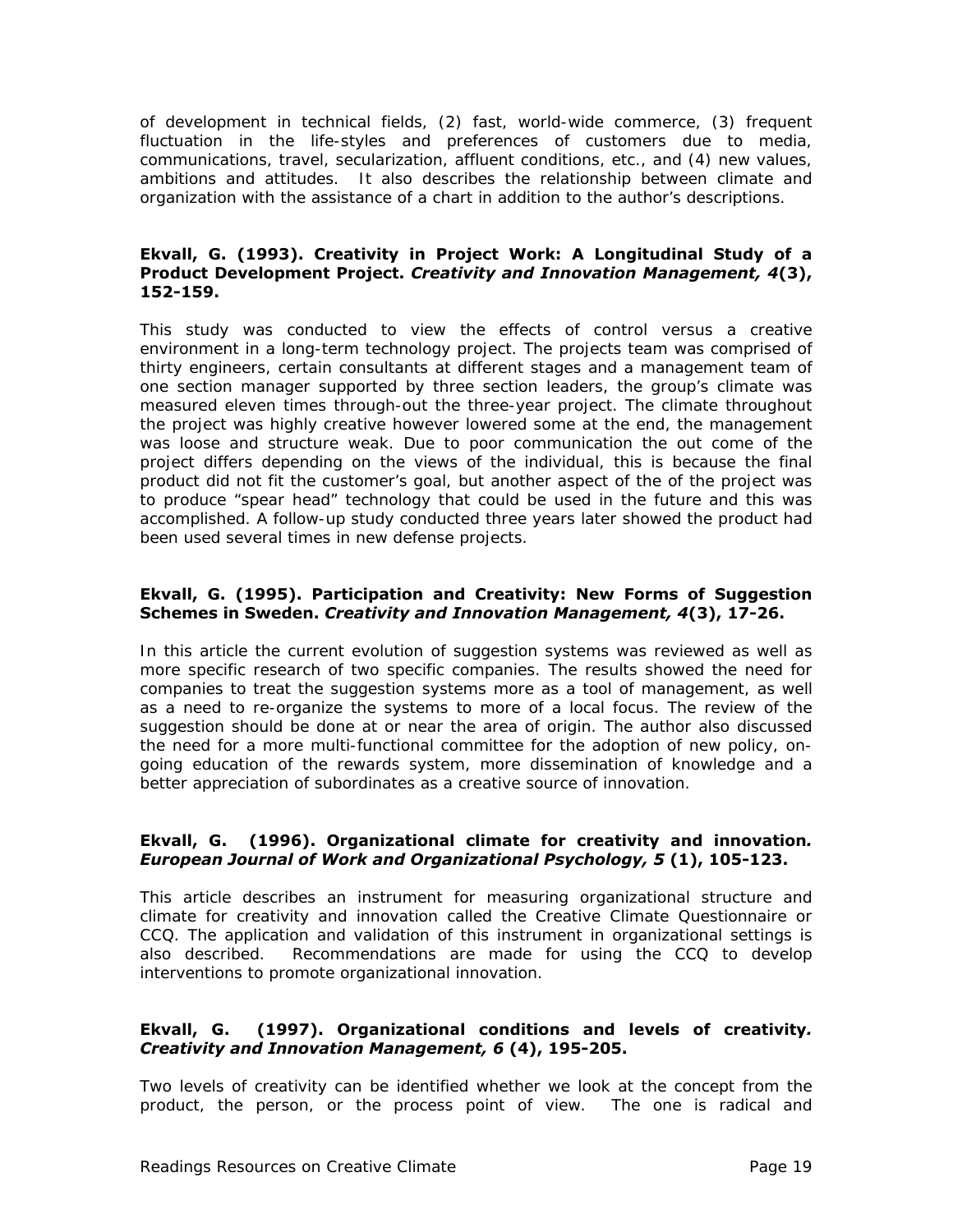of development in technical fields, (2) fast, world-wide commerce, (3) frequent fluctuation in the life-styles and preferences of customers due to media, communications, travel, secularization, affluent conditions, etc., and (4) new values, ambitions and attitudes. It also describes the relationship between climate and organization with the assistance of a chart in addition to the author's descriptions.

#### **Ekvall, G. (1993). Creativity in Project Work: A Longitudinal Study of a Product Development Project.** *Creativity and Innovation Management, 4***(3), 152-159.**

This study was conducted to view the effects of control versus a creative environment in a long-term technology project. The projects team was comprised of thirty engineers, certain consultants at different stages and a management team of one section manager supported by three section leaders, the group's climate was measured eleven times through-out the three-year project. The climate throughout the project was highly creative however lowered some at the end, the management was loose and structure weak. Due to poor communication the out come of the project differs depending on the views of the individual, this is because the final product did not fit the customer's goal, but another aspect of the of the project was to produce "spear head" technology that could be used in the future and this was accomplished. A follow-up study conducted three years later showed the product had been used several times in new defense projects.

#### **Ekvall, G. (1995). Participation and Creativity: New Forms of Suggestion Schemes in Sweden.** *Creativity and Innovation Management, 4***(3), 17-26.**

In this article the current evolution of suggestion systems was reviewed as well as more specific research of two specific companies. The results showed the need for companies to treat the suggestion systems more as a tool of management, as well as a need to re-organize the systems to more of a local focus. The review of the suggestion should be done at or near the area of origin. The author also discussed the need for a more multi-functional committee for the adoption of new policy, ongoing education of the rewards system, more dissemination of knowledge and a better appreciation of subordinates as a creative source of innovation.

#### **Ekvall, G. (1996). Organizational climate for creativity and innovation***. European Journal of Work and Organizational Psychology, 5* **(1), 105-123.**

This article describes an instrument for measuring organizational structure and climate for creativity and innovation called the Creative Climate Questionnaire or CCQ. The application and validation of this instrument in organizational settings is also described. Recommendations are made for using the CCQ to develop interventions to promote organizational innovation.

#### **Ekvall, G. (1997). Organizational conditions and levels of creativity***. Creativity and Innovation Management, 6* **(4), 195-205.**

Two levels of creativity can be identified whether we look at the concept from the product, the person, or the process point of view. The one is radical and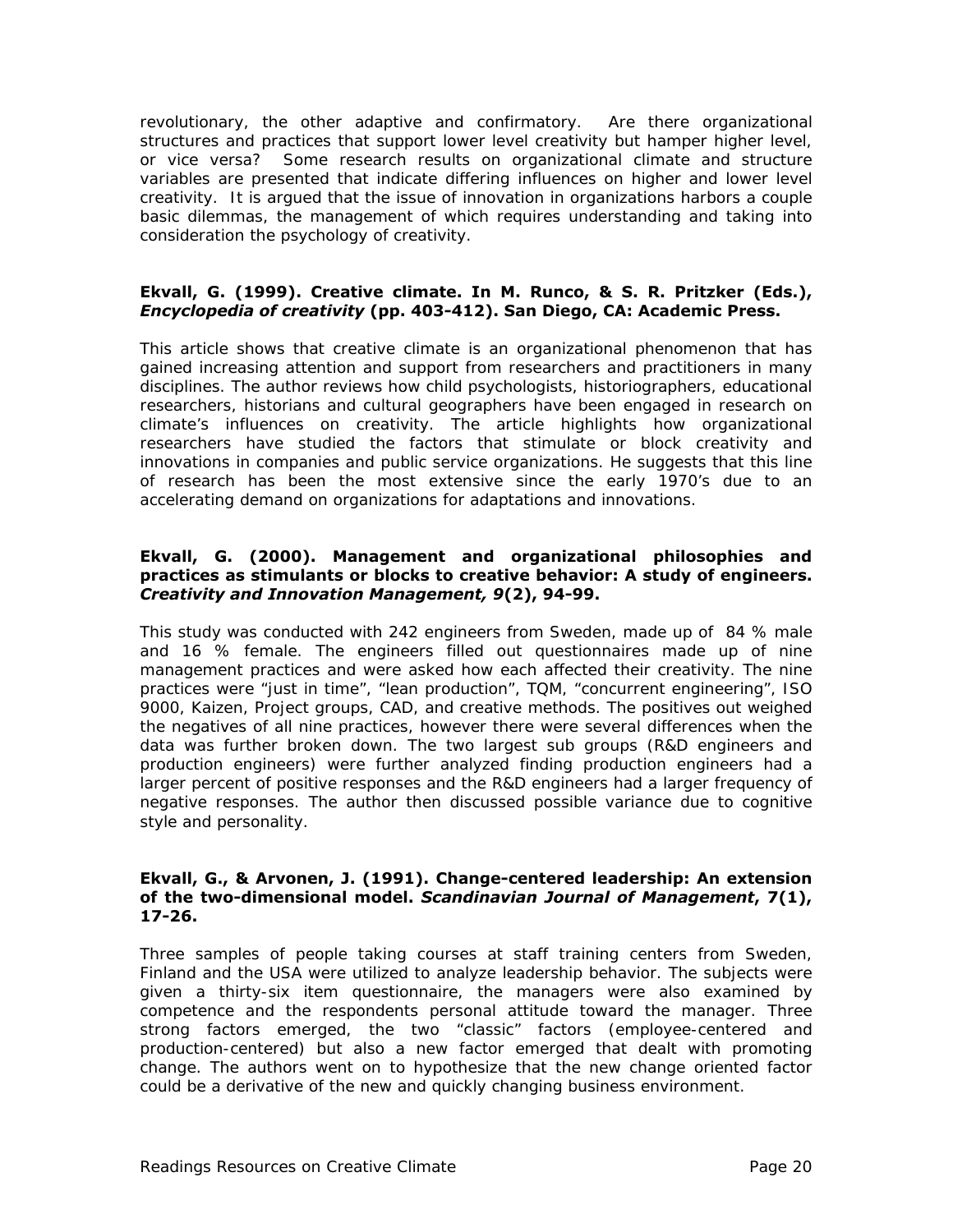revolutionary, the other adaptive and confirmatory. Are there organizational structures and practices that support lower level creativity but hamper higher level, or vice versa? Some research results on organizational climate and structure variables are presented that indicate differing influences on higher and lower level creativity. It is argued that the issue of innovation in organizations harbors a couple basic dilemmas, the management of which requires understanding and taking into consideration the psychology of creativity.

#### **Ekvall, G. (1999). Creative climate. In M. Runco, & S. R. Pritzker (Eds.),**  *Encyclopedia of creativity* **(pp. 403-412). San Diego, CA: Academic Press.**

This article shows that creative climate is an organizational phenomenon that has gained increasing attention and support from researchers and practitioners in many disciplines. The author reviews how child psychologists, historiographers, educational researchers, historians and cultural geographers have been engaged in research on climate's influences on creativity. The article highlights how organizational researchers have studied the factors that stimulate or block creativity and innovations in companies and public service organizations. He suggests that this line of research has been the most extensive since the early 1970's due to an accelerating demand on organizations for adaptations and innovations.

#### **Ekvall, G. (2000). Management and organizational philosophies and practices as stimulants or blocks to creative behavior: A study of engineers.**  *Creativity and Innovation Management, 9***(2), 94-99.**

This study was conducted with 242 engineers from Sweden, made up of 84 % male and 16 % female. The engineers filled out questionnaires made up of nine management practices and were asked how each affected their creativity. The nine practices were "just in time", "lean production", TQM, "concurrent engineering", ISO 9000, Kaizen, Project groups, CAD, and creative methods. The positives out weighed the negatives of all nine practices, however there were several differences when the data was further broken down. The two largest sub groups (R&D engineers and production engineers) were further analyzed finding production engineers had a larger percent of positive responses and the R&D engineers had a larger frequency of negative responses. The author then discussed possible variance due to cognitive style and personality.

#### **Ekvall, G., & Arvonen, J. (1991). Change-centered leadership: An extension of the two-dimensional model.** *Scandinavian Journal of Management***, 7(1), 17-26.**

Three samples of people taking courses at staff training centers from Sweden, Finland and the USA were utilized to analyze leadership behavior. The subjects were given a thirty-six item questionnaire, the managers were also examined by competence and the respondents personal attitude toward the manager. Three strong factors emerged, the two "classic" factors (employee-centered and production-centered) but also a new factor emerged that dealt with promoting change. The authors went on to hypothesize that the new change oriented factor could be a derivative of the new and quickly changing business environment.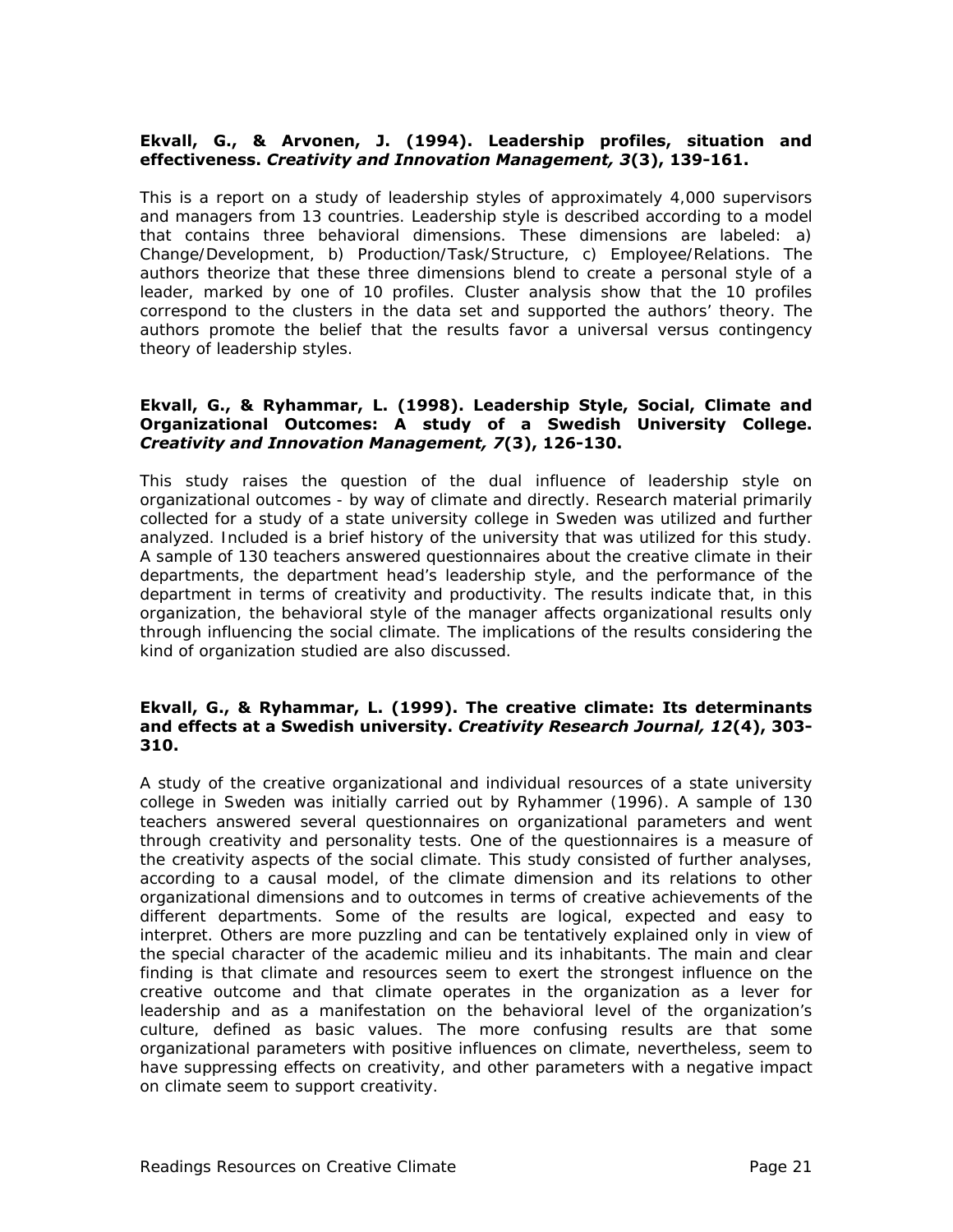#### **Ekvall, G., & Arvonen, J. (1994). Leadership profiles, situation and effectiveness.** *Creativity and Innovation Management, 3***(3), 139-161.**

This is a report on a study of leadership styles of approximately 4,000 supervisors and managers from 13 countries. Leadership style is described according to a model that contains three behavioral dimensions. These dimensions are labeled: a) Change/Development, b) Production/Task/Structure, c) Employee/Relations. The authors theorize that these three dimensions blend to create a personal style of a leader, marked by one of 10 profiles. Cluster analysis show that the 10 profiles correspond to the clusters in the data set and supported the authors' theory. The authors promote the belief that the results favor a universal versus contingency theory of leadership styles.

#### **Ekvall, G., & Ryhammar, L. (1998). Leadership Style, Social, Climate and Organizational Outcomes: A study of a Swedish University College.**  *Creativity and Innovation Management, 7***(3), 126-130.**

This study raises the question of the dual influence of leadership style on organizational outcomes - by way of climate and directly. Research material primarily collected for a study of a state university college in Sweden was utilized and further analyzed. Included is a brief history of the university that was utilized for this study. A sample of 130 teachers answered questionnaires about the creative climate in their departments, the department head's leadership style, and the performance of the department in terms of creativity and productivity. The results indicate that, in this organization, the behavioral style of the manager affects organizational results only through influencing the social climate. The implications of the results considering the kind of organization studied are also discussed.

#### **Ekvall, G., & Ryhammar, L. (1999). The creative climate: Its determinants and effects at a Swedish university.** *Creativity Research Journal, 12***(4), 303- 310.**

A study of the creative organizational and individual resources of a state university college in Sweden was initially carried out by Ryhammer (1996). A sample of 130 teachers answered several questionnaires on organizational parameters and went through creativity and personality tests. One of the questionnaires is a measure of the creativity aspects of the social climate. This study consisted of further analyses, according to a causal model, of the climate dimension and its relations to other organizational dimensions and to outcomes in terms of creative achievements of the different departments. Some of the results are logical, expected and easy to interpret. Others are more puzzling and can be tentatively explained only in view of the special character of the academic milieu and its inhabitants. The main and clear finding is that climate and resources seem to exert the strongest influence on the creative outcome and that climate operates in the organization as a lever for leadership and as a manifestation on the behavioral level of the organization's culture, defined as basic values. The more confusing results are that some organizational parameters with positive influences on climate, nevertheless, seem to have suppressing effects on creativity, and other parameters with a negative impact on climate seem to support creativity.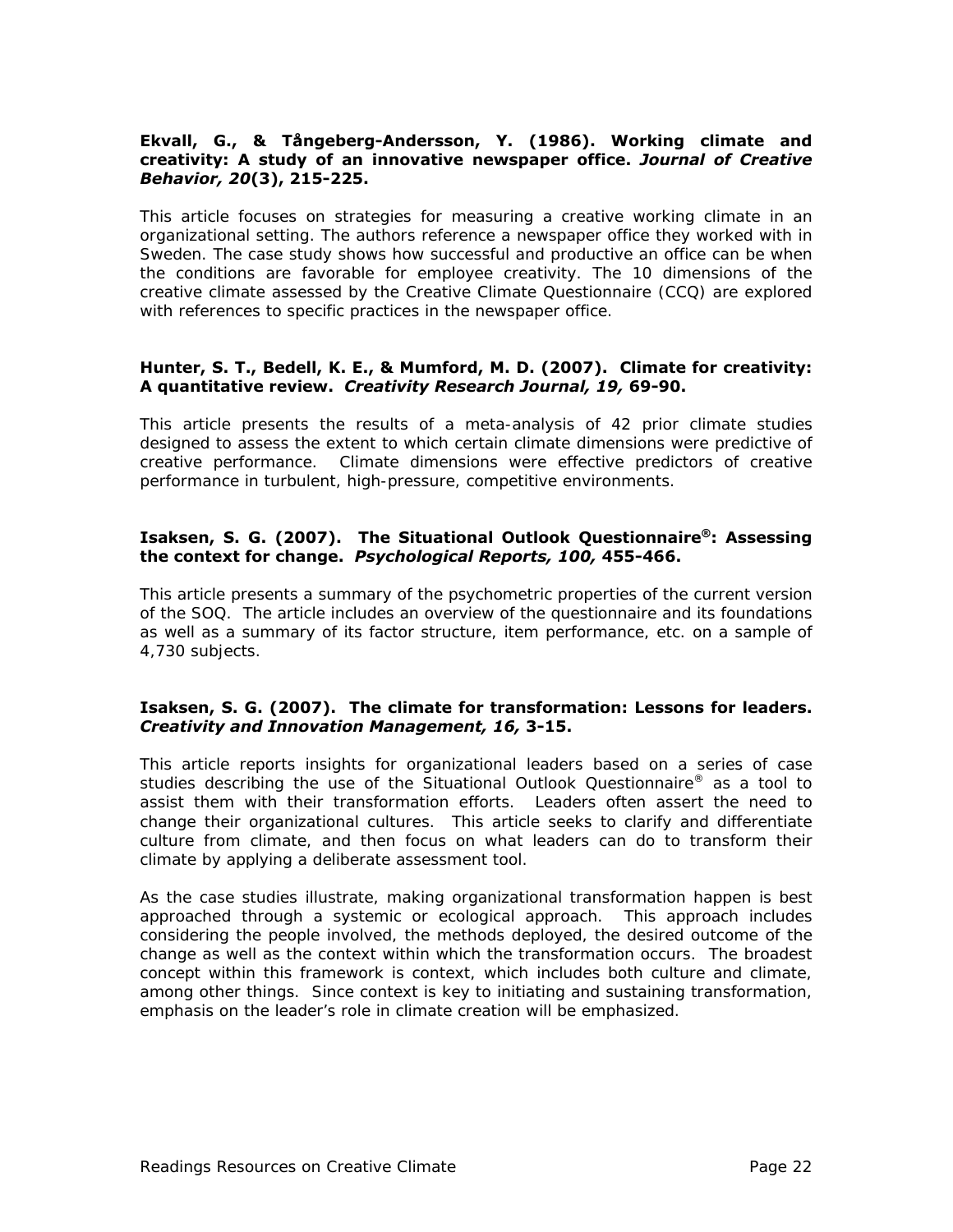#### **Ekvall, G., & Tångeberg-Andersson, Y. (1986). Working climate and creativity: A study of an innovative newspaper office.** *Journal of Creative Behavior, 20***(3), 215-225.**

This article focuses on strategies for measuring a creative working climate in an organizational setting. The authors reference a newspaper office they worked with in Sweden. The case study shows how successful and productive an office can be when the conditions are favorable for employee creativity. The 10 dimensions of the creative climate assessed by the Creative Climate Questionnaire (CCQ) are explored with references to specific practices in the newspaper office.

#### **Hunter, S. T., Bedell, K. E., & Mumford, M. D. (2007). Climate for creativity: A quantitative review.** *Creativity Research Journal, 19,* **69-90.**

This article presents the results of a meta-analysis of 42 prior climate studies designed to assess the extent to which certain climate dimensions were predictive of creative performance. Climate dimensions were effective predictors of creative performance in turbulent, high-pressure, competitive environments.

#### **Isaksen, S. G. (2007). The Situational Outlook Questionnaire®: Assessing the context for change.** *Psychological Reports, 100,* **455-466.**

This article presents a summary of the psychometric properties of the current version of the SOQ. The article includes an overview of the questionnaire and its foundations as well as a summary of its factor structure, item performance, etc. on a sample of 4,730 subjects.

#### **Isaksen, S. G. (2007). The climate for transformation: Lessons for leaders.**  *Creativity and Innovation Management, 16,* **3-15.**

This article reports insights for organizational leaders based on a series of case studies describing the use of the Situational Outlook Questionnaire® as a tool to assist them with their transformation efforts. Leaders often assert the need to change their organizational cultures. This article seeks to clarify and differentiate culture from climate, and then focus on what leaders can do to transform their climate by applying a deliberate assessment tool.

As the case studies illustrate, making organizational transformation happen is best approached through a systemic or ecological approach. This approach includes considering the people involved, the methods deployed, the desired outcome of the change as well as the context within which the transformation occurs. The broadest concept within this framework is context, which includes both culture and climate, among other things. Since context is key to initiating and sustaining transformation, emphasis on the leader's role in climate creation will be emphasized.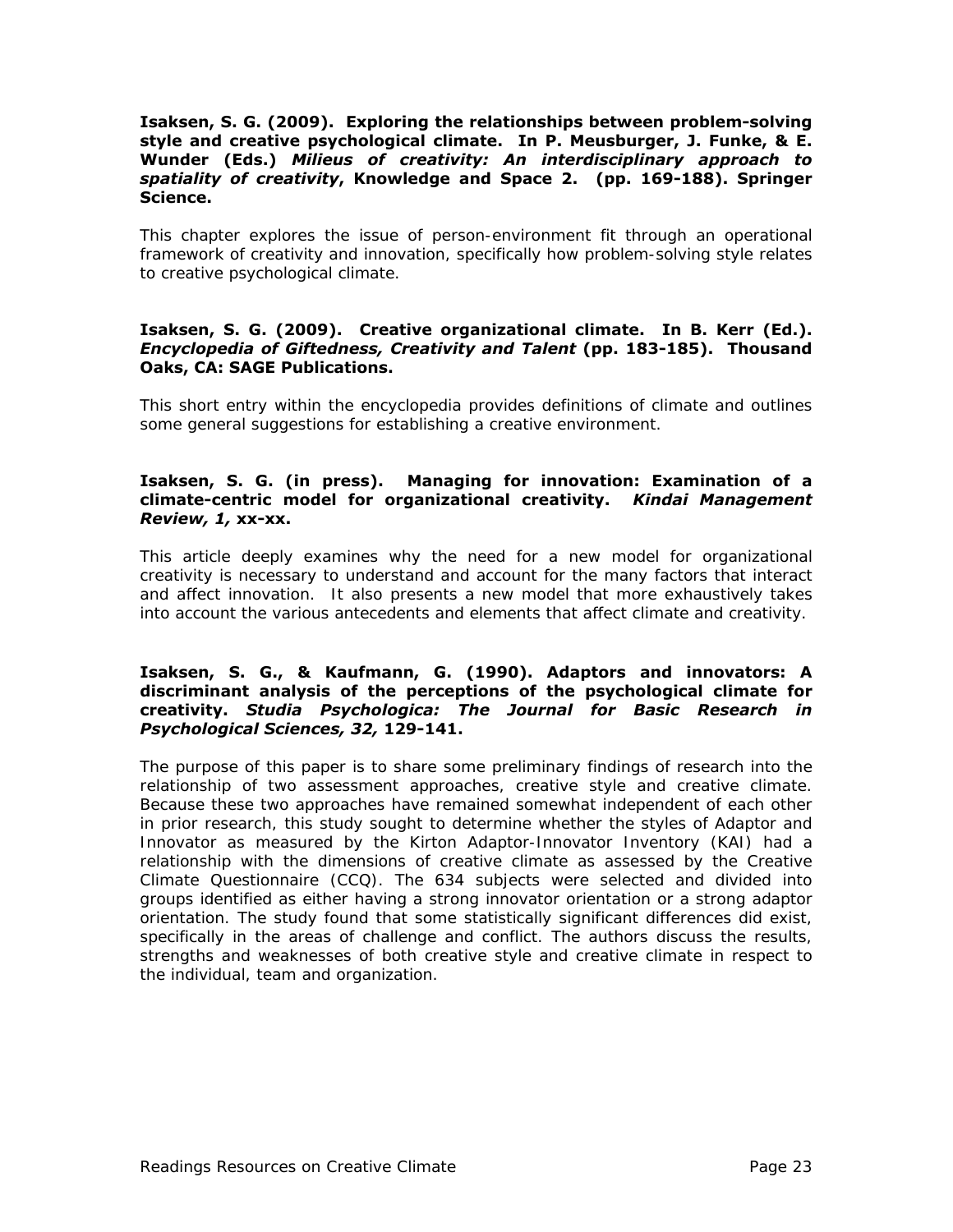#### **Isaksen, S. G. (2009). Exploring the relationships between problem-solving style and creative psychological climate. In P. Meusburger, J. Funke, & E. Wunder (Eds.)** *Milieus of creativity: An interdisciplinary approach to spatiality of creativity***, Knowledge and Space 2. (pp. 169-188). Springer Science.**

This chapter explores the issue of person-environment fit through an operational framework of creativity and innovation, specifically how problem-solving style relates to creative psychological climate.

#### **Isaksen, S. G. (2009). Creative organizational climate. In B. Kerr (Ed.).**  *Encyclopedia of Giftedness, Creativity and Talent* **(pp. 183-185). Thousand Oaks, CA: SAGE Publications.**

This short entry within the encyclopedia provides definitions of climate and outlines some general suggestions for establishing a creative environment.

#### **Isaksen, S. G. (in press). Managing for innovation: Examination of a climate-centric model for organizational creativity.** *Kindai Management Review, 1,* **xx-xx.**

This article deeply examines why the need for a new model for organizational creativity is necessary to understand and account for the many factors that interact and affect innovation. It also presents a new model that more exhaustively takes into account the various antecedents and elements that affect climate and creativity.

#### **Isaksen, S. G., & Kaufmann, G. (1990). Adaptors and innovators: A discriminant analysis of the perceptions of the psychological climate for creativity.** *Studia Psychologica: The Journal for Basic Research in Psychological Sciences, 32,* **129-141.**

The purpose of this paper is to share some preliminary findings of research into the relationship of two assessment approaches, creative style and creative climate. Because these two approaches have remained somewhat independent of each other in prior research, this study sought to determine whether the styles of Adaptor and Innovator as measured by the Kirton Adaptor-Innovator Inventory (KAI) had a relationship with the dimensions of creative climate as assessed by the Creative Climate Questionnaire (CCQ). The 634 subjects were selected and divided into groups identified as either having a strong innovator orientation or a strong adaptor orientation. The study found that some statistically significant differences did exist, specifically in the areas of challenge and conflict. The authors discuss the results, strengths and weaknesses of both creative style and creative climate in respect to the individual, team and organization.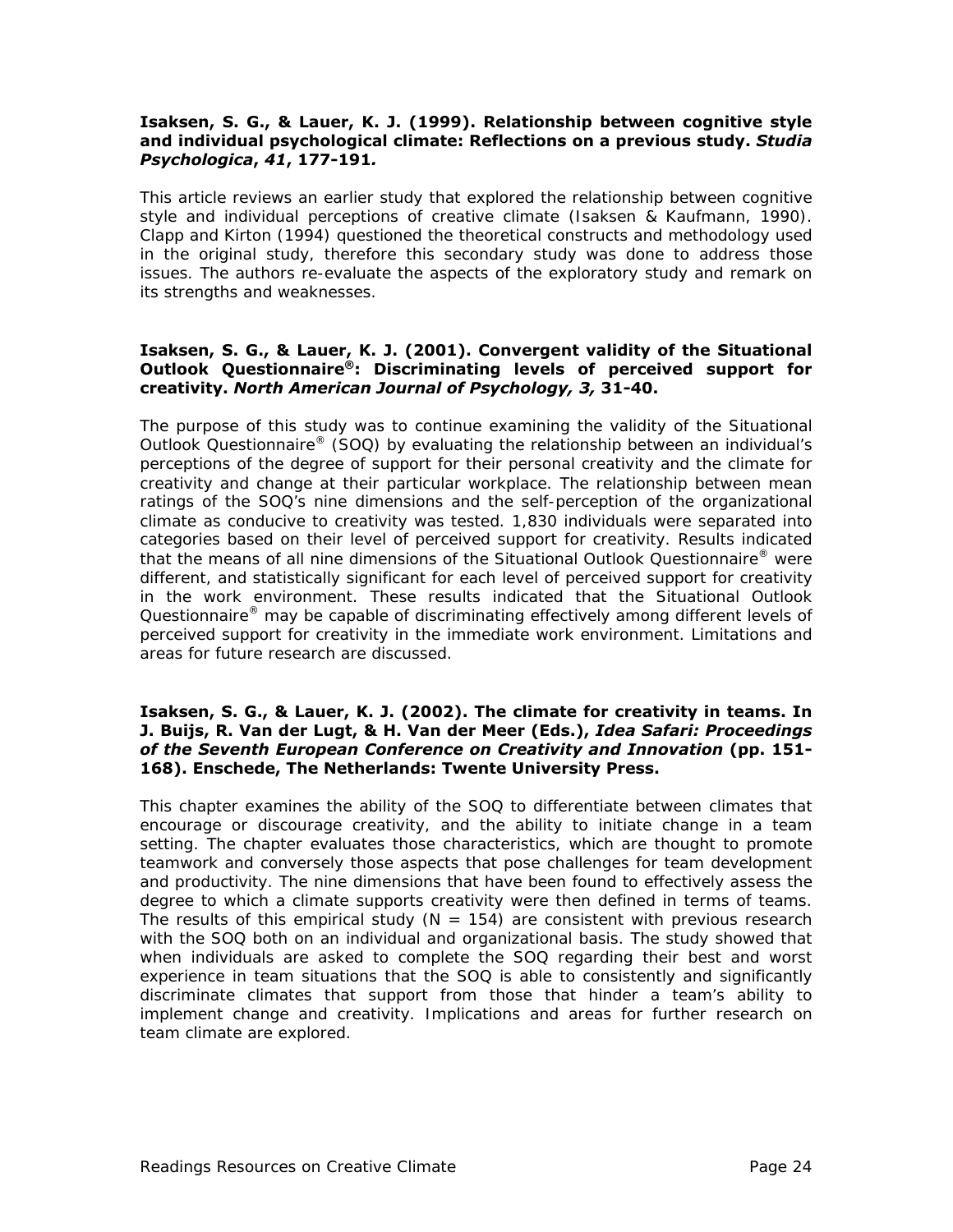#### **Isaksen, S. G., & Lauer, K. J. (1999). Relationship between cognitive style and individual psychological climate: Reflections on a previous study.** *Studia Psychologica***,** *41***, 177-191***.*

This article reviews an earlier study that explored the relationship between cognitive style and individual perceptions of creative climate (Isaksen & Kaufmann, 1990). Clapp and Kirton (1994) questioned the theoretical constructs and methodology used in the original study, therefore this secondary study was done to address those issues. The authors re-evaluate the aspects of the exploratory study and remark on its strengths and weaknesses.

#### **Isaksen, S. G., & Lauer, K. J. (2001). Convergent validity of the Situational Outlook Questionnaire®: Discriminating levels of perceived support for creativity.** *North American Journal of Psychology, 3,* **31-40.**

The purpose of this study was to continue examining the validity of the Situational Outlook Questionnaire® (SOQ) by evaluating the relationship between an individual's perceptions of the degree of support for their personal creativity and the climate for creativity and change at their particular workplace. The relationship between mean ratings of the SOQ's nine dimensions and the self-perception of the organizational climate as conducive to creativity was tested. 1,830 individuals were separated into categories based on their level of perceived support for creativity. Results indicated that the means of all nine dimensions of the Situational Outlook Questionnaire<sup>®</sup> were different, and statistically significant for each level of perceived support for creativity in the work environment. These results indicated that the Situational Outlook Questionnaire<sup>®</sup> may be capable of discriminating effectively among different levels of perceived support for creativity in the immediate work environment. Limitations and areas for future research are discussed.

#### **Isaksen, S. G., & Lauer, K. J. (2002). The climate for creativity in teams. In J. Buijs, R. Van der Lugt, & H. Van der Meer (Eds.),** *Idea Safari: Proceedings of the Seventh European Conference on Creativity and Innovation* **(pp. 151- 168). Enschede, The Netherlands: Twente University Press.**

This chapter examines the ability of the SOQ to differentiate between climates that encourage or discourage creativity, and the ability to initiate change in a team setting. The chapter evaluates those characteristics, which are thought to promote teamwork and conversely those aspects that pose challenges for team development and productivity. The nine dimensions that have been found to effectively assess the degree to which a climate supports creativity were then defined in terms of teams. The results of this empirical study ( $N = 154$ ) are consistent with previous research with the SOQ both on an individual and organizational basis. The study showed that when individuals are asked to complete the SOQ regarding their best and worst experience in team situations that the SOQ is able to consistently and significantly discriminate climates that support from those that hinder a team's ability to implement change and creativity. Implications and areas for further research on team climate are explored.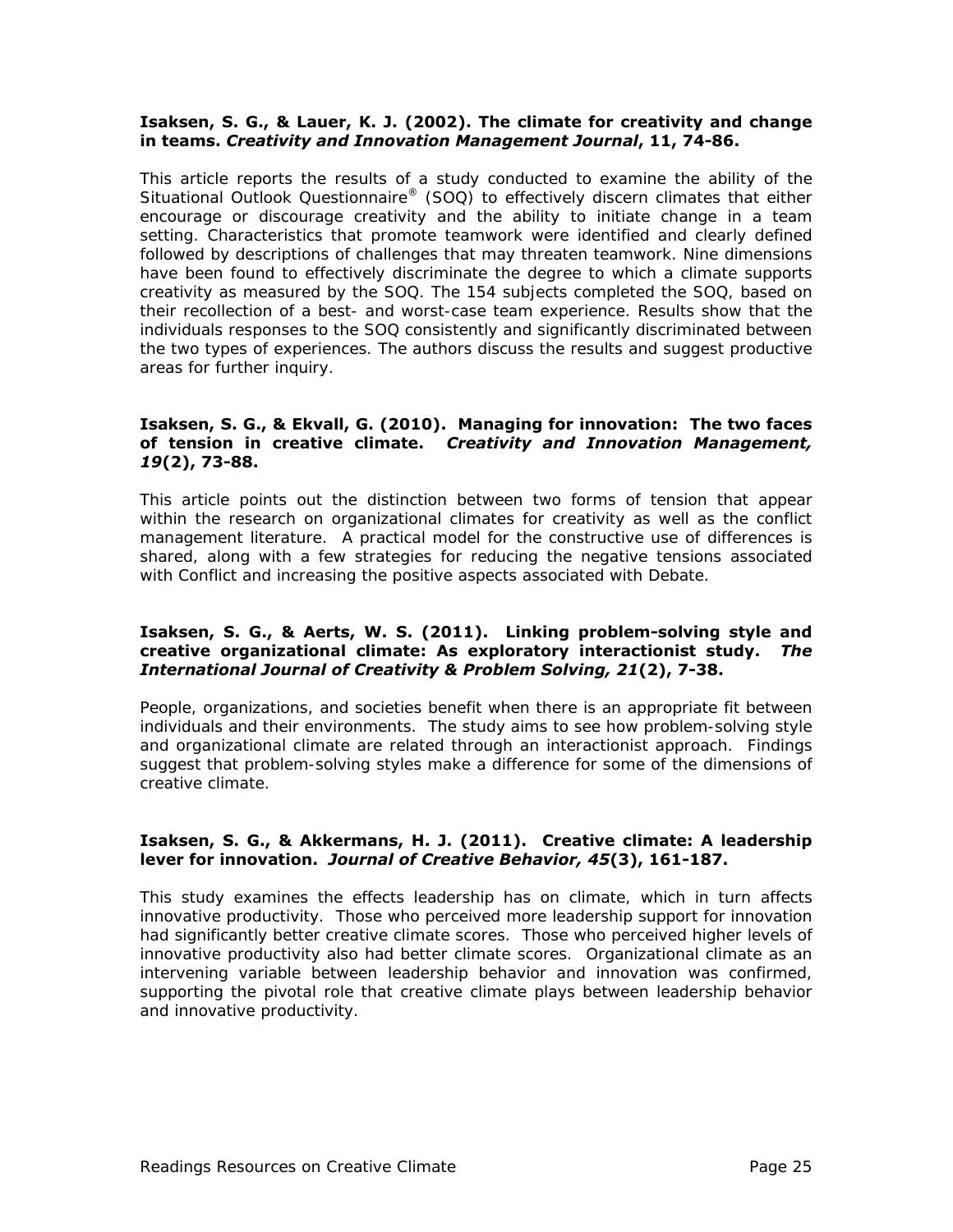#### **Isaksen, S. G., & Lauer, K. J. (2002). The climate for creativity and change in teams.** *Creativity and Innovation Management Journal***, 11, 74-86.**

This article reports the results of a study conducted to examine the ability of the Situational Outlook Questionnaire® (SOQ) to effectively discern climates that either encourage or discourage creativity and the ability to initiate change in a team setting. Characteristics that promote teamwork were identified and clearly defined followed by descriptions of challenges that may threaten teamwork. Nine dimensions have been found to effectively discriminate the degree to which a climate supports creativity as measured by the SOQ. The 154 subjects completed the SOQ, based on their recollection of a best- and worst-case team experience. Results show that the individuals responses to the SOQ consistently and significantly discriminated between the two types of experiences. The authors discuss the results and suggest productive areas for further inquiry.

#### **Isaksen, S. G., & Ekvall, G. (2010). Managing for innovation: The two faces of tension in creative climate.** *Creativity and Innovation Management, 19***(2), 73-88.**

This article points out the distinction between two forms of tension that appear within the research on organizational climates for creativity as well as the conflict management literature. A practical model for the constructive use of differences is shared, along with a few strategies for reducing the negative tensions associated with Conflict and increasing the positive aspects associated with Debate.

#### **Isaksen, S. G., & Aerts, W. S. (2011). Linking problem-solving style and creative organizational climate: As exploratory interactionist study.** *The International Journal of Creativity & Problem Solving, 21***(2), 7-38.**

People, organizations, and societies benefit when there is an appropriate fit between individuals and their environments. The study aims to see how problem-solving style and organizational climate are related through an interactionist approach. Findings suggest that problem-solving styles make a difference for some of the dimensions of creative climate.

#### **Isaksen, S. G., & Akkermans, H. J. (2011). Creative climate: A leadership lever for innovation.** *Journal of Creative Behavior, 45***(3), 161-187.**

This study examines the effects leadership has on climate, which in turn affects innovative productivity. Those who perceived more leadership support for innovation had significantly better creative climate scores. Those who perceived higher levels of innovative productivity also had better climate scores. Organizational climate as an intervening variable between leadership behavior and innovation was confirmed, supporting the pivotal role that creative climate plays between leadership behavior and innovative productivity.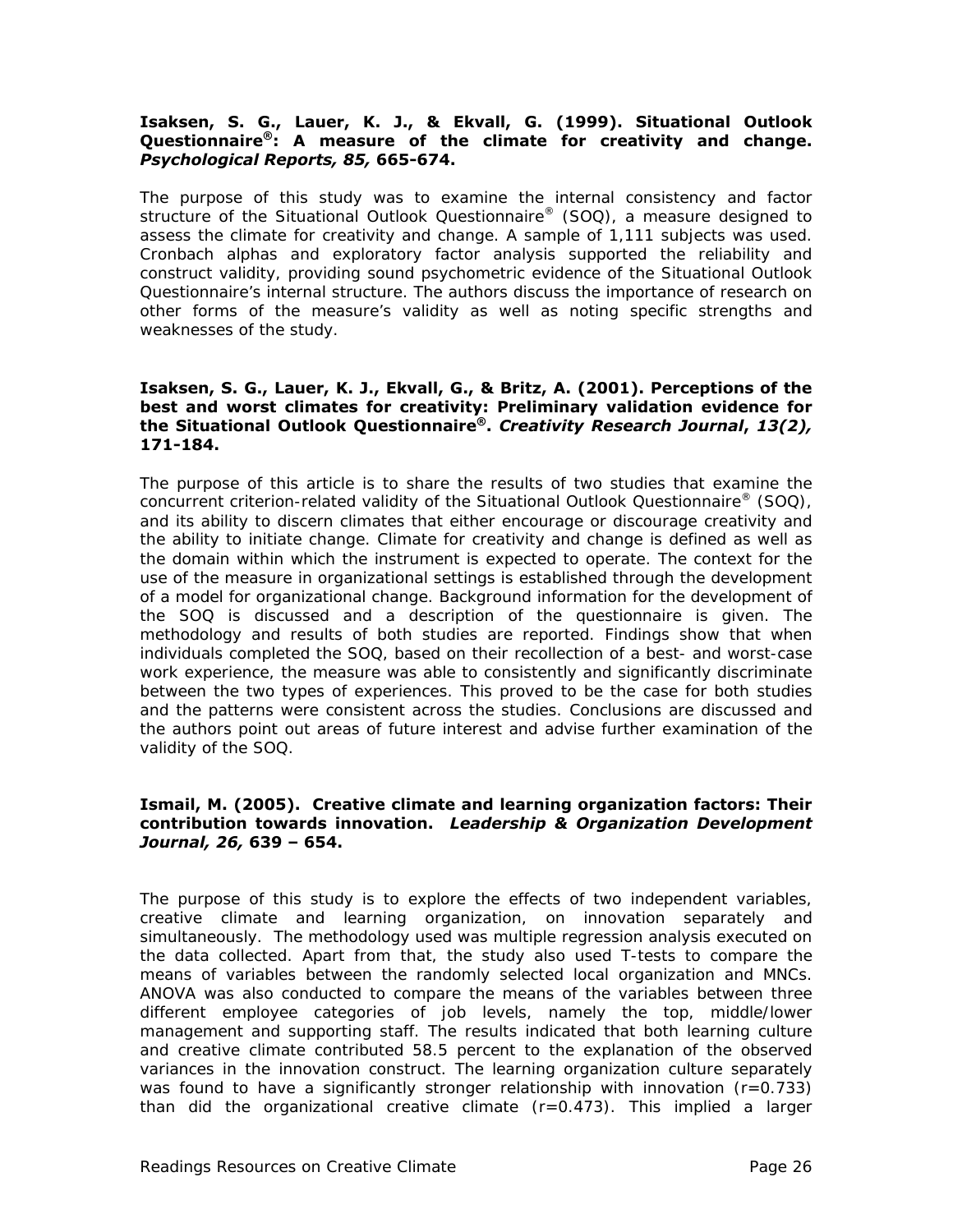#### **Isaksen, S. G., Lauer, K. J., & Ekvall, G. (1999). Situational Outlook Questionnaire®: A measure of the climate for creativity and change.**  *Psychological Reports, 85,* **665-674.**

The purpose of this study was to examine the internal consistency and factor structure of the Situational Outlook Questionnaire® (SOQ), a measure designed to assess the climate for creativity and change. A sample of 1,111 subjects was used. Cronbach alphas and exploratory factor analysis supported the reliability and construct validity, providing sound psychometric evidence of the Situational Outlook Questionnaire's internal structure. The authors discuss the importance of research on other forms of the measure's validity as well as noting specific strengths and weaknesses of the study.

#### **Isaksen, S. G., Lauer, K. J., Ekvall, G., & Britz, A. (2001). Perceptions of the best and worst climates for creativity: Preliminary validation evidence for the Situational Outlook Questionnaire®.** *Creativity Research Journal***,** *13(2),* **171-184.**

The purpose of this article is to share the results of two studies that examine the concurrent criterion-related validity of the Situational Outlook Questionnaire<sup>®</sup> (SOQ), and its ability to discern climates that either encourage or discourage creativity and the ability to initiate change. Climate for creativity and change is defined as well as the domain within which the instrument is expected to operate. The context for the use of the measure in organizational settings is established through the development of a model for organizational change. Background information for the development of the SOQ is discussed and a description of the questionnaire is given. The methodology and results of both studies are reported. Findings show that when individuals completed the SOQ, based on their recollection of a best- and worst-case work experience, the measure was able to consistently and significantly discriminate between the two types of experiences. This proved to be the case for both studies and the patterns were consistent across the studies. Conclusions are discussed and the authors point out areas of future interest and advise further examination of the validity of the SOQ.

#### **Ismail, M. (2005). Creative climate and learning organization factors: Their contribution towards innovation.** *Leadership & Organization Development Journal, 26,* **639 – 654.**

The purpose of this study is to explore the effects of two independent variables, creative climate and learning organization, on innovation separately and simultaneously. The methodology used was multiple regression analysis executed on the data collected. Apart from that, the study also used T-tests to compare the means of variables between the randomly selected local organization and MNCs. ANOVA was also conducted to compare the means of the variables between three different employee categories of job levels, namely the top, middle/lower management and supporting staff. The results indicated that both learning culture and creative climate contributed 58.5 percent to the explanation of the observed variances in the innovation construct. The learning organization culture separately was found to have a significantly stronger relationship with innovation  $(r=0.733)$ than did the organizational creative climate  $(r=0.473)$ . This implied a larger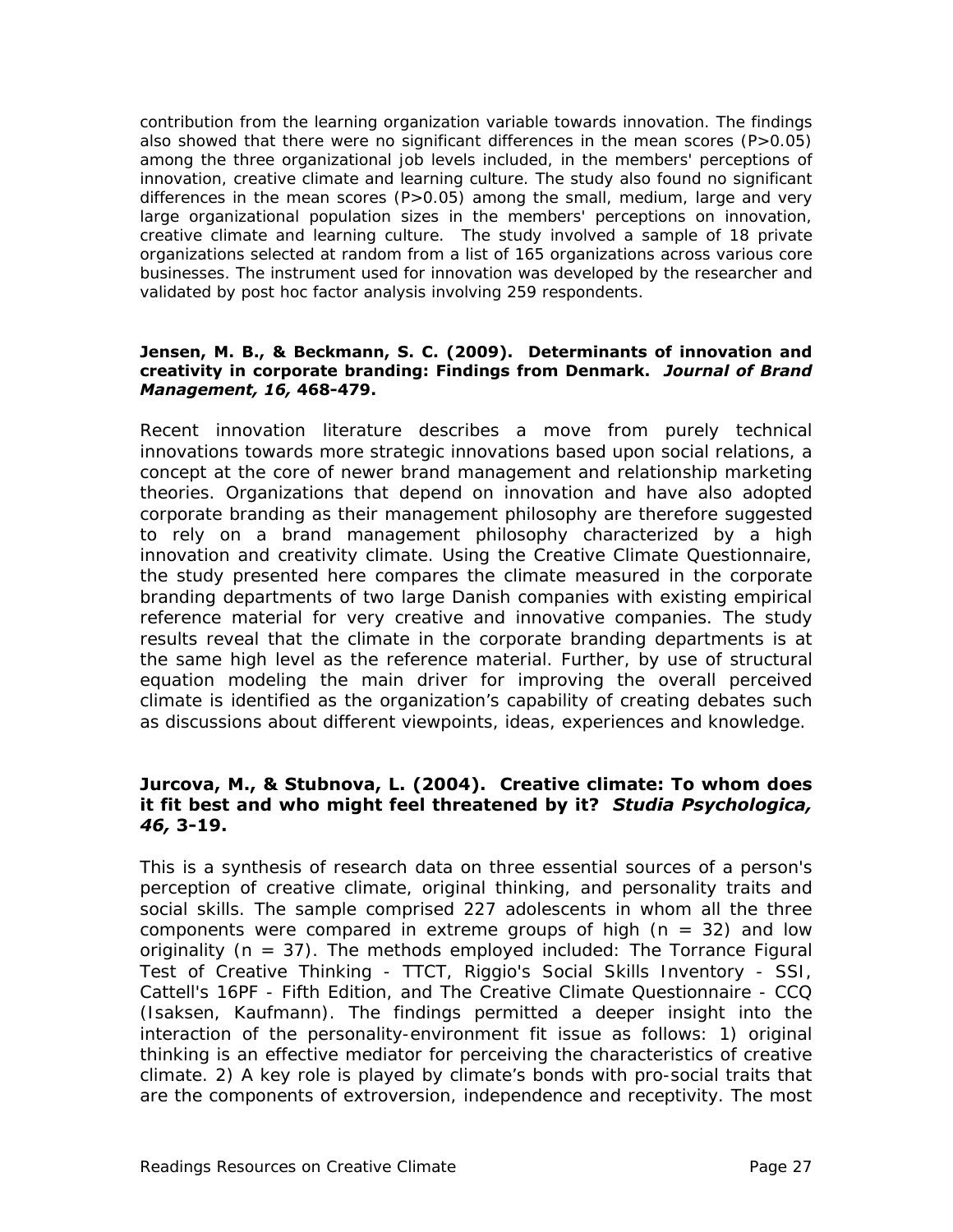contribution from the learning organization variable towards innovation. The findings also showed that there were no significant differences in the mean scores  $(P>0.05)$ among the three organizational job levels included, in the members' perceptions of innovation, creative climate and learning culture. The study also found no significant differences in the mean scores (P>0.05) among the small, medium, large and very large organizational population sizes in the members' perceptions on innovation, creative climate and learning culture. The study involved a sample of 18 private organizations selected at random from a list of 165 organizations across various core businesses. The instrument used for innovation was developed by the researcher and validated by post hoc factor analysis involving 259 respondents.

#### **Jensen, M. B., & Beckmann, S. C. (2009). Determinants of innovation and creativity in corporate branding: Findings from Denmark.** *Journal of Brand Management, 16,* **468-479.**

Recent innovation literature describes a move from purely technical innovations towards more strategic innovations based upon social relations, a concept at the core of newer brand management and relationship marketing theories. Organizations that depend on innovation and have also adopted corporate branding as their management philosophy are therefore suggested to rely on a brand management philosophy characterized by a high innovation and creativity climate. Using the Creative Climate Questionnaire, the study presented here compares the climate measured in the corporate branding departments of two large Danish companies with existing empirical reference material for very creative and innovative companies. The study results reveal that the climate in the corporate branding departments is at the same high level as the reference material. Further, by use of structural equation modeling the main driver for improving the overall perceived climate is identified as the organization's capability of creating debates such as discussions about different viewpoints, ideas, experiences and knowledge.

### **Jurcova, M., & Stubnova, L. (2004). Creative climate: To whom does it fit best and who might feel threatened by it?** *Studia Psychologica, 46,* **3-19.**

This is a synthesis of research data on three essential sources of a person's perception of creative climate, original thinking, and personality traits and social skills. The sample comprised 227 adolescents in whom all the three components were compared in extreme groups of high  $(n = 32)$  and low originality ( $n = 37$ ). The methods employed included: The Torrance Figural Test of Creative Thinking - TTCT, Riggio's Social Skills Inventory - SSI, Cattell's 16PF - Fifth Edition, and The Creative Climate Questionnaire - CCQ (Isaksen, Kaufmann). The findings permitted a deeper insight into the interaction of the personality-environment fit issue as follows: 1) original thinking is an effective mediator for perceiving the characteristics of creative climate. 2) A key role is played by climate's bonds with pro-social traits that are the components of extroversion, independence and receptivity. The most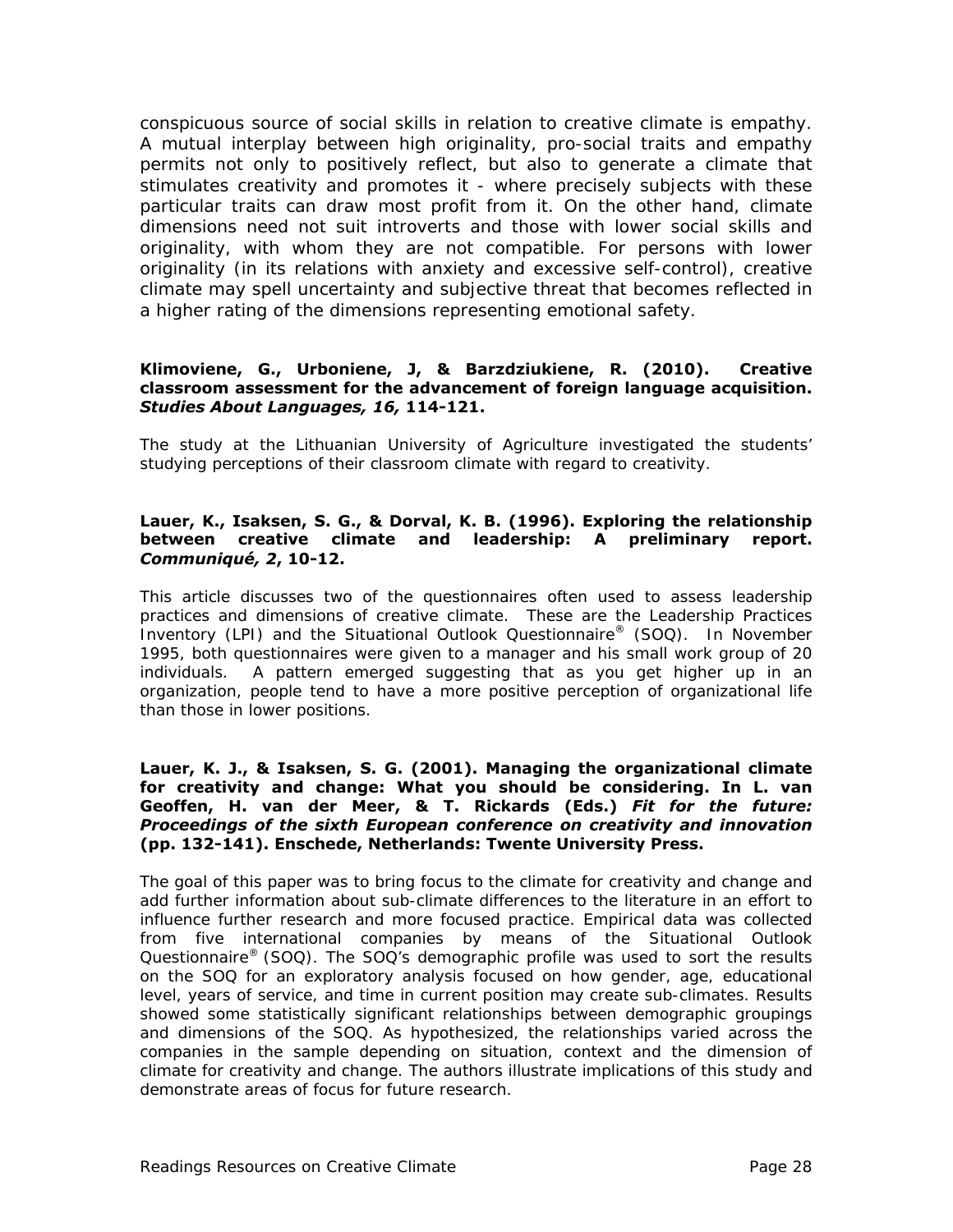conspicuous source of social skills in relation to creative climate is empathy. A mutual interplay between high originality, pro-social traits and empathy permits not only to positively reflect, but also to generate a climate that stimulates creativity and promotes it - where precisely subjects with these particular traits can draw most profit from it. On the other hand, climate dimensions need not suit introverts and those with lower social skills and originality, with whom they are not compatible. For persons with lower originality (in its relations with anxiety and excessive self-control), creative climate may spell uncertainty and subjective threat that becomes reflected in a higher rating of the dimensions representing emotional safety.

#### **Klimoviene, G., Urboniene, J, & Barzdziukiene, R. (2010). Creative classroom assessment for the advancement of foreign language acquisition.**  *Studies About Languages, 16,* **114-121.**

The study at the Lithuanian University of Agriculture investigated the students' studying perceptions of their classroom climate with regard to creativity.

#### **Lauer, K., Isaksen, S. G., & Dorval, K. B. (1996). Exploring the relationship between creative climate and leadership: A preliminary report.**  *Communiqué, 2***, 10-12.**

This article discusses two of the questionnaires often used to assess leadership practices and dimensions of creative climate. These are the Leadership Practices Inventory (LPI) and the Situational Outlook Questionnaire® (SOQ). In November 1995, both questionnaires were given to a manager and his small work group of 20 individuals. A pattern emerged suggesting that as you get higher up in an organization, people tend to have a more positive perception of organizational life than those in lower positions.

#### **Lauer, K. J., & Isaksen, S. G. (2001). Managing the organizational climate for creativity and change: What you should be considering. In L. van Geoffen, H. van der Meer, & T. Rickards (Eds.)** *Fit for the future: Proceedings of the sixth European conference on creativity and innovation* **(pp. 132-141). Enschede, Netherlands: Twente University Press.**

The goal of this paper was to bring focus to the climate for creativity and change and add further information about sub-climate differences to the literature in an effort to influence further research and more focused practice. Empirical data was collected from five international companies by means of the Situational Outlook Questionnaire® (SOQ). The SOQ's demographic profile was used to sort the results on the SOQ for an exploratory analysis focused on how gender, age, educational level, years of service, and time in current position may create sub-climates. Results showed some statistically significant relationships between demographic groupings and dimensions of the SOQ. As hypothesized, the relationships varied across the companies in the sample depending on situation, context and the dimension of climate for creativity and change. The authors illustrate implications of this study and demonstrate areas of focus for future research.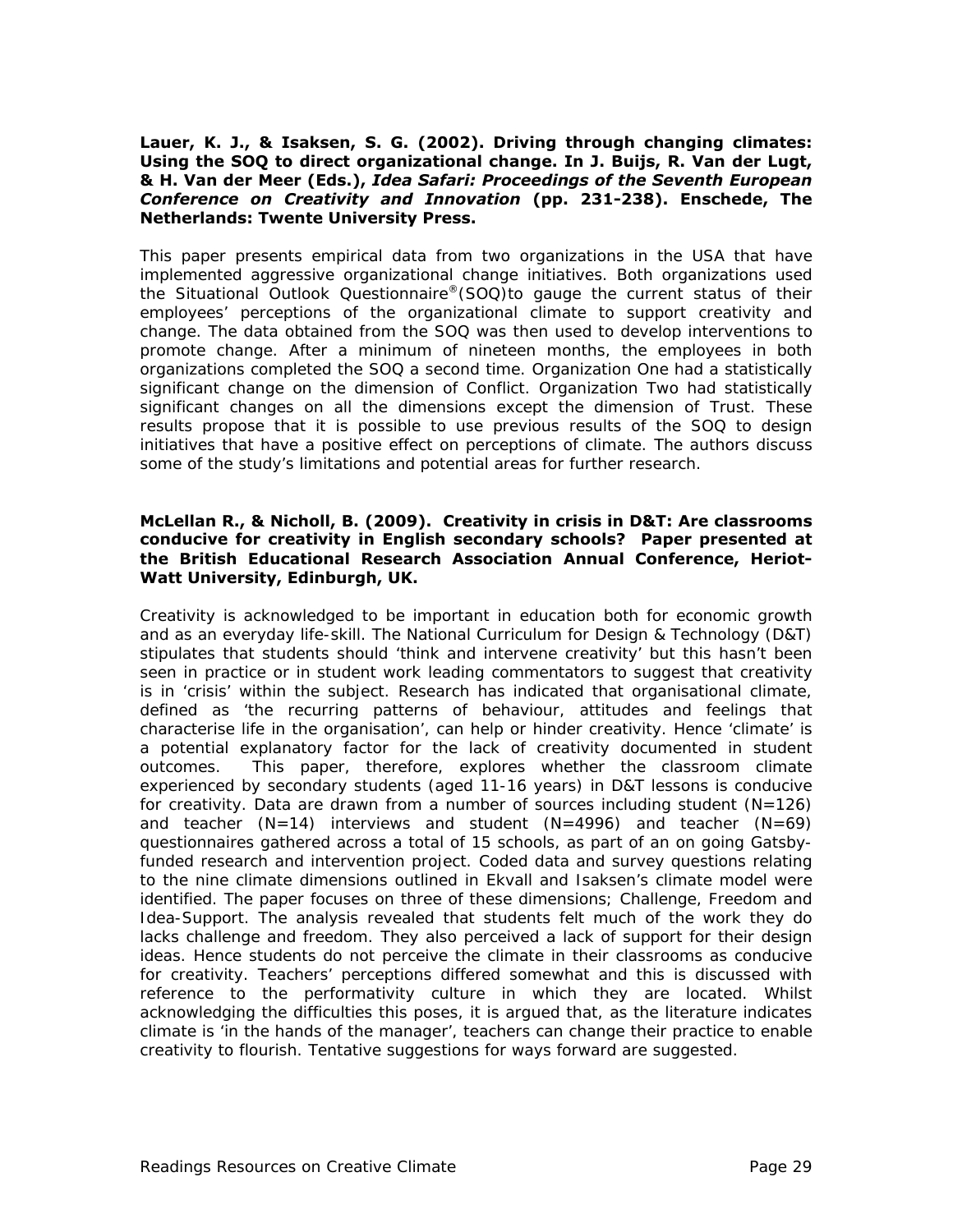#### **Lauer, K. J., & Isaksen, S. G. (2002). Driving through changing climates: Using the SOQ to direct organizational change. In J. Buijs, R. Van der Lugt, & H. Van der Meer (Eds.),** *Idea Safari: Proceedings of the Seventh European Conference on Creativity and Innovation* **(pp. 231-238). Enschede, The Netherlands: Twente University Press.**

This paper presents empirical data from two organizations in the USA that have implemented aggressive organizational change initiatives. Both organizations used the Situational Outlook Questionnaire®(SOQ)to gauge the current status of their employees' perceptions of the organizational climate to support creativity and change. The data obtained from the SOQ was then used to develop interventions to promote change. After a minimum of nineteen months, the employees in both organizations completed the SOQ a second time. Organization One had a statistically significant change on the dimension of Conflict. Organization Two had statistically significant changes on all the dimensions except the dimension of Trust. These results propose that it is possible to use previous results of the SOQ to design initiatives that have a positive effect on perceptions of climate. The authors discuss some of the study's limitations and potential areas for further research.

#### **McLellan R., & Nicholl, B. (2009). Creativity in crisis in D&T: Are classrooms conducive for creativity in English secondary schools? Paper presented at the British Educational Research Association Annual Conference, Heriot-Watt University, Edinburgh, UK.**

Creativity is acknowledged to be important in education both for economic growth and as an everyday life-skill. The National Curriculum for Design & Technology (D&T) stipulates that students should 'think and intervene creativity' but this hasn't been seen in practice or in student work leading commentators to suggest that creativity is in 'crisis' within the subject. Research has indicated that organisational climate, defined as 'the recurring patterns of behaviour, attitudes and feelings that characterise life in the organisation', can help or hinder creativity. Hence 'climate' is a potential explanatory factor for the lack of creativity documented in student outcomes. This paper, therefore, explores whether the classroom climate experienced by secondary students (aged 11-16 years) in D&T lessons is conducive for creativity. Data are drawn from a number of sources including student  $(N=126)$ and teacher  $(N=14)$  interviews and student  $(N=4996)$  and teacher  $(N=69)$ questionnaires gathered across a total of 15 schools, as part of an on going Gatsbyfunded research and intervention project. Coded data and survey questions relating to the nine climate dimensions outlined in Ekvall and Isaksen's climate model were identified. The paper focuses on three of these dimensions; Challenge, Freedom and Idea-Support. The analysis revealed that students felt much of the work they do lacks challenge and freedom. They also perceived a lack of support for their design ideas. Hence students do not perceive the climate in their classrooms as conducive for creativity. Teachers' perceptions differed somewhat and this is discussed with reference to the performativity culture in which they are located. Whilst acknowledging the difficulties this poses, it is argued that, as the literature indicates climate is 'in the hands of the manager', teachers can change their practice to enable creativity to flourish. Tentative suggestions for ways forward are suggested.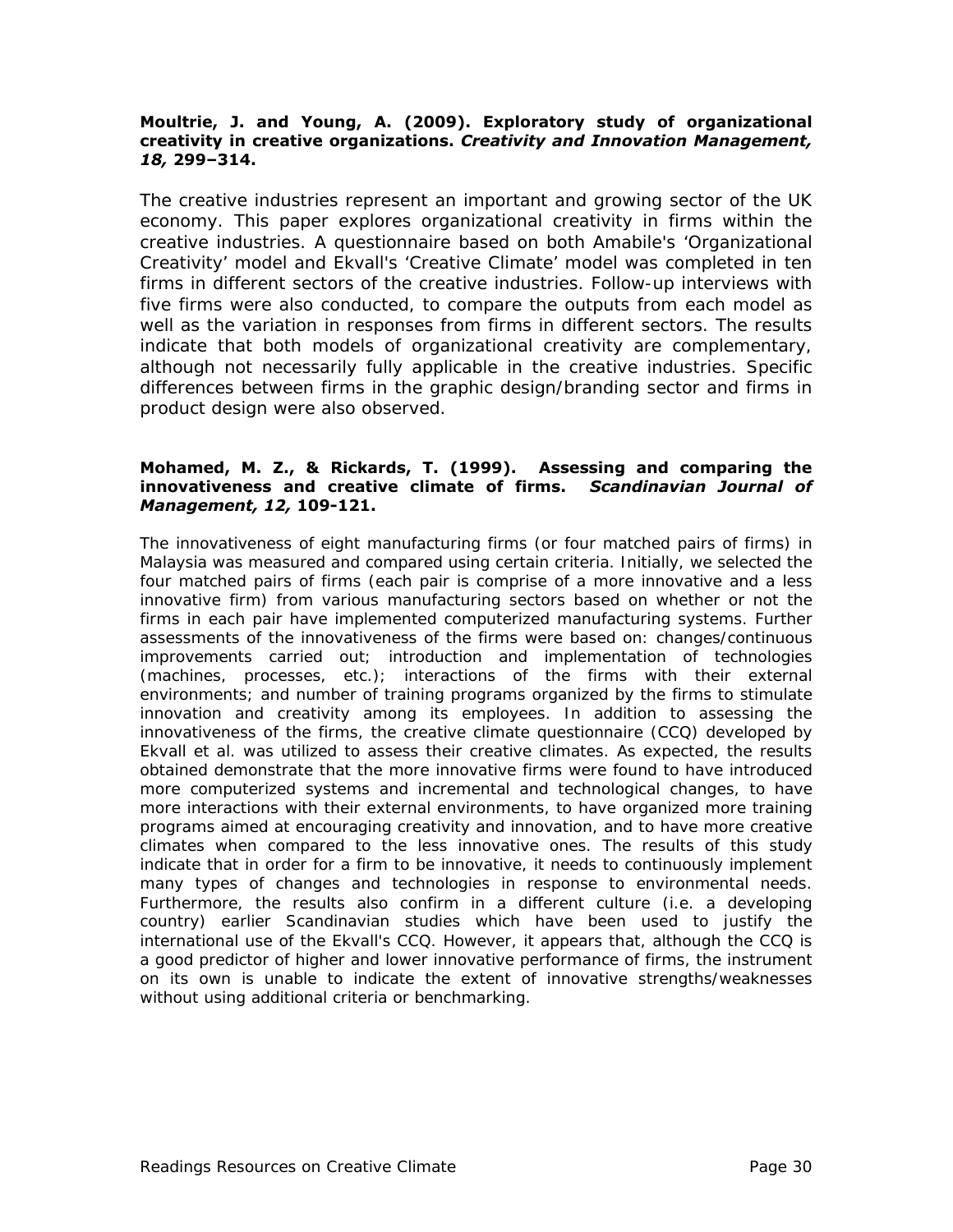#### **Moultrie, J. and Young, A. (2009). Exploratory study of organizational creativity in creative organizations.** *Creativity and Innovation Management, 18,* **299–314.**

The creative industries represent an important and growing sector of the UK economy. This paper explores organizational creativity in firms within the creative industries. A questionnaire based on both Amabile's 'Organizational Creativity' model and Ekvall's 'Creative Climate' model was completed in ten firms in different sectors of the creative industries. Follow-up interviews with five firms were also conducted, to compare the outputs from each model as well as the variation in responses from firms in different sectors. The results indicate that both models of organizational creativity are complementary, although not necessarily fully applicable in the creative industries. Specific differences between firms in the graphic design/branding sector and firms in product design were also observed.

#### **Mohamed, M. Z., & Rickards, T. (1999). Assessing and comparing the innovativeness and creative climate of firms.** *Scandinavian Journal of Management, 12,* **109-121.**

The innovativeness of eight manufacturing firms (or four matched pairs of firms) in Malaysia was measured and compared using certain criteria. Initially, we selected the four matched pairs of firms (each pair is comprise of a more innovative and a less innovative firm) from various manufacturing sectors based on whether or not the firms in each pair have implemented computerized manufacturing systems. Further assessments of the innovativeness of the firms were based on: changes/continuous improvements carried out; introduction and implementation of technologies (machines, processes, etc.); interactions of the firms with their external environments; and number of training programs organized by the firms to stimulate innovation and creativity among its employees. In addition to assessing the innovativeness of the firms, the creative climate questionnaire (CCQ) developed by Ekvall et al. was utilized to assess their creative climates. As expected, the results obtained demonstrate that the more innovative firms were found to have introduced more computerized systems and incremental and technological changes, to have more interactions with their external environments, to have organized more training programs aimed at encouraging creativity and innovation, and to have more creative climates when compared to the less innovative ones. The results of this study indicate that in order for a firm to be innovative, it needs to continuously implement many types of changes and technologies in response to environmental needs. Furthermore, the results also confirm in a different culture (i.e. a developing country) earlier Scandinavian studies which have been used to justify the international use of the Ekvall's CCQ. However, it appears that, although the CCQ is a good predictor of higher and lower innovative performance of firms, the instrument on its own is unable to indicate the extent of innovative strengths/weaknesses without using additional criteria or benchmarking.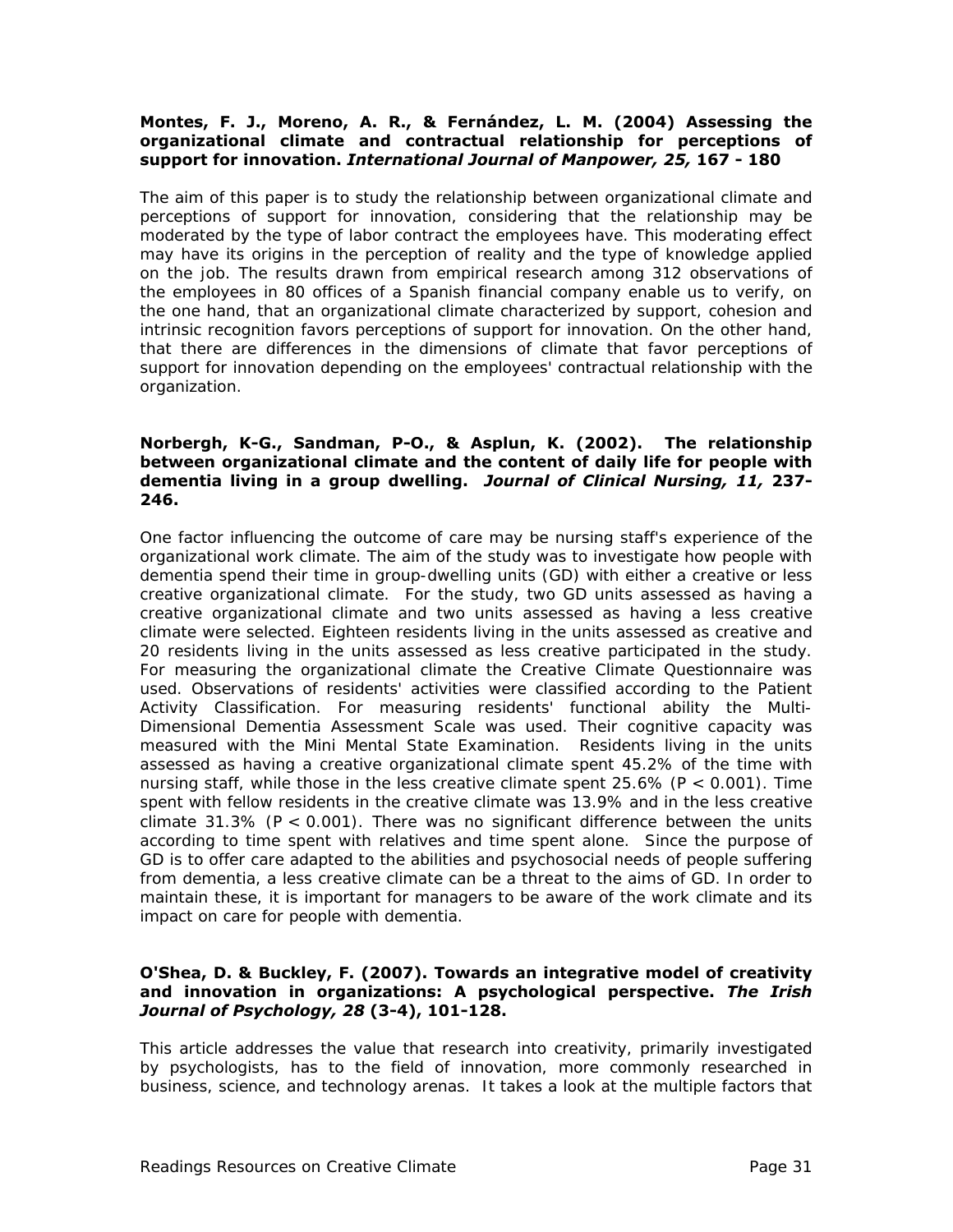#### **Montes, F. J., Moreno, A. R., & Fernández, L. M. (2004) Assessing the organizational climate and contractual relationship for perceptions of support for innovation.** *International Journal of Manpower, 25,* **167 - 180**

The aim of this paper is to study the relationship between organizational climate and perceptions of support for innovation, considering that the relationship may be moderated by the type of labor contract the employees have. This moderating effect may have its origins in the perception of reality and the type of knowledge applied on the job. The results drawn from empirical research among 312 observations of the employees in 80 offices of a Spanish financial company enable us to verify, on the one hand, that an organizational climate characterized by support, cohesion and intrinsic recognition favors perceptions of support for innovation. On the other hand, that there are differences in the dimensions of climate that favor perceptions of support for innovation depending on the employees' contractual relationship with the organization.

#### **Norbergh, K-G., Sandman, P-O., & Asplun, K. (2002). The relationship between organizational climate and the content of daily life for people with dementia living in a group dwelling.** *Journal of Clinical Nursing, 11,* **237- 246.**

One factor influencing the outcome of care may be nursing staff's experience of the organizational work climate. The aim of the study was to investigate how people with dementia spend their time in group-dwelling units (GD) with either a creative or less creative organizational climate. For the study, two GD units assessed as having a creative organizational climate and two units assessed as having a less creative climate were selected. Eighteen residents living in the units assessed as creative and 20 residents living in the units assessed as less creative participated in the study. For measuring the organizational climate the Creative Climate Questionnaire was used. Observations of residents' activities were classified according to the Patient Activity Classification. For measuring residents' functional ability the Multi-Dimensional Dementia Assessment Scale was used. Their cognitive capacity was measured with the Mini Mental State Examination. Residents living in the units assessed as having a creative organizational climate spent 45.2% of the time with nursing staff, while those in the less creative climate spent 25.6% (*P* < 0.001). Time spent with fellow residents in the creative climate was 13.9% and in the less creative climate 31.3% ( $P < 0.001$ ). There was no significant difference between the units according to time spent with relatives and time spent alone. Since the purpose of GD is to offer care adapted to the abilities and psychosocial needs of people suffering from dementia, a less creative climate can be a threat to the aims of GD. In order to maintain these, it is important for managers to be aware of the work climate and its impact on care for people with dementia.

#### **O'Shea, D. & Buckley, F. (2007). Towards an integrative model of creativity and innovation in organizations: A psychological perspective.** *The Irish Journal of Psychology, 28* **(3-4), 101-128.**

This article addresses the value that research into creativity, primarily investigated by psychologists, has to the field of innovation, more commonly researched in business, science, and technology arenas. It takes a look at the multiple factors that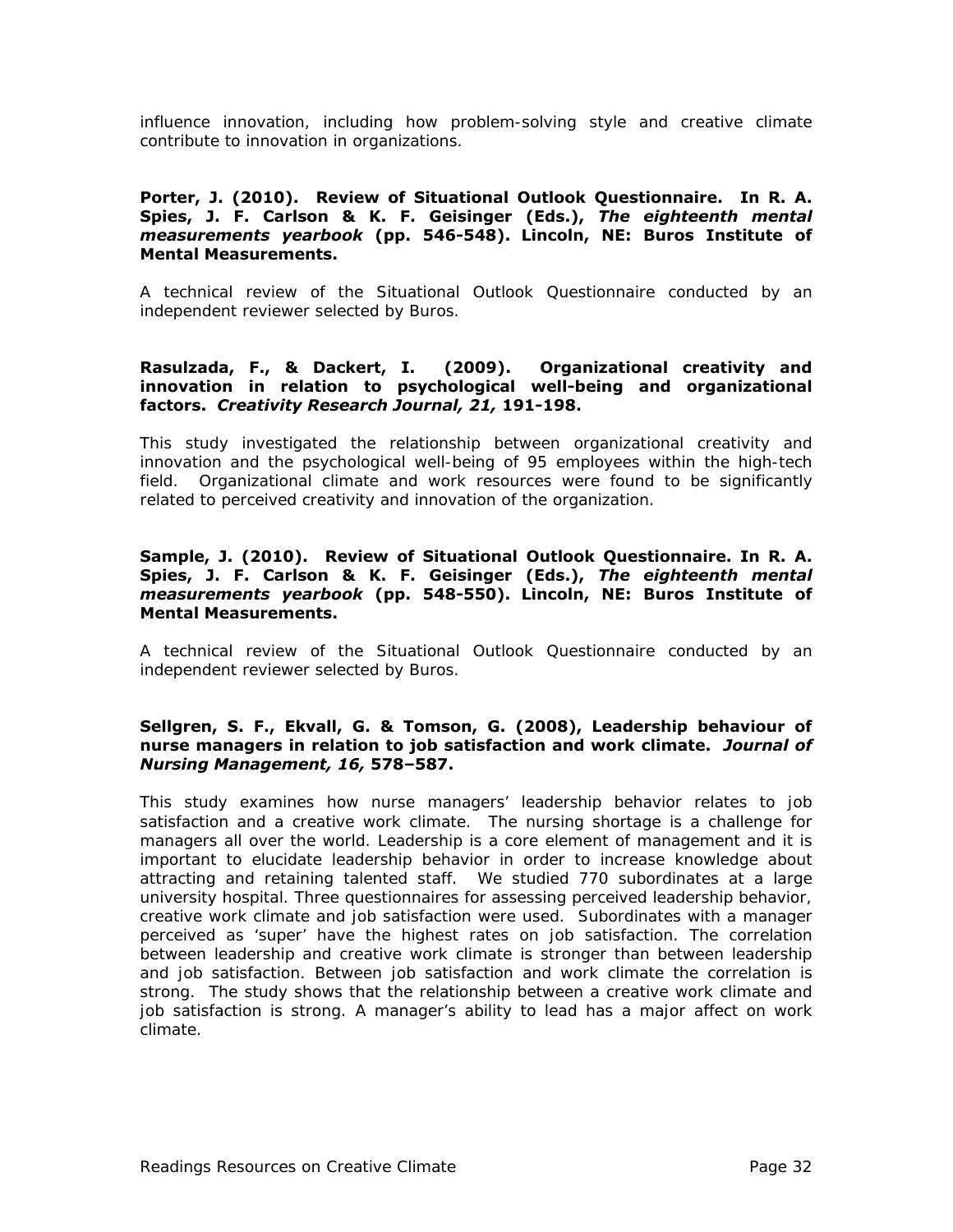influence innovation, including how problem-solving style and creative climate contribute to innovation in organizations.

#### **Porter, J. (2010). Review of Situational Outlook Questionnaire. In R. A. Spies, J. F. Carlson & K. F. Geisinger (Eds.),** *The eighteenth mental measurements yearbook* **(pp. 546-548). Lincoln, NE: Buros Institute of Mental Measurements.**

A technical review of the Situational Outlook Questionnaire conducted by an independent reviewer selected by Buros.

#### **Rasulzada, F., & Dackert, I. (2009). Organizational creativity and innovation in relation to psychological well-being and organizational factors.** *Creativity Research Journal, 21,* **191-198.**

This study investigated the relationship between organizational creativity and innovation and the psychological well-being of 95 employees within the high-tech field. Organizational climate and work resources were found to be significantly related to perceived creativity and innovation of the organization.

#### **Sample, J. (2010). Review of Situational Outlook Questionnaire. In R. A. Spies, J. F. Carlson & K. F. Geisinger (Eds.),** *The eighteenth mental measurements yearbook* **(pp. 548-550). Lincoln, NE: Buros Institute of Mental Measurements.**

A technical review of the Situational Outlook Questionnaire conducted by an independent reviewer selected by Buros.

#### **Sellgren, S. F., Ekvall, G. & Tomson, G. (2008), Leadership behaviour of nurse managers in relation to job satisfaction and work climate.** *Journal of Nursing Management, 16,* **578–587.**

This study examines how nurse managers' leadership behavior relates to job satisfaction and a creative work climate. The nursing shortage is a challenge for managers all over the world. Leadership is a core element of management and it is important to elucidate leadership behavior in order to increase knowledge about attracting and retaining talented staff. We studied 770 subordinates at a large university hospital. Three questionnaires for assessing perceived leadership behavior, creative work climate and job satisfaction were used. Subordinates with a manager perceived as 'super' have the highest rates on job satisfaction. The correlation between leadership and creative work climate is stronger than between leadership and job satisfaction. Between job satisfaction and work climate the correlation is strong. The study shows that the relationship between a creative work climate and job satisfaction is strong. A manager's ability to lead has a major affect on work climate.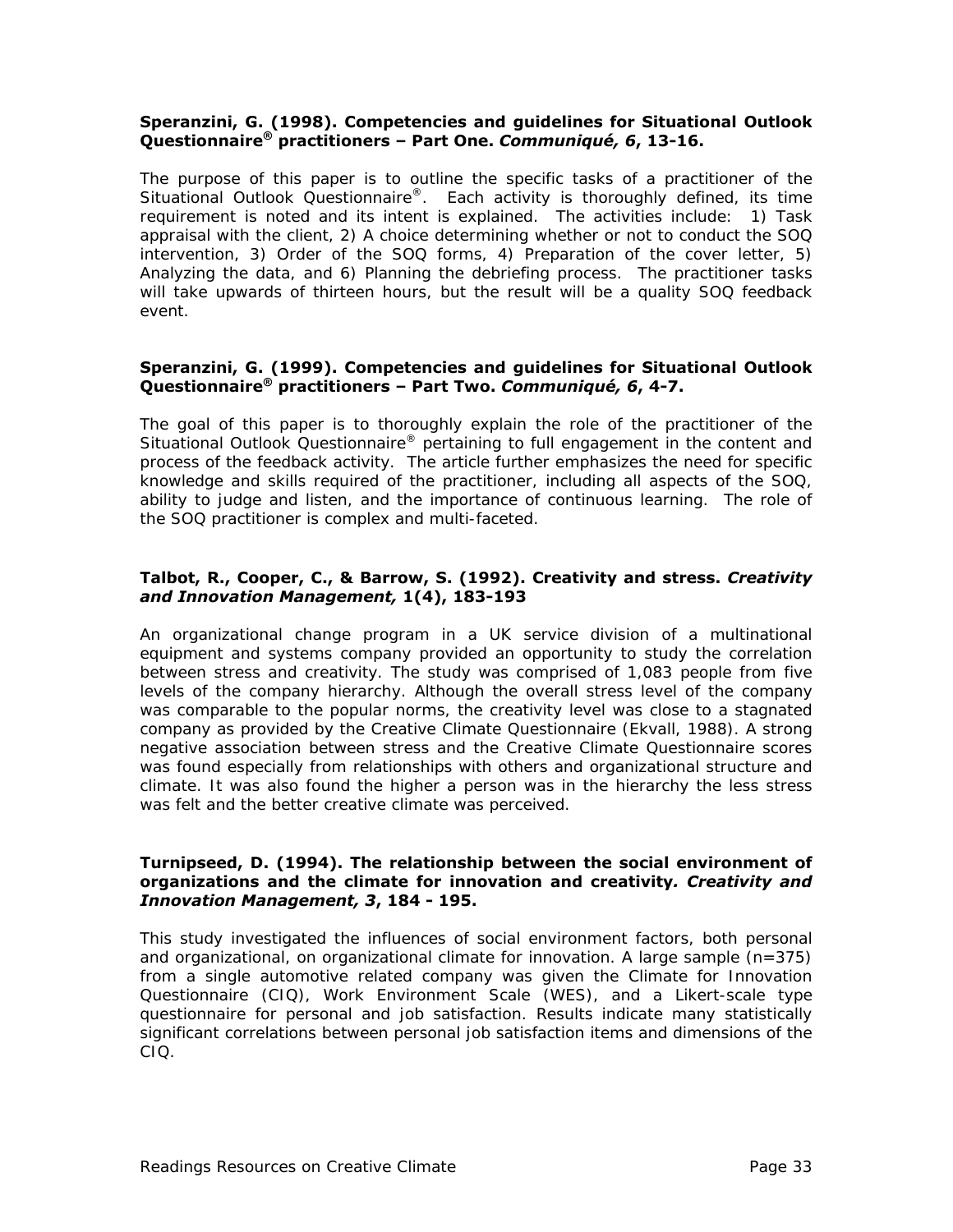#### **Speranzini, G. (1998). Competencies and guidelines for Situational Outlook Questionnaire® practitioners – Part One.** *Communiqué, 6***, 13-16.**

The purpose of this paper is to outline the specific tasks of a practitioner of the Situational Outlook Questionnaire®. Each activity is thoroughly defined, its time requirement is noted and its intent is explained. The activities include: 1) Task appraisal with the client, 2) A choice determining whether or not to conduct the SOQ intervention, 3) Order of the SOQ forms, 4) Preparation of the cover letter, 5) Analyzing the data, and 6) Planning the debriefing process. The practitioner tasks will take upwards of thirteen hours, but the result will be a quality SOQ feedback event.

#### **Speranzini, G. (1999). Competencies and guidelines for Situational Outlook Questionnaire® practitioners – Part Two.** *Communiqué, 6***, 4-7.**

The goal of this paper is to thoroughly explain the role of the practitioner of the Situational Outlook Questionnaire® pertaining to full engagement in the content and process of the feedback activity. The article further emphasizes the need for specific knowledge and skills required of the practitioner, including all aspects of the SOQ, ability to judge and listen, and the importance of continuous learning. The role of the SOQ practitioner is complex and multi-faceted.

#### **Talbot, R., Cooper, C., & Barrow, S. (1992). Creativity and stress.** *Creativity and Innovation Management,* **1(4), 183-193**

An organizational change program in a UK service division of a multinational equipment and systems company provided an opportunity to study the correlation between stress and creativity. The study was comprised of 1,083 people from five levels of the company hierarchy. Although the overall stress level of the company was comparable to the popular norms, the creativity level was close to a stagnated company as provided by the Creative Climate Questionnaire (Ekvall, 1988). A strong negative association between stress and the Creative Climate Questionnaire scores was found especially from relationships with others and organizational structure and climate. It was also found the higher a person was in the hierarchy the less stress was felt and the better creative climate was perceived.

#### **Turnipseed, D. (1994). The relationship between the social environment of organizations and the climate for innovation and creativity***. Creativity and Innovation Management, 3***, 184 - 195.**

This study investigated the influences of social environment factors, both personal and organizational, on organizational climate for innovation. A large sample (n=375) from a single automotive related company was given the Climate for Innovation Questionnaire (CIQ), Work Environment Scale (WES), and a Likert-scale type questionnaire for personal and job satisfaction. Results indicate many statistically significant correlations between personal job satisfaction items and dimensions of the CIQ.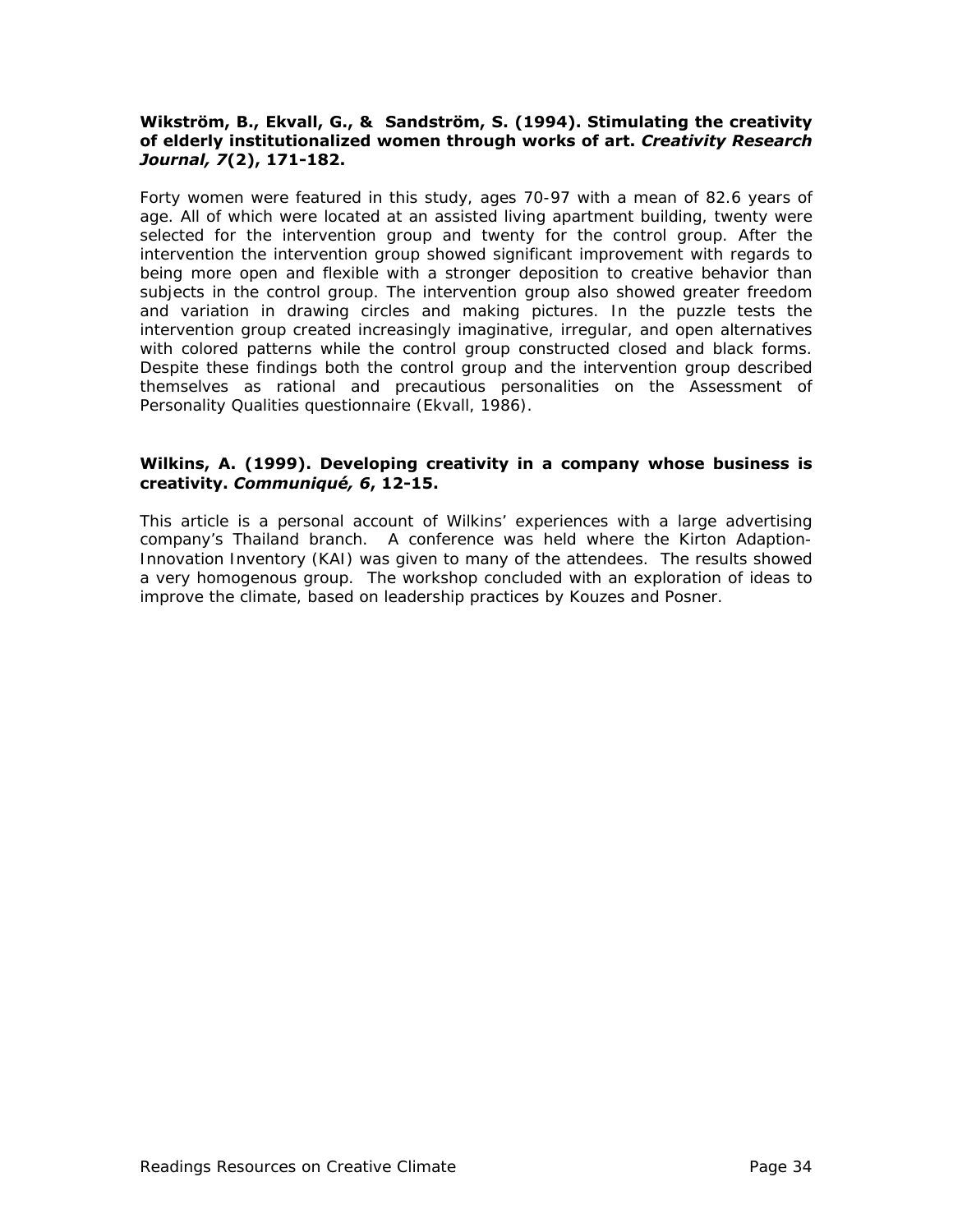#### **Wikström, B., Ekvall, G., & Sandström, S. (1994). Stimulating the creativity of elderly institutionalized women through works of art.** *Creativity Research Journal, 7***(2), 171-182.**

Forty women were featured in this study, ages 70-97 with a mean of 82.6 years of age. All of which were located at an assisted living apartment building, twenty were selected for the intervention group and twenty for the control group. After the intervention the intervention group showed significant improvement with regards to being more open and flexible with a stronger deposition to creative behavior than subjects in the control group. The intervention group also showed greater freedom and variation in drawing circles and making pictures. In the puzzle tests the intervention group created increasingly imaginative, irregular, and open alternatives with colored patterns while the control group constructed closed and black forms. Despite these findings both the control group and the intervention group described themselves as rational and precautious personalities on the Assessment of Personality Qualities questionnaire (Ekvall, 1986).

#### **Wilkins, A. (1999). Developing creativity in a company whose business is creativity.** *Communiqué, 6***, 12-15.**

This article is a personal account of Wilkins' experiences with a large advertising company's Thailand branch. A conference was held where the Kirton Adaption-Innovation Inventory (KAI) was given to many of the attendees. The results showed a very homogenous group. The workshop concluded with an exploration of ideas to improve the climate, based on leadership practices by Kouzes and Posner.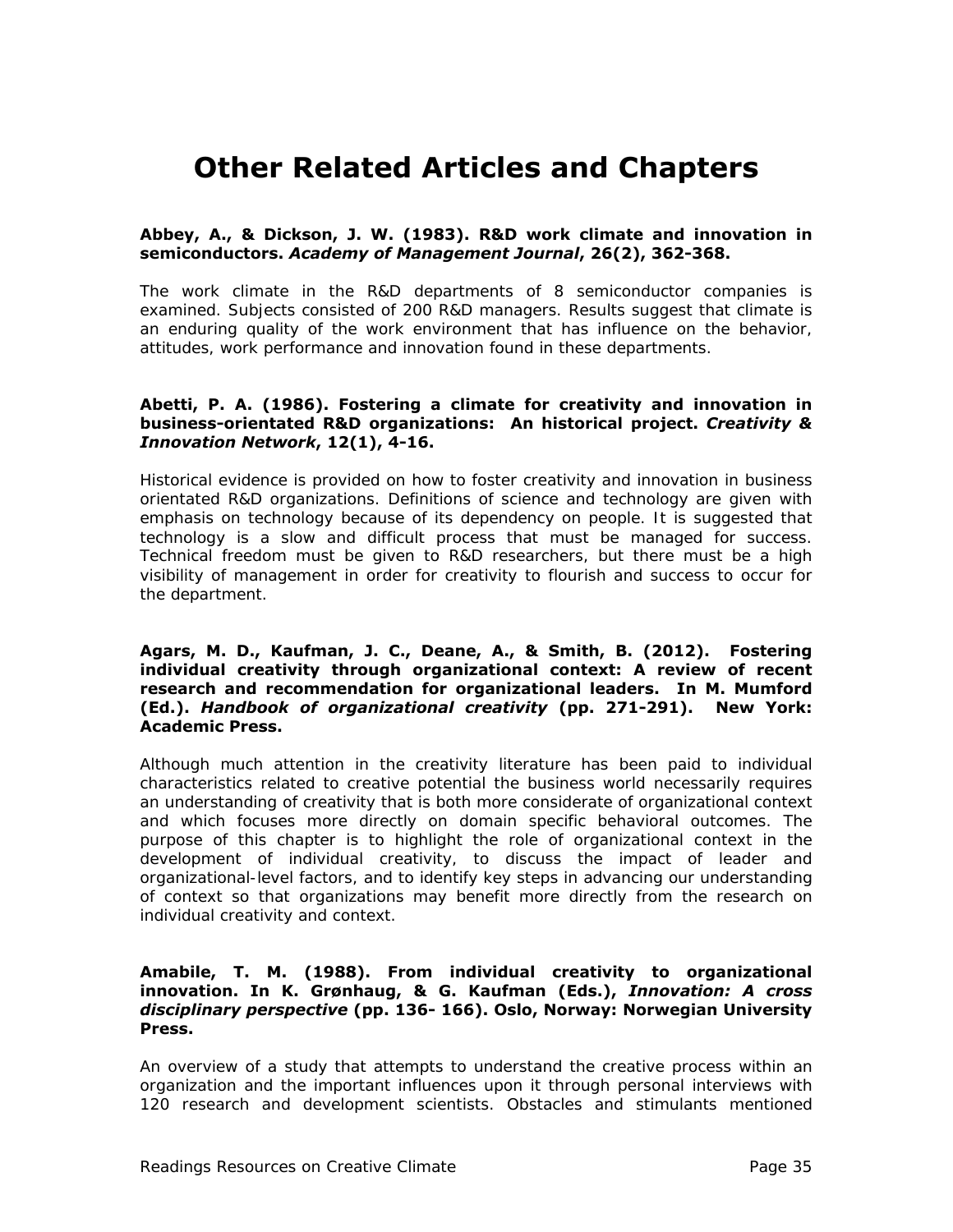# **Other Related Articles and Chapters**

#### **Abbey, A., & Dickson, J. W. (1983). R&D work climate and innovation in semiconductors.** *Academy of Management Journal***, 26(2), 362-368.**

The work climate in the R&D departments of 8 semiconductor companies is examined. Subjects consisted of 200 R&D managers. Results suggest that climate is an enduring quality of the work environment that has influence on the behavior, attitudes, work performance and innovation found in these departments.

#### **Abetti, P. A. (1986). Fostering a climate for creativity and innovation in business-orientated R&D organizations: An historical project.** *Creativity & Innovation Network***, 12(1), 4-16.**

Historical evidence is provided on how to foster creativity and innovation in business orientated R&D organizations. Definitions of science and technology are given with emphasis on technology because of its dependency on people. It is suggested that technology is a slow and difficult process that must be managed for success. Technical freedom must be given to R&D researchers, but there must be a high visibility of management in order for creativity to flourish and success to occur for the department.

#### **Agars, M. D., Kaufman, J. C., Deane, A., & Smith, B. (2012). Fostering individual creativity through organizational context: A review of recent research and recommendation for organizational leaders. In M. Mumford (Ed.).** *Handbook of organizational creativity* **(pp. 271-291). New York: Academic Press.**

Although much attention in the creativity literature has been paid to individual characteristics related to creative potential the business world necessarily requires an understanding of creativity that is both more considerate of organizational context and which focuses more directly on domain specific behavioral outcomes. The purpose of this chapter is to highlight the role of organizational context in the development of individual creativity, to discuss the impact of leader and organizational-level factors, and to identify key steps in advancing our understanding of context so that organizations may benefit more directly from the research on individual creativity and context.

#### **Amabile, T. M. (1988). From individual creativity to organizational innovation. In K. Grønhaug, & G. Kaufman (Eds.),** *Innovation: A cross disciplinary perspective* **(pp. 136- 166). Oslo, Norway: Norwegian University Press.**

An overview of a study that attempts to understand the creative process within an organization and the important influences upon it through personal interviews with 120 research and development scientists. Obstacles and stimulants mentioned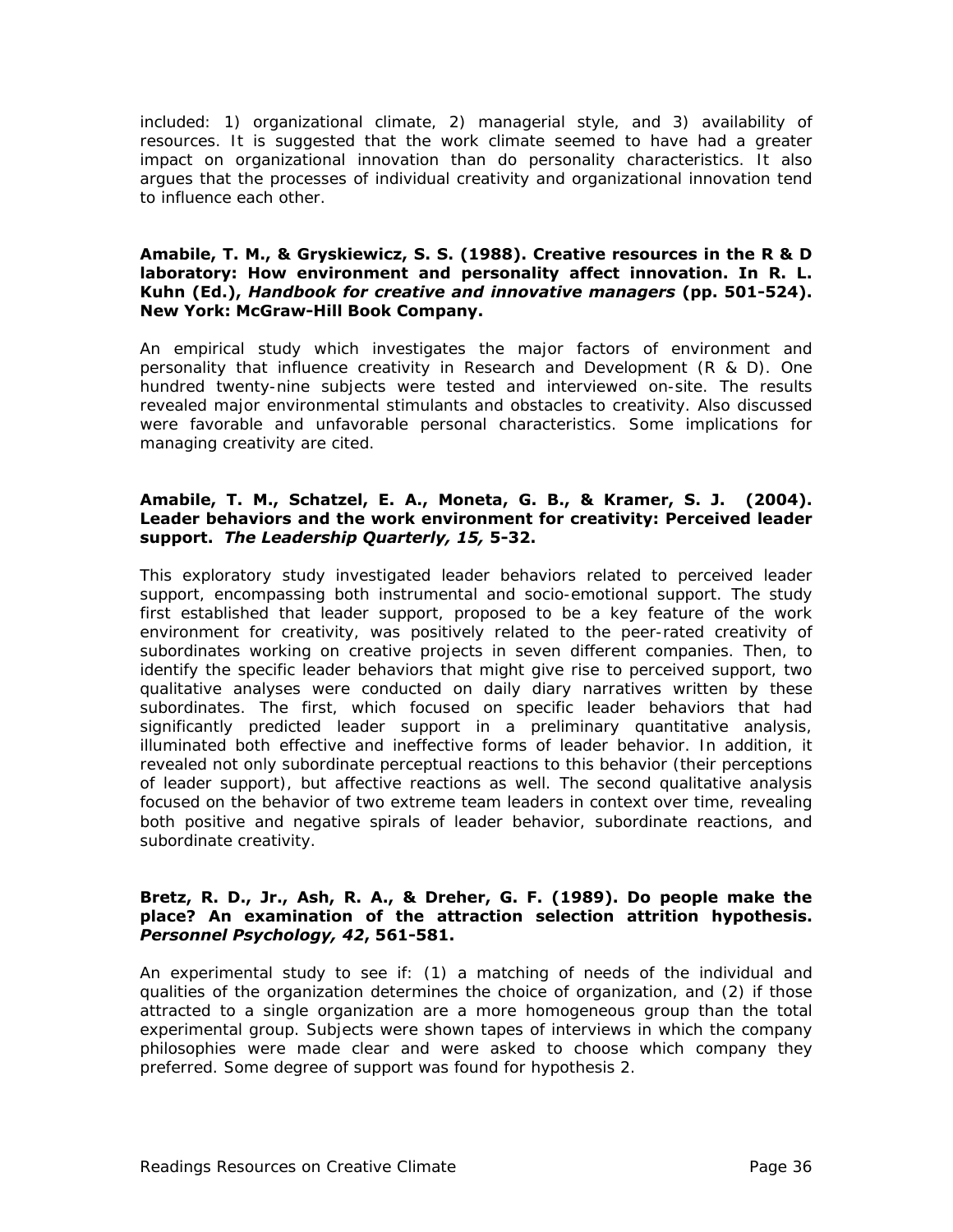included: 1) organizational climate, 2) managerial style, and 3) availability of resources. It is suggested that the work climate seemed to have had a greater impact on organizational innovation than do personality characteristics. It also argues that the processes of individual creativity and organizational innovation tend to influence each other.

#### **Amabile, T. M., & Gryskiewicz, S. S. (1988). Creative resources in the R & D laboratory: How environment and personality affect innovation. In R. L. Kuhn (Ed.),** *Handbook for creative and innovative managers* **(pp. 501-524). New York: McGraw-Hill Book Company.**

An empirical study which investigates the major factors of environment and personality that influence creativity in Research and Development (R & D). One hundred twenty-nine subjects were tested and interviewed on-site. The results revealed major environmental stimulants and obstacles to creativity. Also discussed were favorable and unfavorable personal characteristics. Some implications for managing creativity are cited.

#### **Amabile, T. M., Schatzel, E. A., Moneta, G. B., & Kramer, S. J. (2004). Leader behaviors and the work environment for creativity: Perceived leader support.** *The Leadership Quarterly, 15,* **5-32.**

This exploratory study investigated leader behaviors related to perceived leader support, encompassing both instrumental and socio-emotional support. The study first established that leader support, proposed to be a key feature of the work environment for creativity, was positively related to the peer-rated creativity of subordinates working on creative projects in seven different companies. Then, to identify the specific leader behaviors that might give rise to perceived support, two qualitative analyses were conducted on daily diary narratives written by these subordinates. The first, which focused on specific leader behaviors that had significantly predicted leader support in a preliminary quantitative analysis, illuminated both effective and ineffective forms of leader behavior. In addition, it revealed not only subordinate perceptual reactions to this behavior (their perceptions of leader support), but affective reactions as well. The second qualitative analysis focused on the behavior of two extreme team leaders in context over time, revealing both positive and negative spirals of leader behavior, subordinate reactions, and subordinate creativity.

#### **Bretz, R. D., Jr., Ash, R. A., & Dreher, G. F. (1989). Do people make the place? An examination of the attraction selection attrition hypothesis.**  *Personnel Psychology, 42***, 561-581.**

An experimental study to see if: (1) a matching of needs of the individual and qualities of the organization determines the choice of organization, and (2) if those attracted to a single organization are a more homogeneous group than the total experimental group. Subjects were shown tapes of interviews in which the company philosophies were made clear and were asked to choose which company they preferred. Some degree of support was found for hypothesis 2.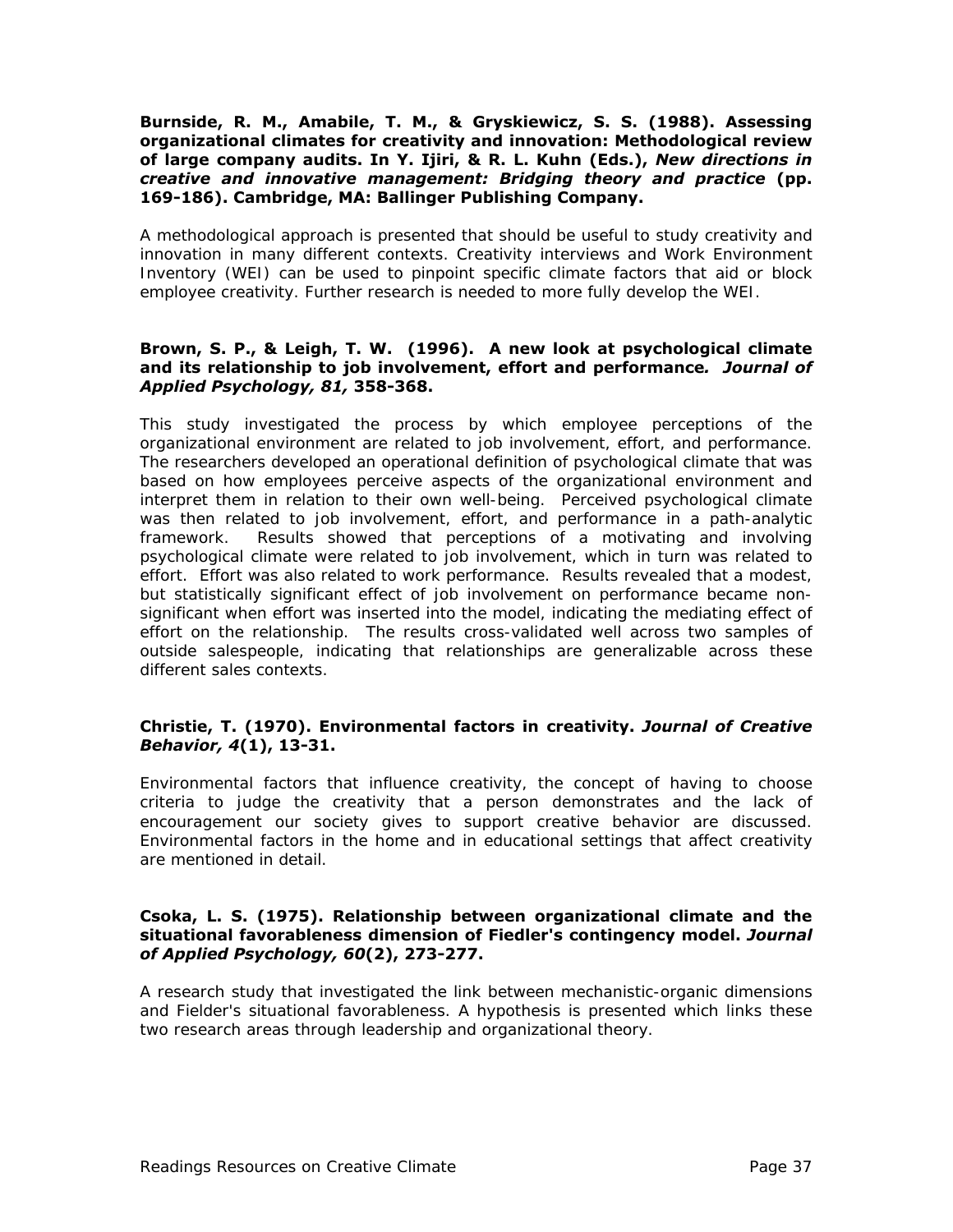#### **Burnside, R. M., Amabile, T. M., & Gryskiewicz, S. S. (1988). Assessing organizational climates for creativity and innovation: Methodological review of large company audits. In Y. Ijiri, & R. L. Kuhn (Eds.),** *New directions in creative and innovative management: Bridging theory and practice* **(pp. 169-186). Cambridge, MA: Ballinger Publishing Company.**

A methodological approach is presented that should be useful to study creativity and innovation in many different contexts. Creativity interviews and Work Environment Inventory (WEI) can be used to pinpoint specific climate factors that aid or block employee creativity. Further research is needed to more fully develop the WEI.

#### **Brown, S. P., & Leigh, T. W. (1996). A new look at psychological climate and its relationship to job involvement, effort and performance***. Journal of Applied Psychology, 81,* **358-368.**

This study investigated the process by which employee perceptions of the organizational environment are related to job involvement, effort, and performance. The researchers developed an operational definition of psychological climate that was based on how employees perceive aspects of the organizational environment and interpret them in relation to their own well-being. Perceived psychological climate was then related to job involvement, effort, and performance in a path-analytic framework. Results showed that perceptions of a motivating and involving psychological climate were related to job involvement, which in turn was related to effort. Effort was also related to work performance. Results revealed that a modest, but statistically significant effect of job involvement on performance became nonsignificant when effort was inserted into the model, indicating the mediating effect of effort on the relationship. The results cross-validated well across two samples of outside salespeople, indicating that relationships are generalizable across these different sales contexts.

#### **Christie, T. (1970). Environmental factors in creativity.** *Journal of Creative Behavior, 4***(1), 13-31.**

Environmental factors that influence creativity, the concept of having to choose criteria to judge the creativity that a person demonstrates and the lack of encouragement our society gives to support creative behavior are discussed. Environmental factors in the home and in educational settings that affect creativity are mentioned in detail.

#### **Csoka, L. S. (1975). Relationship between organizational climate and the situational favorableness dimension of Fiedler's contingency model.** *Journal of Applied Psychology, 60***(2), 273-277.**

A research study that investigated the link between mechanistic-organic dimensions and Fielder's situational favorableness. A hypothesis is presented which links these two research areas through leadership and organizational theory.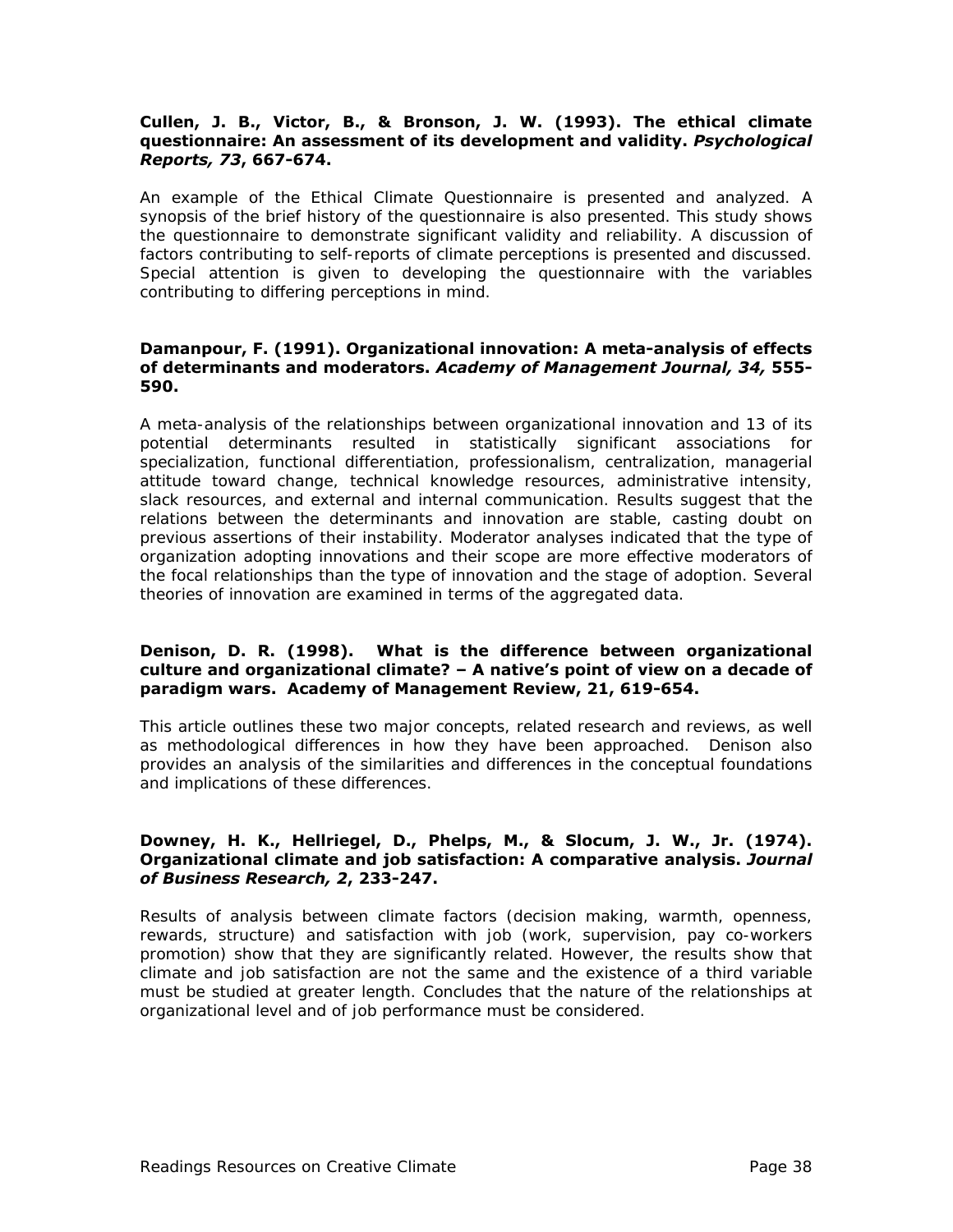#### **Cullen, J. B., Victor, B., & Bronson, J. W. (1993). The ethical climate questionnaire: An assessment of its development and validity.** *Psychological Reports, 73***, 667-674.**

An example of the Ethical Climate Questionnaire is presented and analyzed. A synopsis of the brief history of the questionnaire is also presented. This study shows the questionnaire to demonstrate significant validity and reliability. A discussion of factors contributing to self-reports of climate perceptions is presented and discussed. Special attention is given to developing the questionnaire with the variables contributing to differing perceptions in mind.

#### **Damanpour, F. (1991). Organizational innovation: A meta-analysis of effects of determinants and moderators.** *Academy of Management Journal, 34,* **555- 590.**

A meta-analysis of the relationships between organizational innovation and 13 of its potential determinants resulted in statistically significant associations for specialization, functional differentiation, professionalism, centralization, managerial attitude toward change, technical knowledge resources, administrative intensity, slack resources, and external and internal communication. Results suggest that the relations between the determinants and innovation are stable, casting doubt on previous assertions of their instability. Moderator analyses indicated that the type of organization adopting innovations and their scope are more effective moderators of the focal relationships than the type of innovation and the stage of adoption. Several theories of innovation are examined in terms of the aggregated data.

#### **Denison, D. R. (1998). What is the difference between organizational culture and organizational climate? – A native's point of view on a decade of paradigm wars. Academy of Management Review, 21, 619-654.**

This article outlines these two major concepts, related research and reviews, as well as methodological differences in how they have been approached. Denison also provides an analysis of the similarities and differences in the conceptual foundations and implications of these differences.

#### **Downey, H. K., Hellriegel, D., Phelps, M., & Slocum, J. W., Jr. (1974). Organizational climate and job satisfaction: A comparative analysis.** *Journal of Business Research, 2***, 233-247.**

Results of analysis between climate factors (decision making, warmth, openness, rewards, structure) and satisfaction with job (work, supervision, pay co-workers promotion) show that they are significantly related. However, the results show that climate and job satisfaction are not the same and the existence of a third variable must be studied at greater length. Concludes that the nature of the relationships at organizational level and of job performance must be considered.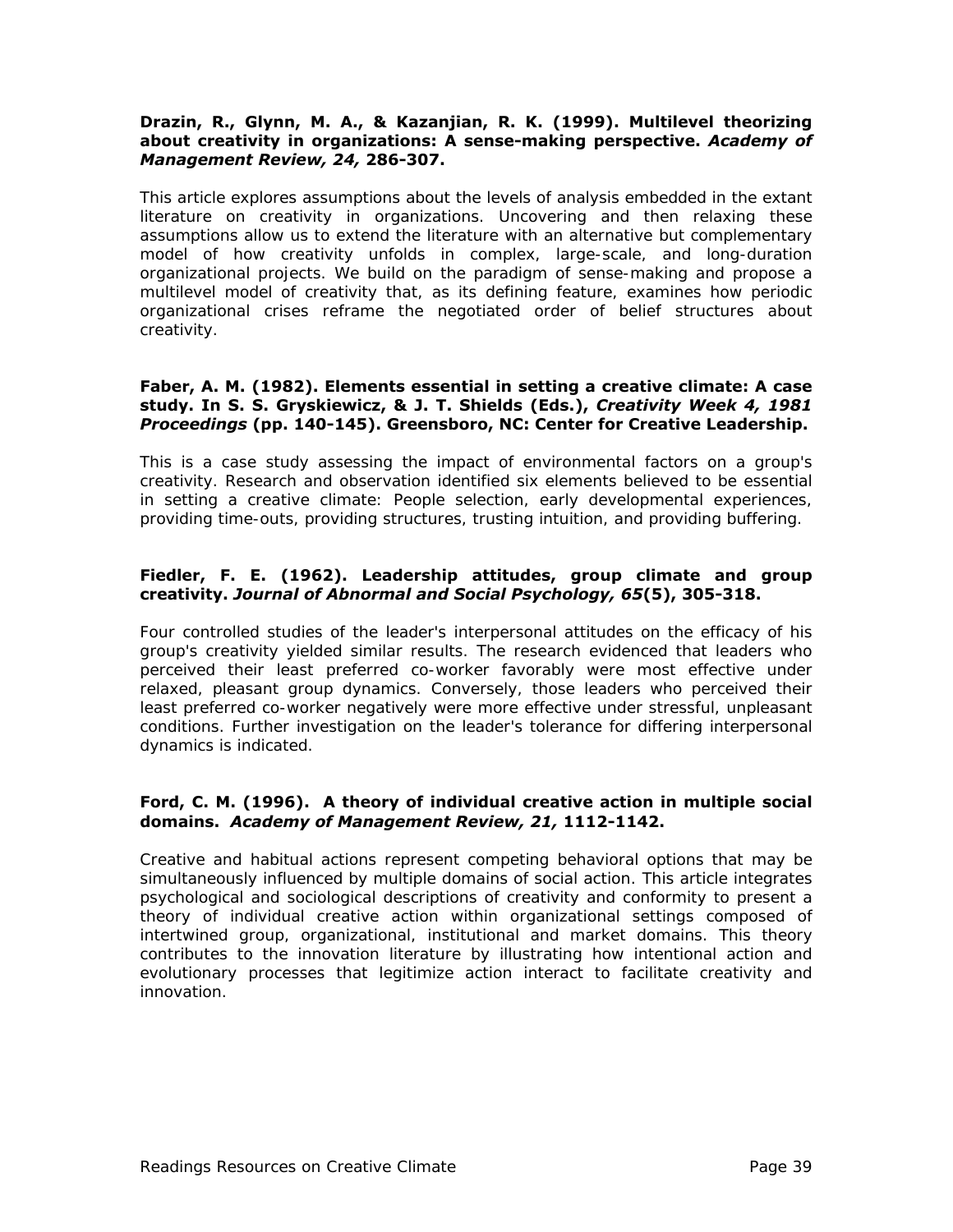#### **Drazin, R., Glynn, M. A., & Kazanjian, R. K. (1999). Multilevel theorizing about creativity in organizations: A sense-making perspective.** *Academy of Management Review, 24,* **286-307.**

This article explores assumptions about the levels of analysis embedded in the extant literature on creativity in organizations. Uncovering and then relaxing these assumptions allow us to extend the literature with an alternative but complementary model of how creativity unfolds in complex, large-scale, and long-duration organizational projects. We build on the paradigm of sense-making and propose a multilevel model of creativity that, as its defining feature, examines how periodic organizational crises reframe the negotiated order of belief structures about creativity.

#### **Faber, A. M. (1982). Elements essential in setting a creative climate: A case study. In S. S. Gryskiewicz, & J. T. Shields (Eds.),** *Creativity Week 4, 1981 Proceedings* **(pp. 140-145). Greensboro, NC: Center for Creative Leadership.**

This is a case study assessing the impact of environmental factors on a group's creativity. Research and observation identified six elements believed to be essential in setting a creative climate: People selection, early developmental experiences, providing time-outs, providing structures, trusting intuition, and providing buffering.

#### **Fiedler, F. E. (1962). Leadership attitudes, group climate and group creativity.** *Journal of Abnormal and Social Psychology, 65***(5), 305-318.**

Four controlled studies of the leader's interpersonal attitudes on the efficacy of his group's creativity yielded similar results. The research evidenced that leaders who perceived their least preferred co-worker favorably were most effective under relaxed, pleasant group dynamics. Conversely, those leaders who perceived their least preferred co-worker negatively were more effective under stressful, unpleasant conditions. Further investigation on the leader's tolerance for differing interpersonal dynamics is indicated.

#### **Ford, C. M. (1996). A theory of individual creative action in multiple social domains.** *Academy of Management Review, 21,* **1112-1142.**

Creative and habitual actions represent competing behavioral options that may be simultaneously influenced by multiple domains of social action. This article integrates psychological and sociological descriptions of creativity and conformity to present a theory of individual creative action within organizational settings composed of intertwined group, organizational, institutional and market domains. This theory contributes to the innovation literature by illustrating how intentional action and evolutionary processes that legitimize action interact to facilitate creativity and innovation.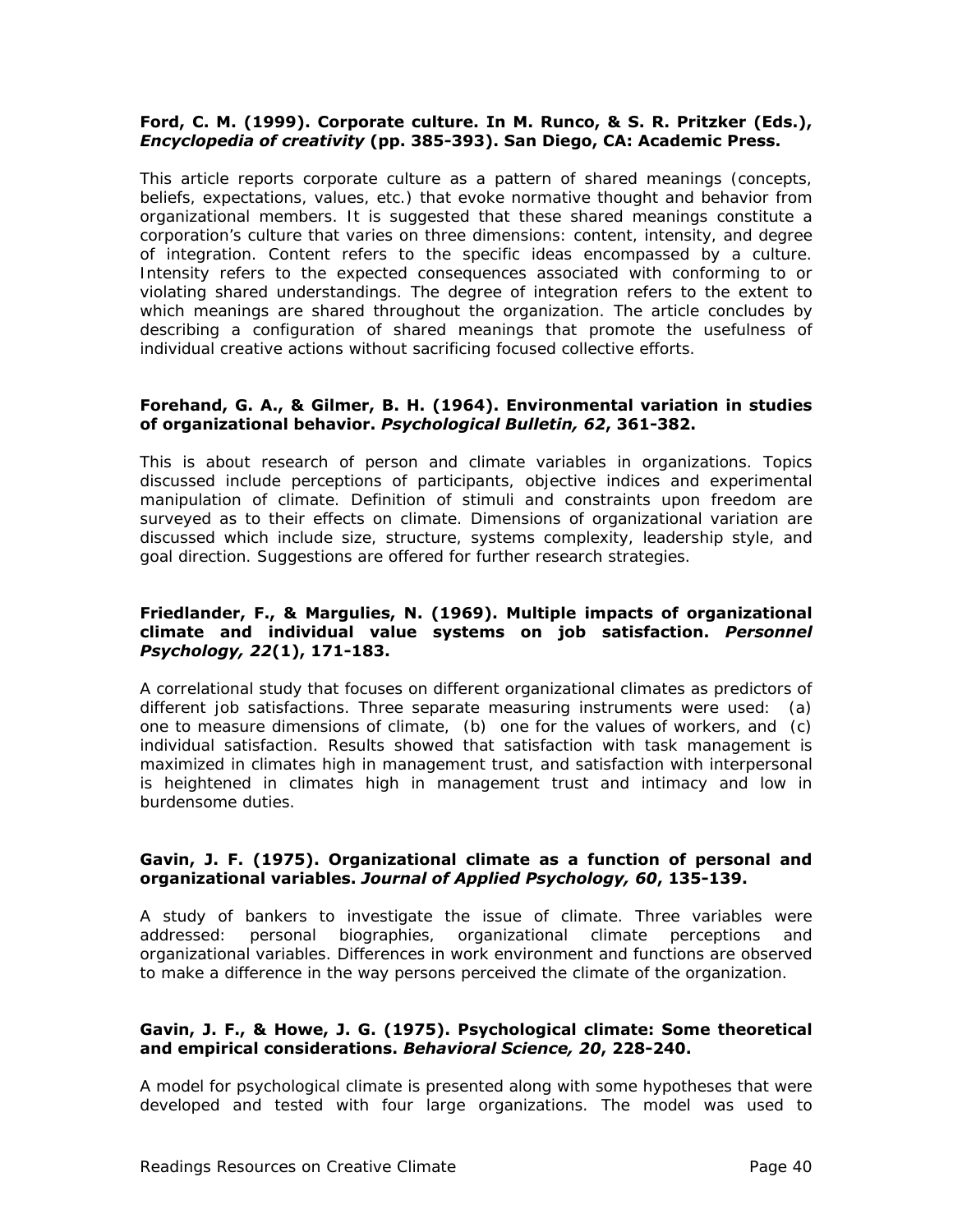#### **Ford, C. M. (1999). Corporate culture. In M. Runco, & S. R. Pritzker (Eds.),**  *Encyclopedia of creativity* **(pp. 385-393). San Diego, CA: Academic Press.**

This article reports corporate culture as a pattern of shared meanings (concepts, beliefs, expectations, values, etc.) that evoke normative thought and behavior from organizational members. It is suggested that these shared meanings constitute a corporation's culture that varies on three dimensions: content, intensity, and degree of integration. Content refers to the specific ideas encompassed by a culture. Intensity refers to the expected consequences associated with conforming to or violating shared understandings. The degree of integration refers to the extent to which meanings are shared throughout the organization. The article concludes by describing a configuration of shared meanings that promote the usefulness of individual creative actions without sacrificing focused collective efforts.

#### **Forehand, G. A., & Gilmer, B. H. (1964). Environmental variation in studies of organizational behavior.** *Psychological Bulletin, 62***, 361-382.**

This is about research of person and climate variables in organizations. Topics discussed include perceptions of participants, objective indices and experimental manipulation of climate. Definition of stimuli and constraints upon freedom are surveyed as to their effects on climate. Dimensions of organizational variation are discussed which include size, structure, systems complexity, leadership style, and goal direction. Suggestions are offered for further research strategies.

#### **Friedlander, F., & Margulies, N. (1969). Multiple impacts of organizational climate and individual value systems on job satisfaction.** *Personnel Psychology, 22***(1), 171-183.**

A correlational study that focuses on different organizational climates as predictors of different job satisfactions. Three separate measuring instruments were used: (a) one to measure dimensions of climate, (b) one for the values of workers, and (c) individual satisfaction. Results showed that satisfaction with task management is maximized in climates high in management trust, and satisfaction with interpersonal is heightened in climates high in management trust and intimacy and low in burdensome duties.

#### **Gavin, J. F. (1975). Organizational climate as a function of personal and organizational variables.** *Journal of Applied Psychology, 60***, 135-139.**

A study of bankers to investigate the issue of climate. Three variables were addressed: personal biographies, organizational climate perceptions and organizational variables. Differences in work environment and functions are observed to make a difference in the way persons perceived the climate of the organization.

#### **Gavin, J. F., & Howe, J. G. (1975). Psychological climate: Some theoretical and empirical considerations.** *Behavioral Science, 20***, 228-240.**

A model for psychological climate is presented along with some hypotheses that were developed and tested with four large organizations. The model was used to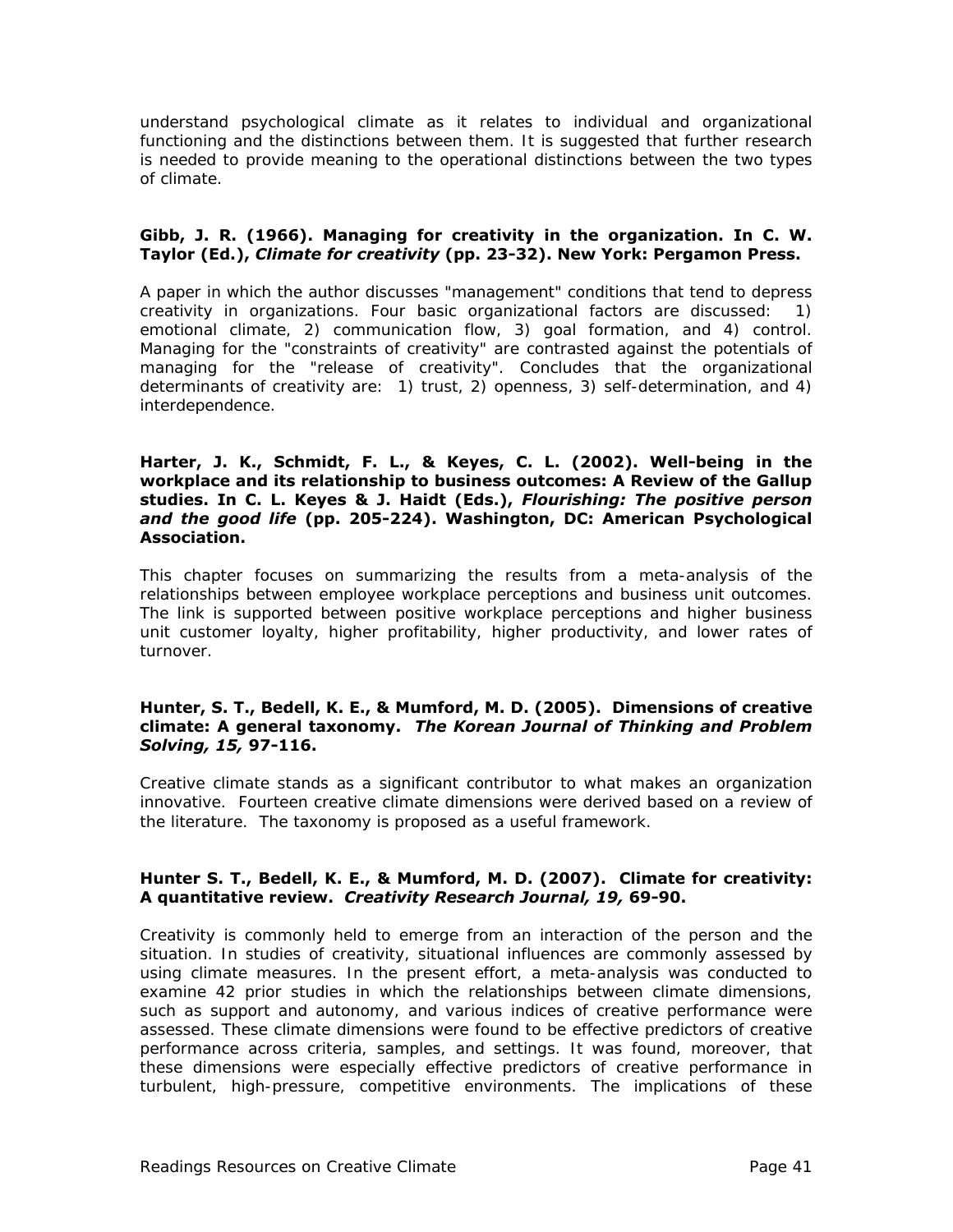understand psychological climate as it relates to individual and organizational functioning and the distinctions between them. It is suggested that further research is needed to provide meaning to the operational distinctions between the two types of climate.

#### **Gibb, J. R. (1966). Managing for creativity in the organization. In C. W. Taylor (Ed.),** *Climate for creativity* **(pp. 23-32). New York: Pergamon Press.**

A paper in which the author discusses "management" conditions that tend to depress creativity in organizations. Four basic organizational factors are discussed: 1) emotional climate, 2) communication flow, 3) goal formation, and 4) control. Managing for the "constraints of creativity" are contrasted against the potentials of managing for the "release of creativity". Concludes that the organizational determinants of creativity are: 1) trust, 2) openness, 3) self-determination, and 4) interdependence.

#### **Harter, J. K., Schmidt, F. L., & Keyes, C. L. (2002). Well-being in the workplace and its relationship to business outcomes: A Review of the Gallup studies. In C. L. Keyes & J. Haidt (Eds.),** *Flourishing: The positive person and the good life* **(pp. 205-224). Washington, DC: American Psychological Association.**

This chapter focuses on summarizing the results from a meta-analysis of the relationships between employee workplace perceptions and business unit outcomes. The link is supported between positive workplace perceptions and higher business unit customer loyalty, higher profitability, higher productivity, and lower rates of turnover.

#### **Hunter, S. T., Bedell, K. E., & Mumford, M. D. (2005). Dimensions of creative climate: A general taxonomy.** *The Korean Journal of Thinking and Problem Solving, 15,* **97-116.**

Creative climate stands as a significant contributor to what makes an organization innovative. Fourteen creative climate dimensions were derived based on a review of the literature. The taxonomy is proposed as a useful framework.

#### **Hunter S. T., Bedell, K. E., & Mumford, M. D. (2007). Climate for creativity: A quantitative review.** *Creativity Research Journal, 19,* **69-90.**

Creativity is commonly held to emerge from an interaction of the person and the situation. In studies of creativity, situational influences are commonly assessed by using climate measures. In the present effort, a meta-analysis was conducted to examine 42 prior studies in which the relationships between climate dimensions, such as support and autonomy, and various indices of creative performance were assessed. These climate dimensions were found to be effective predictors of creative performance across criteria, samples, and settings. It was found, moreover, that these dimensions were especially effective predictors of creative performance in turbulent, high-pressure, competitive environments. The implications of these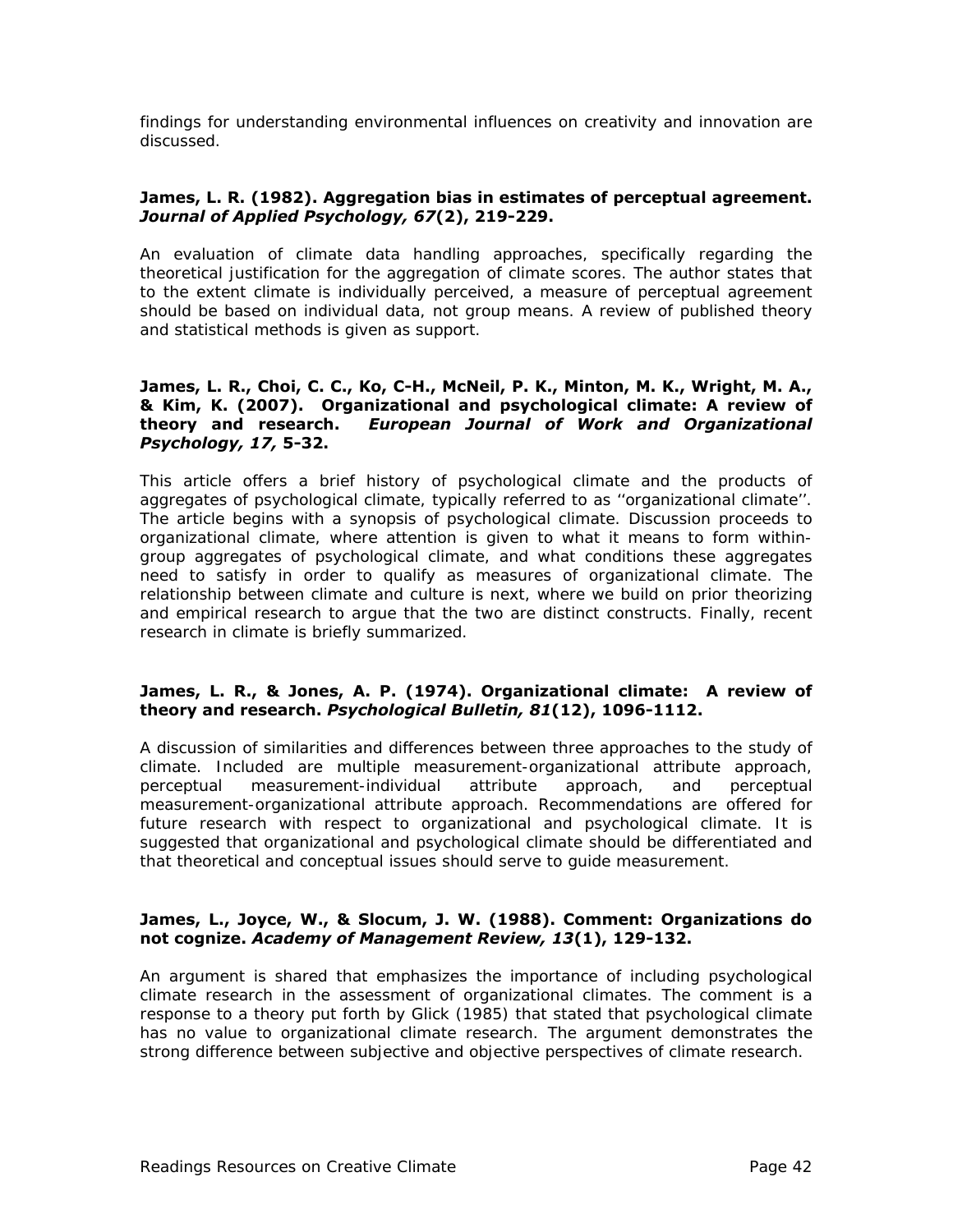findings for understanding environmental influences on creativity and innovation are discussed.

#### **James, L. R. (1982). Aggregation bias in estimates of perceptual agreement.**  *Journal of Applied Psychology, 67***(2), 219-229.**

An evaluation of climate data handling approaches, specifically regarding the theoretical justification for the aggregation of climate scores. The author states that to the extent climate is individually perceived, a measure of perceptual agreement should be based on individual data, not group means. A review of published theory and statistical methods is given as support.

#### **James, L. R., Choi, C. C., Ko, C-H., McNeil, P. K., Minton, M. K., Wright, M. A., & Kim, K. (2007). Organizational and psychological climate: A review of theory and research.** *European Journal of Work and Organizational Psychology, 17,* **5-32.**

This article offers a brief history of psychological climate and the products of aggregates of psychological climate, typically referred to as ''organizational climate''. The article begins with a synopsis of psychological climate. Discussion proceeds to organizational climate, where attention is given to what it means to form withingroup aggregates of psychological climate, and what conditions these aggregates need to satisfy in order to qualify as measures of organizational climate. The relationship between climate and culture is next, where we build on prior theorizing and empirical research to argue that the two are distinct constructs. Finally, recent research in climate is briefly summarized.

#### **James, L. R., & Jones, A. P. (1974). Organizational climate: A review of theory and research.** *Psychological Bulletin, 81***(12), 1096-1112.**

A discussion of similarities and differences between three approaches to the study of climate. Included are multiple measurement-organizational attribute approach, perceptual measurement-individual attribute approach, and perceptual measurement-organizational attribute approach. Recommendations are offered for future research with respect to organizational and psychological climate. It is suggested that organizational and psychological climate should be differentiated and that theoretical and conceptual issues should serve to guide measurement.

#### **James, L., Joyce, W., & Slocum, J. W. (1988). Comment: Organizations do not cognize.** *Academy of Management Review, 13***(1), 129-132.**

An argument is shared that emphasizes the importance of including psychological climate research in the assessment of organizational climates. The comment is a response to a theory put forth by Glick (1985) that stated that psychological climate has no value to organizational climate research. The argument demonstrates the strong difference between subjective and objective perspectives of climate research.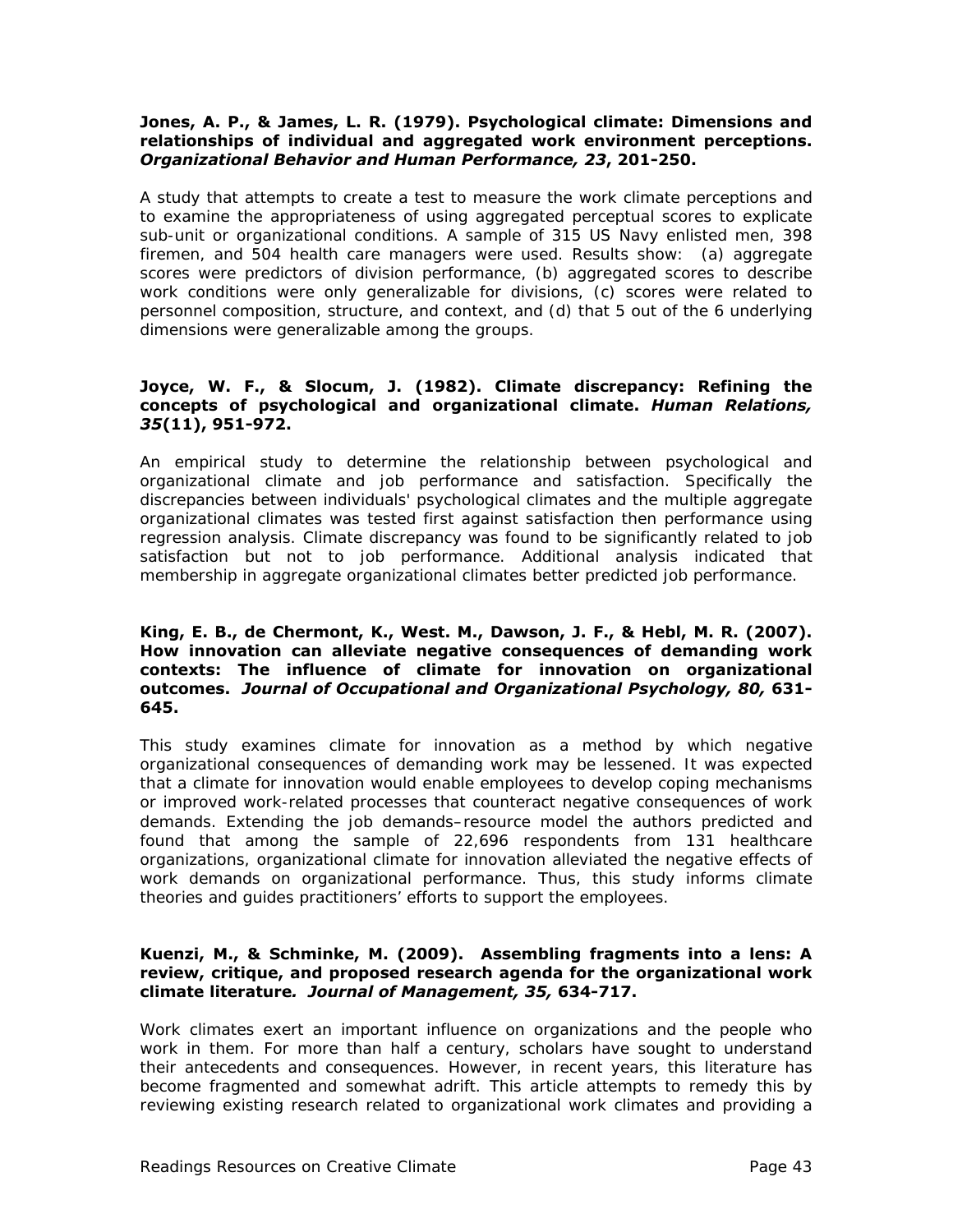#### **Jones, A. P., & James, L. R. (1979). Psychological climate: Dimensions and relationships of individual and aggregated work environment perceptions.**  *Organizational Behavior and Human Performance, 23***, 201-250.**

A study that attempts to create a test to measure the work climate perceptions and to examine the appropriateness of using aggregated perceptual scores to explicate sub-unit or organizational conditions. A sample of 315 US Navy enlisted men, 398 firemen, and 504 health care managers were used. Results show: (a) aggregate scores were predictors of division performance, (b) aggregated scores to describe work conditions were only generalizable for divisions, (c) scores were related to personnel composition, structure, and context, and (d) that 5 out of the 6 underlying dimensions were generalizable among the groups.

#### **Joyce, W. F., & Slocum, J. (1982). Climate discrepancy: Refining the concepts of psychological and organizational climate.** *Human Relations, 35***(11), 951-972.**

An empirical study to determine the relationship between psychological and organizational climate and job performance and satisfaction. Specifically the discrepancies between individuals' psychological climates and the multiple aggregate organizational climates was tested first against satisfaction then performance using regression analysis. Climate discrepancy was found to be significantly related to job satisfaction but not to job performance. Additional analysis indicated that membership in aggregate organizational climates better predicted job performance.

#### **King, E. B., de Chermont, K., West. M., Dawson, J. F., & Hebl, M. R. (2007). How innovation can alleviate negative consequences of demanding work contexts: The influence of climate for innovation on organizational outcomes.** *Journal of Occupational and Organizational Psychology, 80,* **631- 645.**

This study examines climate for innovation as a method by which negative organizational consequences of demanding work may be lessened. It was expected that a climate for innovation would enable employees to develop coping mechanisms or improved work-related processes that counteract negative consequences of work demands. Extending the job demands–resource model the authors predicted and found that among the sample of 22,696 respondents from 131 healthcare organizations, organizational climate for innovation alleviated the negative effects of work demands on organizational performance. Thus, this study informs climate theories and guides practitioners' efforts to support the employees.

#### **Kuenzi, M., & Schminke, M. (2009). Assembling fragments into a lens: A review, critique, and proposed research agenda for the organizational work climate literature***. Journal of Management, 35,* **634-717.**

Work climates exert an important influence on organizations and the people who work in them. For more than half a century, scholars have sought to understand their antecedents and consequences. However, in recent years, this literature has become fragmented and somewhat adrift. This article attempts to remedy this by reviewing existing research related to organizational work climates and providing a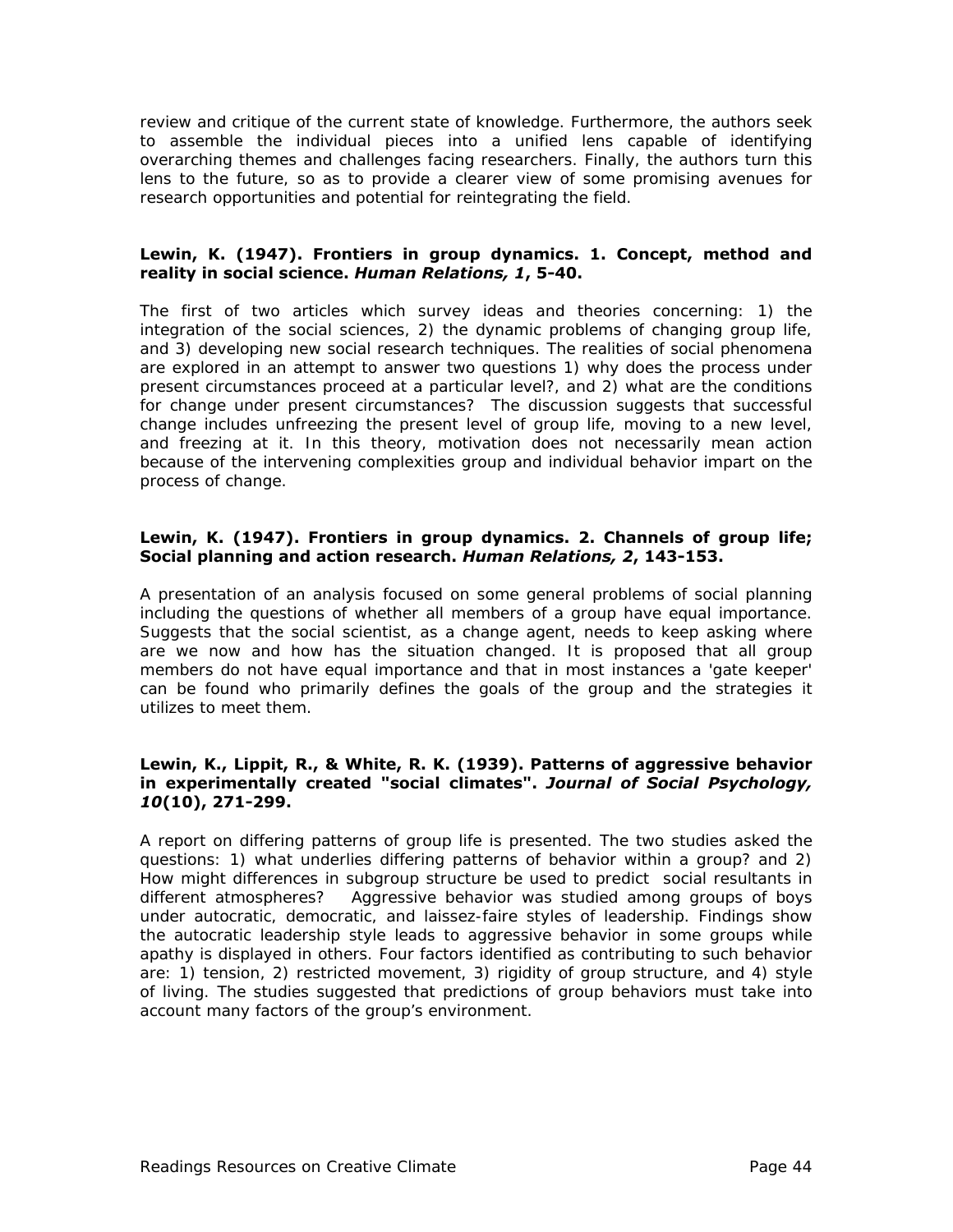review and critique of the current state of knowledge. Furthermore, the authors seek to assemble the individual pieces into a unified lens capable of identifying overarching themes and challenges facing researchers. Finally, the authors turn this lens to the future, so as to provide a clearer view of some promising avenues for research opportunities and potential for reintegrating the field.

#### **Lewin, K. (1947). Frontiers in group dynamics. 1. Concept, method and reality in social science.** *Human Relations, 1***, 5-40.**

The first of two articles which survey ideas and theories concerning: 1) the integration of the social sciences, 2) the dynamic problems of changing group life, and 3) developing new social research techniques. The realities of social phenomena are explored in an attempt to answer two questions 1) why does the process under present circumstances proceed at a particular level?, and 2) what are the conditions for change under present circumstances? The discussion suggests that successful change includes unfreezing the present level of group life, moving to a new level, and freezing at it. In this theory, motivation does not necessarily mean action because of the intervening complexities group and individual behavior impart on the process of change.

#### **Lewin, K. (1947). Frontiers in group dynamics. 2. Channels of group life; Social planning and action research.** *Human Relations, 2***, 143-153.**

A presentation of an analysis focused on some general problems of social planning including the questions of whether all members of a group have equal importance. Suggests that the social scientist, as a change agent, needs to keep asking where are we now and how has the situation changed. It is proposed that all group members do not have equal importance and that in most instances a 'gate keeper' can be found who primarily defines the goals of the group and the strategies it utilizes to meet them.

#### **Lewin, K., Lippit, R., & White, R. K. (1939). Patterns of aggressive behavior in experimentally created "social climates".** *Journal of Social Psychology, 10***(10), 271-299.**

A report on differing patterns of group life is presented. The two studies asked the questions: 1) what underlies differing patterns of behavior within a group? and 2) How might differences in subgroup structure be used to predict social resultants in different atmospheres? Aggressive behavior was studied among groups of boys under autocratic, democratic, and laissez-faire styles of leadership. Findings show the autocratic leadership style leads to aggressive behavior in some groups while apathy is displayed in others. Four factors identified as contributing to such behavior are: 1) tension, 2) restricted movement, 3) rigidity of group structure, and 4) style of living. The studies suggested that predictions of group behaviors must take into account many factors of the group's environment.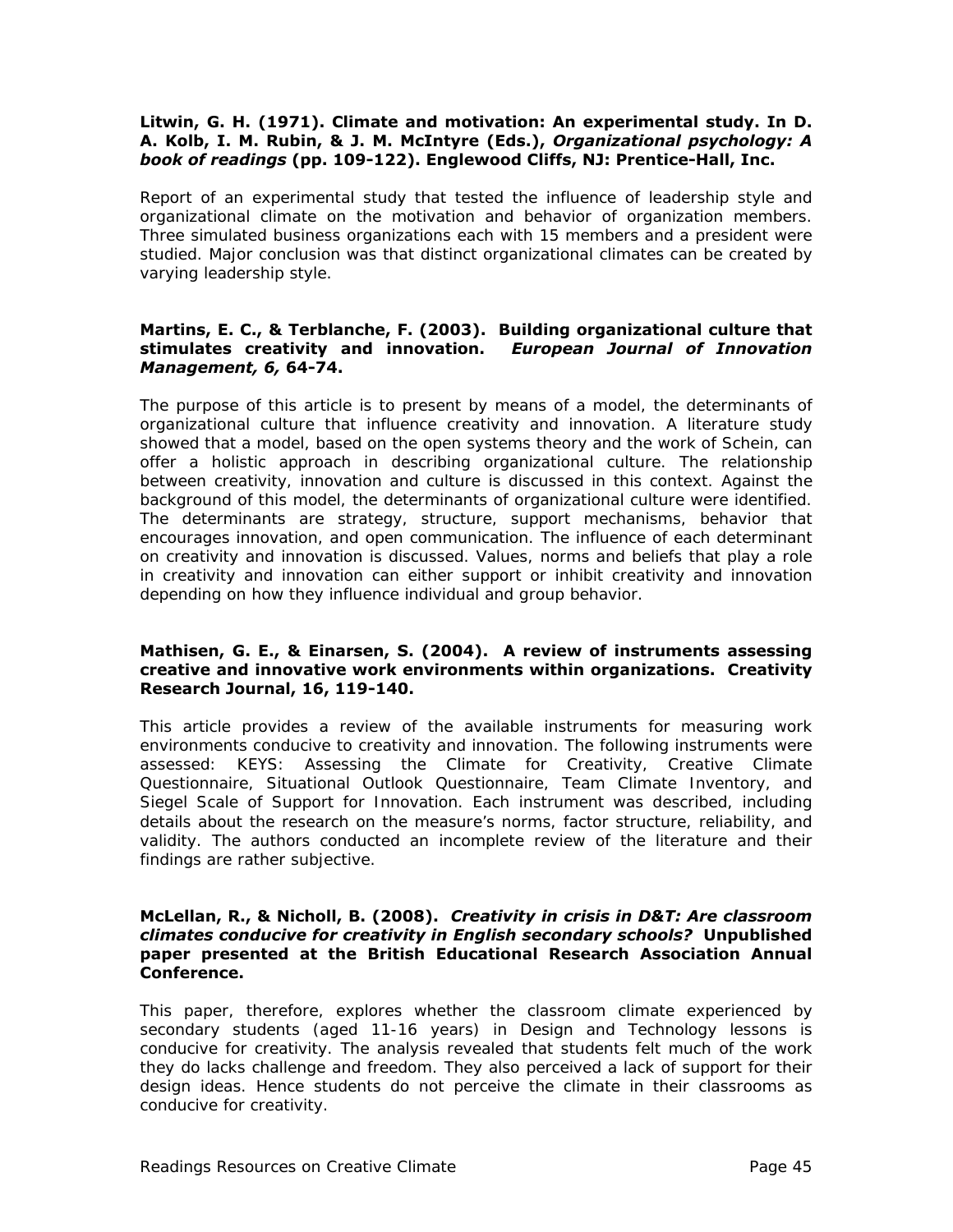#### **Litwin, G. H. (1971). Climate and motivation: An experimental study. In D. A. Kolb, I. M. Rubin, & J. M. McIntyre (Eds.),** *Organizational psychology: A book of readings* **(pp. 109-122). Englewood Cliffs, NJ: Prentice-Hall, Inc.**

Report of an experimental study that tested the influence of leadership style and organizational climate on the motivation and behavior of organization members. Three simulated business organizations each with 15 members and a president were studied. Major conclusion was that distinct organizational climates can be created by varying leadership style.

#### **Martins, E. C., & Terblanche, F. (2003). Building organizational culture that stimulates creativity and innovation.** *European Journal of Innovation Management, 6,* **64-74.**

The purpose of this article is to present by means of a model, the determinants of organizational culture that influence creativity and innovation. A literature study showed that a model, based on the open systems theory and the work of Schein, can offer a holistic approach in describing organizational culture. The relationship between creativity, innovation and culture is discussed in this context. Against the background of this model, the determinants of organizational culture were identified. The determinants are strategy, structure, support mechanisms, behavior that encourages innovation, and open communication. The influence of each determinant on creativity and innovation is discussed. Values, norms and beliefs that play a role in creativity and innovation can either support or inhibit creativity and innovation depending on how they influence individual and group behavior.

#### **Mathisen, G. E., & Einarsen, S. (2004). A review of instruments assessing creative and innovative work environments within organizations. Creativity Research Journal, 16, 119-140.**

This article provides a review of the available instruments for measuring work environments conducive to creativity and innovation. The following instruments were assessed: KEYS: Assessing the Climate for Creativity, Creative Climate Questionnaire, Situational Outlook Questionnaire, Team Climate Inventory, and Siegel Scale of Support for Innovation. Each instrument was described, including details about the research on the measure's norms, factor structure, reliability, and validity. The authors conducted an incomplete review of the literature and their findings are rather subjective.

#### **McLellan, R., & Nicholl, B. (2008).** *Creativity in crisis in D&T: Are classroom climates conducive for creativity in English secondary schools?* **Unpublished paper presented at the British Educational Research Association Annual Conference.**

This paper, therefore, explores whether the classroom climate experienced by secondary students (aged 11-16 years) in Design and Technology lessons is conducive for creativity. The analysis revealed that students felt much of the work they do lacks challenge and freedom. They also perceived a lack of support for their design ideas. Hence students do not perceive the climate in their classrooms as conducive for creativity.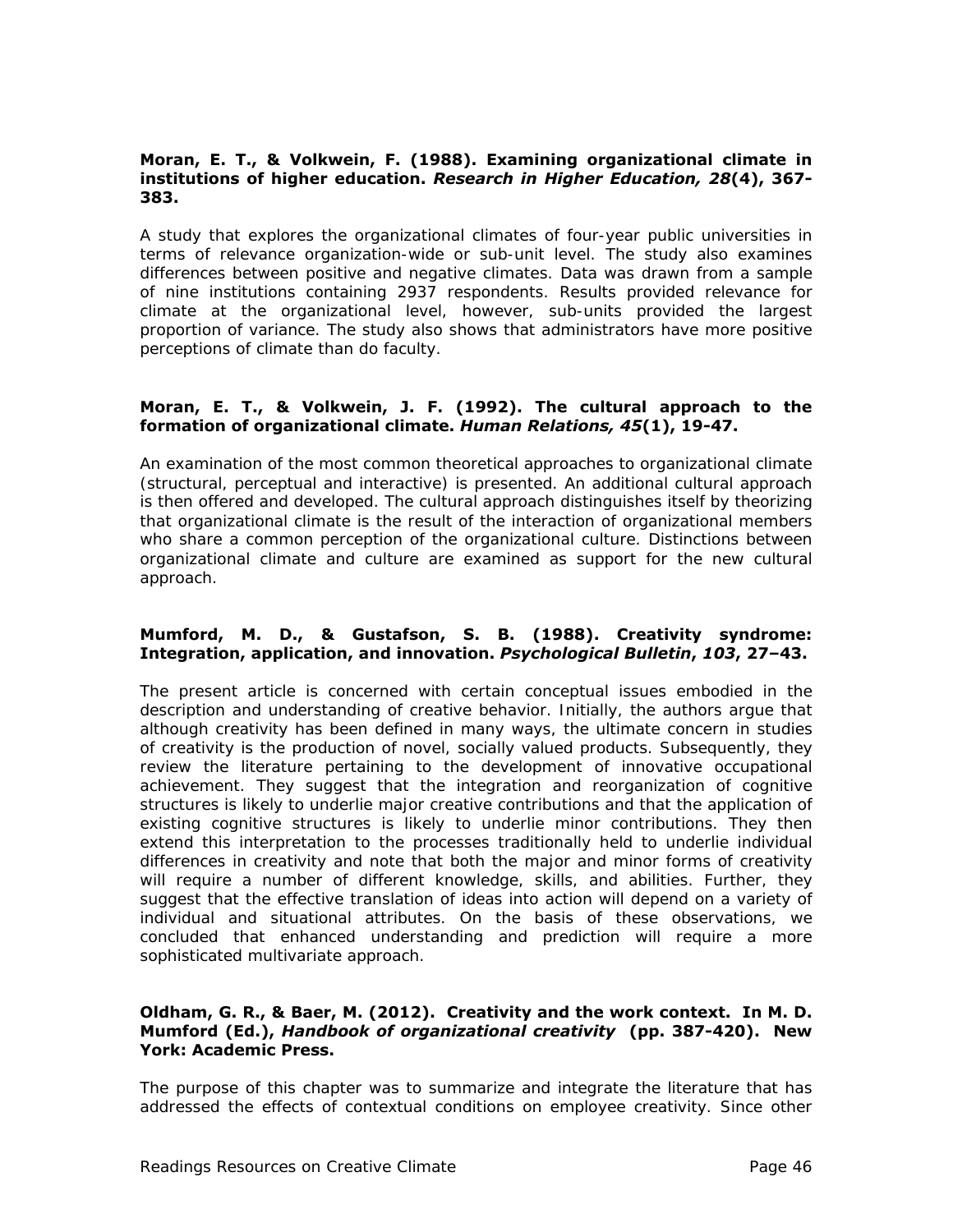#### **Moran, E. T., & Volkwein, F. (1988). Examining organizational climate in institutions of higher education.** *Research in Higher Education, 28***(4), 367- 383.**

A study that explores the organizational climates of four-year public universities in terms of relevance organization-wide or sub-unit level. The study also examines differences between positive and negative climates. Data was drawn from a sample of nine institutions containing 2937 respondents. Results provided relevance for climate at the organizational level, however, sub-units provided the largest proportion of variance. The study also shows that administrators have more positive perceptions of climate than do faculty.

#### **Moran, E. T., & Volkwein, J. F. (1992). The cultural approach to the formation of organizational climate.** *Human Relations, 45***(1), 19-47.**

An examination of the most common theoretical approaches to organizational climate (structural, perceptual and interactive) is presented. An additional cultural approach is then offered and developed. The cultural approach distinguishes itself by theorizing that organizational climate is the result of the interaction of organizational members who share a common perception of the organizational culture. Distinctions between organizational climate and culture are examined as support for the new cultural approach.

#### **Mumford, M. D., & Gustafson, S. B. (1988). Creativity syndrome: Integration, application, and innovation.** *Psychological Bulletin***,** *103***, 27–43.**

The present article is concerned with certain conceptual issues embodied in the description and understanding of creative behavior. Initially, the authors argue that although creativity has been defined in many ways, the ultimate concern in studies of creativity is the production of novel, socially valued products. Subsequently, they review the literature pertaining to the development of innovative occupational achievement. They suggest that the integration and reorganization of cognitive structures is likely to underlie major creative contributions and that the application of existing cognitive structures is likely to underlie minor contributions. They then extend this interpretation to the processes traditionally held to underlie individual differences in creativity and note that both the major and minor forms of creativity will require a number of different knowledge, skills, and abilities. Further, they suggest that the effective translation of ideas into action will depend on a variety of individual and situational attributes. On the basis of these observations, we concluded that enhanced understanding and prediction will require a more sophisticated multivariate approach.

#### **Oldham, G. R., & Baer, M. (2012). Creativity and the work context. In M. D. Mumford (Ed.),** *Handbook of organizational creativity* **(pp. 387-420). New York: Academic Press.**

The purpose of this chapter was to summarize and integrate the literature that has addressed the effects of contextual conditions on employee creativity. Since other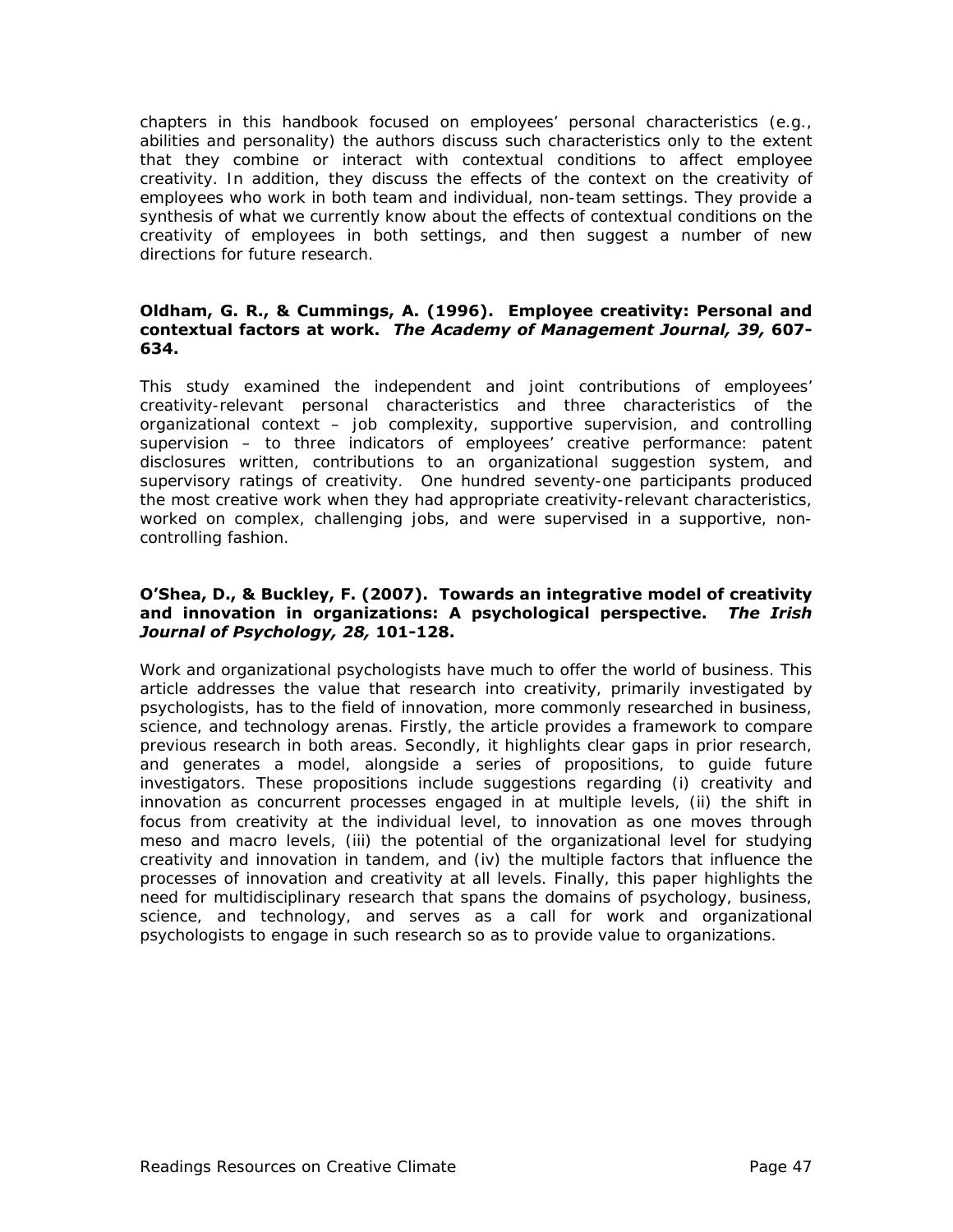chapters in this handbook focused on employees' personal characteristics (e.g., abilities and personality) the authors discuss such characteristics only to the extent that they combine or interact with contextual conditions to affect employee creativity. In addition, they discuss the effects of the context on the creativity of employees who work in both team and individual, non-team settings. They provide a synthesis of what we currently know about the effects of contextual conditions on the creativity of employees in both settings, and then suggest a number of new directions for future research.

#### **Oldham, G. R., & Cummings, A. (1996). Employee creativity: Personal and contextual factors at work.** *The Academy of Management Journal, 39,* **607- 634.**

This study examined the independent and joint contributions of employees' creativity-relevant personal characteristics and three characteristics of the organizational context – job complexity, supportive supervision, and controlling supervision – to three indicators of employees' creative performance: patent disclosures written, contributions to an organizational suggestion system, and supervisory ratings of creativity. One hundred seventy-one participants produced the most creative work when they had appropriate creativity-relevant characteristics, worked on complex, challenging jobs, and were supervised in a supportive, noncontrolling fashion.

#### **O'Shea, D., & Buckley, F. (2007). Towards an integrative model of creativity and innovation in organizations: A psychological perspective.** *The Irish Journal of Psychology, 28,* **101-128.**

Work and organizational psychologists have much to offer the world of business. This article addresses the value that research into creativity, primarily investigated by psychologists, has to the field of innovation, more commonly researched in business, science, and technology arenas. Firstly, the article provides a framework to compare previous research in both areas. Secondly, it highlights clear gaps in prior research, and generates a model, alongside a series of propositions, to guide future investigators. These propositions include suggestions regarding (i) creativity and innovation as concurrent processes engaged in at multiple levels, (ii) the shift in focus from creativity at the individual level, to innovation as one moves through meso and macro levels, (iii) the potential of the organizational level for studying creativity and innovation in tandem, and (iv) the multiple factors that influence the processes of innovation and creativity at all levels. Finally, this paper highlights the need for multidisciplinary research that spans the domains of psychology, business, science, and technology, and serves as a call for work and organizational psychologists to engage in such research so as to provide value to organizations.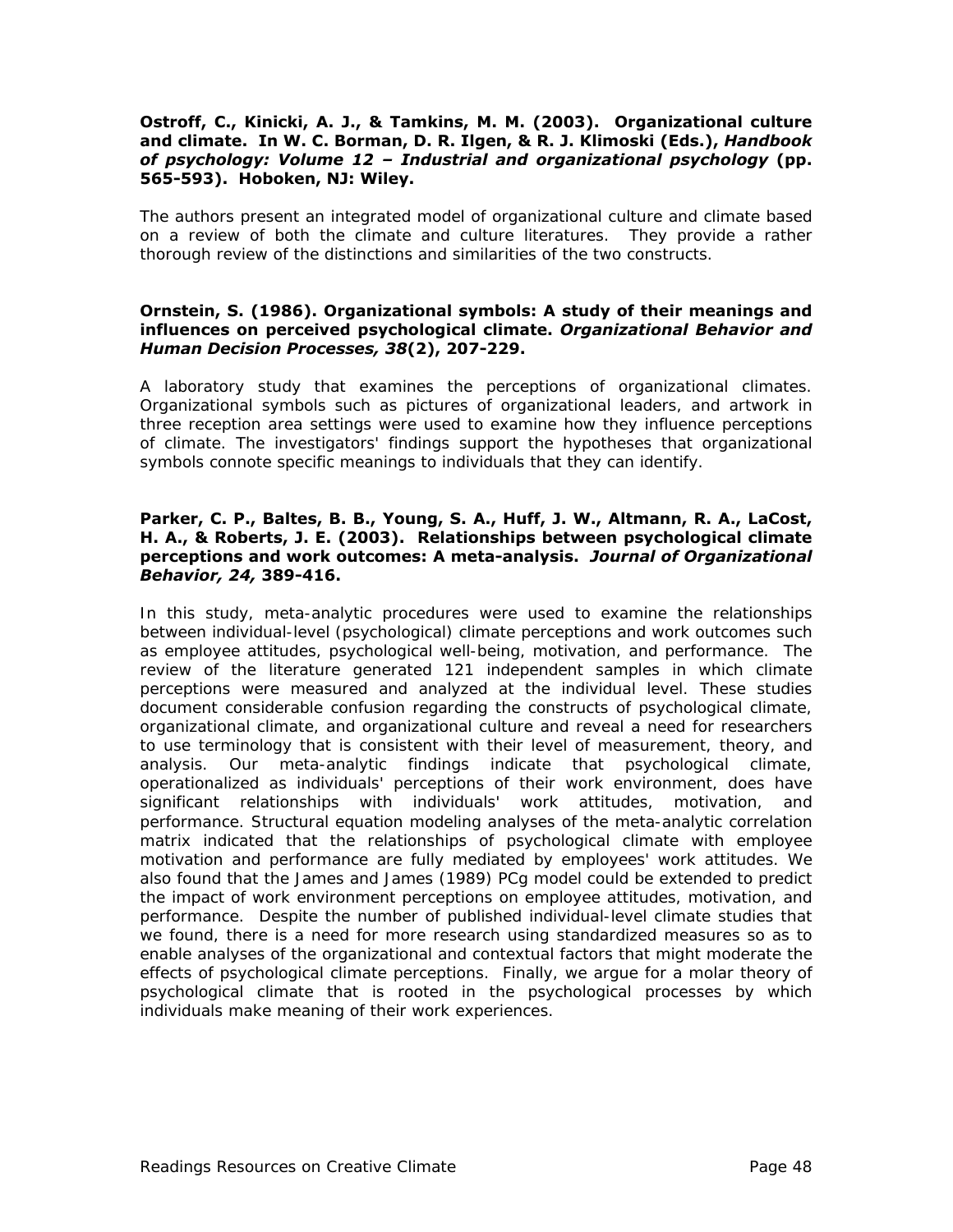#### **Ostroff, C., Kinicki, A. J., & Tamkins, M. M. (2003). Organizational culture and climate. In W. C. Borman, D. R. Ilgen, & R. J. Klimoski (Eds.),** *Handbook of psychology: Volume 12 – Industrial and organizational psychology* **(pp. 565-593). Hoboken, NJ: Wiley.**

The authors present an integrated model of organizational culture and climate based on a review of both the climate and culture literatures. They provide a rather thorough review of the distinctions and similarities of the two constructs.

#### **Ornstein, S. (1986). Organizational symbols: A study of their meanings and influences on perceived psychological climate.** *Organizational Behavior and Human Decision Processes, 38***(2), 207-229.**

A laboratory study that examines the perceptions of organizational climates. Organizational symbols such as pictures of organizational leaders, and artwork in three reception area settings were used to examine how they influence perceptions of climate. The investigators' findings support the hypotheses that organizational symbols connote specific meanings to individuals that they can identify.

#### **Parker, C. P., Baltes, B. B., Young, S. A., Huff, J. W., Altmann, R. A., LaCost, H. A., & Roberts, J. E. (2003). Relationships between psychological climate perceptions and work outcomes: A meta-analysis.** *Journal of Organizational Behavior, 24,* **389-416.**

In this study, meta-analytic procedures were used to examine the relationships between individual-level (psychological) climate perceptions and work outcomes such as employee attitudes, psychological well-being, motivation, and performance. The review of the literature generated 121 independent samples in which climate perceptions were measured and analyzed at the individual level. These studies document considerable confusion regarding the constructs of psychological climate, organizational climate, and organizational culture and reveal a need for researchers to use terminology that is consistent with their level of measurement, theory, and analysis. Our meta-analytic findings indicate that psychological climate, operationalized as individuals' perceptions of their work environment, does have significant relationships with individuals' work attitudes, motivation, and performance. Structural equation modeling analyses of the meta-analytic correlation matrix indicated that the relationships of psychological climate with employee motivation and performance are fully mediated by employees' work attitudes. We also found that the James and James (1989) PCg model could be extended to predict the impact of work environment perceptions on employee attitudes, motivation, and performance. Despite the number of published individual-level climate studies that we found, there is a need for more research using standardized measures so as to enable analyses of the organizational and contextual factors that might moderate the effects of psychological climate perceptions. Finally, we argue for a molar theory of psychological climate that is rooted in the psychological processes by which individuals make meaning of their work experiences.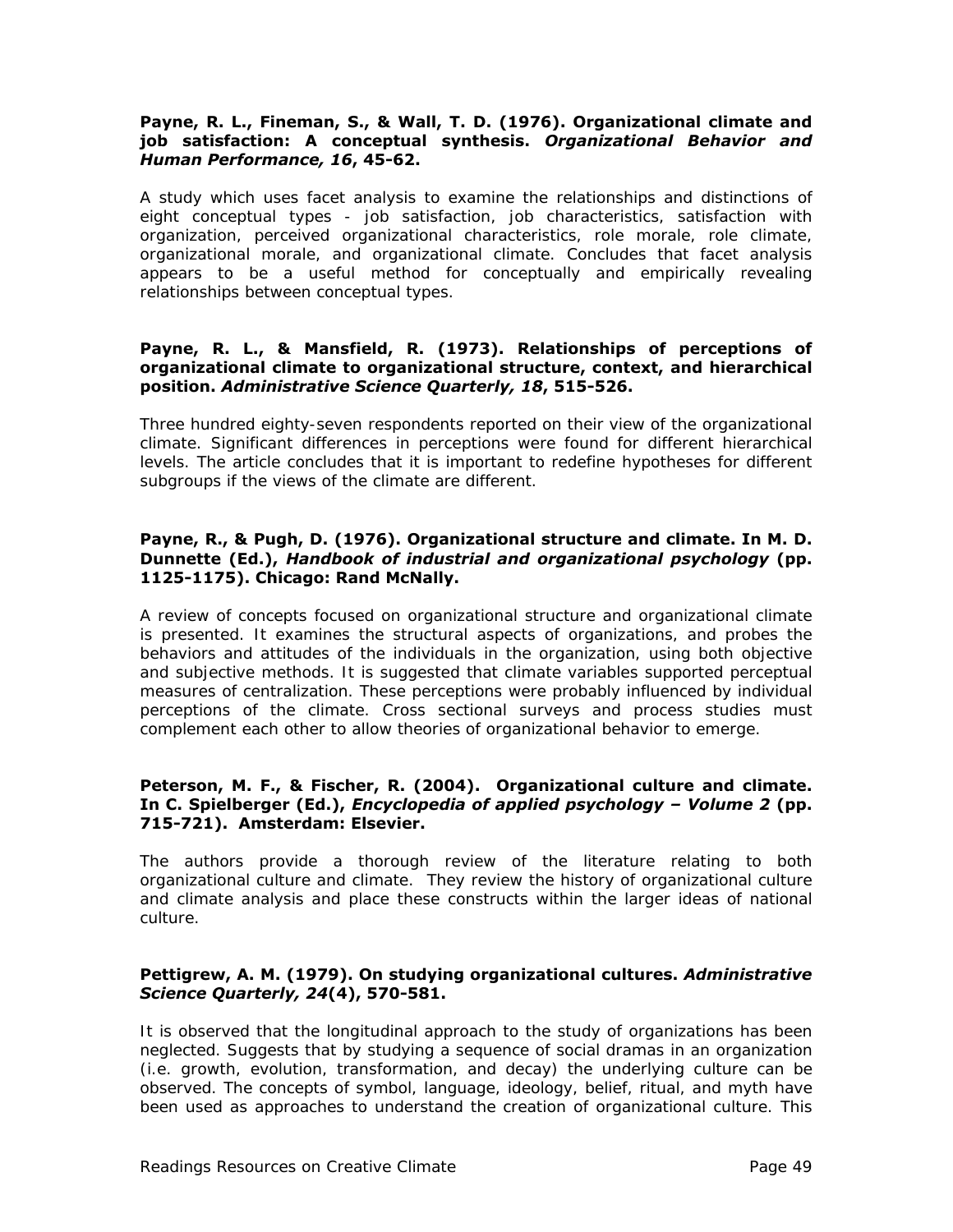#### **Payne, R. L., Fineman, S., & Wall, T. D. (1976). Organizational climate and job satisfaction: A conceptual synthesis.** *Organizational Behavior and Human Performance, 16***, 45-62.**

A study which uses facet analysis to examine the relationships and distinctions of eight conceptual types - job satisfaction, job characteristics, satisfaction with organization, perceived organizational characteristics, role morale, role climate, organizational morale, and organizational climate. Concludes that facet analysis appears to be a useful method for conceptually and empirically revealing relationships between conceptual types.

#### **Payne, R. L., & Mansfield, R. (1973). Relationships of perceptions of organizational climate to organizational structure, context, and hierarchical position.** *Administrative Science Quarterly, 18***, 515-526.**

Three hundred eighty-seven respondents reported on their view of the organizational climate. Significant differences in perceptions were found for different hierarchical levels. The article concludes that it is important to redefine hypotheses for different subgroups if the views of the climate are different.

#### **Payne, R., & Pugh, D. (1976). Organizational structure and climate. In M. D. Dunnette (Ed.),** *Handbook of industrial and organizational psychology* **(pp. 1125-1175). Chicago: Rand McNally.**

A review of concepts focused on organizational structure and organizational climate is presented. It examines the structural aspects of organizations, and probes the behaviors and attitudes of the individuals in the organization, using both objective and subjective methods. It is suggested that climate variables supported perceptual measures of centralization. These perceptions were probably influenced by individual perceptions of the climate. Cross sectional surveys and process studies must complement each other to allow theories of organizational behavior to emerge.

#### **Peterson, M. F., & Fischer, R. (2004). Organizational culture and climate. In C. Spielberger (Ed.),** *Encyclopedia of applied psychology – Volume 2* **(pp. 715-721). Amsterdam: Elsevier.**

The authors provide a thorough review of the literature relating to both organizational culture and climate. They review the history of organizational culture and climate analysis and place these constructs within the larger ideas of national culture.

#### **Pettigrew, A. M. (1979). On studying organizational cultures.** *Administrative Science Quarterly, 24***(4), 570-581.**

It is observed that the longitudinal approach to the study of organizations has been neglected. Suggests that by studying a sequence of social dramas in an organization (i.e. growth, evolution, transformation, and decay) the underlying culture can be observed. The concepts of symbol, language, ideology, belief, ritual, and myth have been used as approaches to understand the creation of organizational culture. This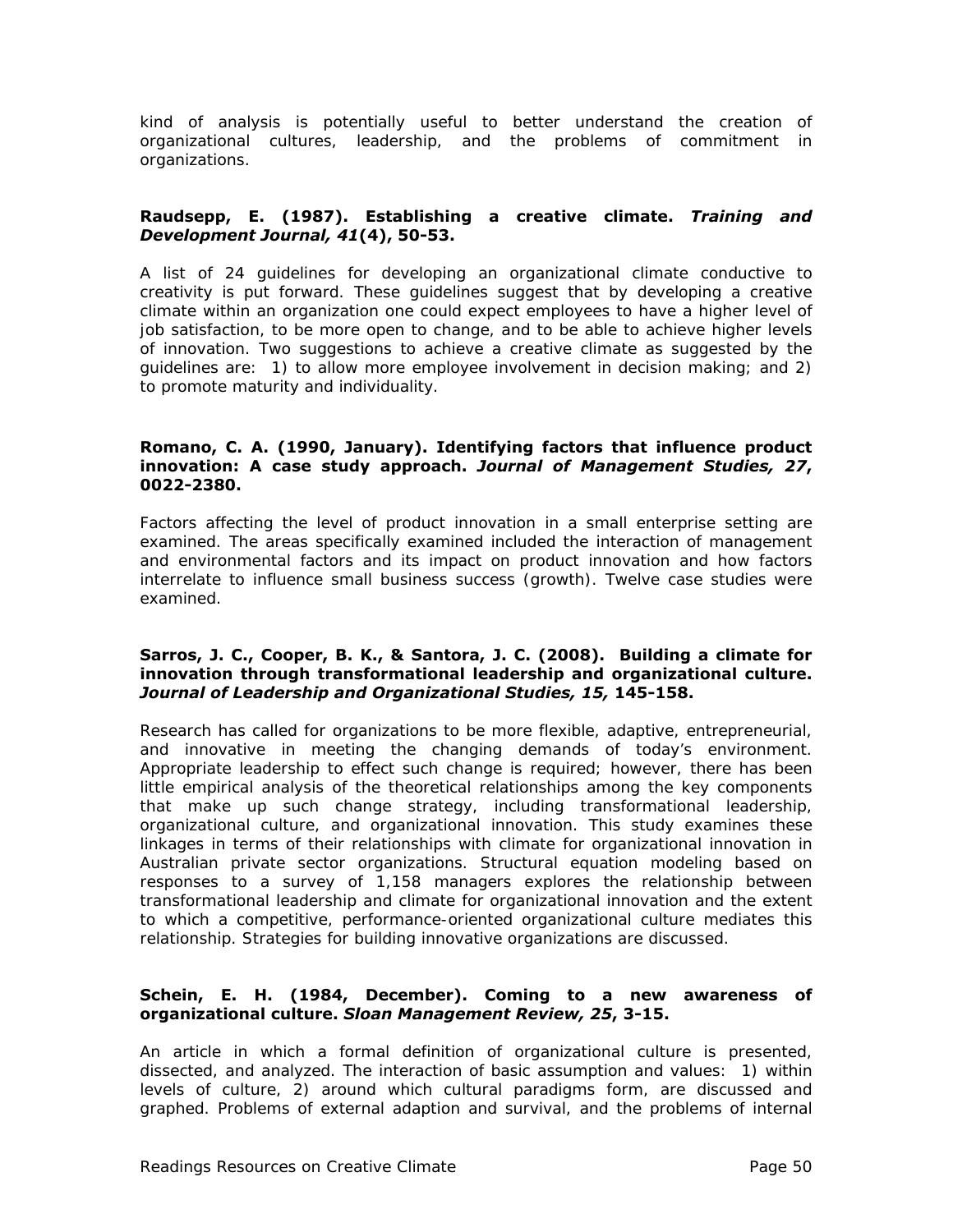kind of analysis is potentially useful to better understand the creation of organizational cultures, leadership, and the problems of commitment in organizations.

#### **Raudsepp, E. (1987). Establishing a creative climate.** *Training and Development Journal, 41***(4), 50-53.**

A list of 24 guidelines for developing an organizational climate conductive to creativity is put forward. These guidelines suggest that by developing a creative climate within an organization one could expect employees to have a higher level of job satisfaction, to be more open to change, and to be able to achieve higher levels of innovation. Two suggestions to achieve a creative climate as suggested by the guidelines are: 1) to allow more employee involvement in decision making; and 2) to promote maturity and individuality.

#### **Romano, C. A. (1990, January). Identifying factors that influence product innovation: A case study approach.** *Journal of Management Studies, 27***, 0022-2380.**

Factors affecting the level of product innovation in a small enterprise setting are examined. The areas specifically examined included the interaction of management and environmental factors and its impact on product innovation and how factors interrelate to influence small business success (growth). Twelve case studies were examined.

#### **Sarros, J. C., Cooper, B. K., & Santora, J. C. (2008). Building a climate for innovation through transformational leadership and organizational culture.**  *Journal of Leadership and Organizational Studies, 15,* **145-158.**

Research has called for organizations to be more flexible, adaptive, entrepreneurial, and innovative in meeting the changing demands of today's environment. Appropriate leadership to effect such change is required; however, there has been little empirical analysis of the theoretical relationships among the key components that make up such change strategy, including transformational leadership, organizational culture, and organizational innovation. This study examines these linkages in terms of their relationships with climate for organizational innovation in Australian private sector organizations. Structural equation modeling based on responses to a survey of 1,158 managers explores the relationship between transformational leadership and climate for organizational innovation and the extent to which a competitive, performance-oriented organizational culture mediates this relationship. Strategies for building innovative organizations are discussed.

#### **Schein, E. H. (1984, December). Coming to a new awareness of organizational culture.** *Sloan Management Review, 25***, 3-15.**

An article in which a formal definition of organizational culture is presented, dissected, and analyzed. The interaction of basic assumption and values: 1) within levels of culture, 2) around which cultural paradigms form, are discussed and graphed. Problems of external adaption and survival, and the problems of internal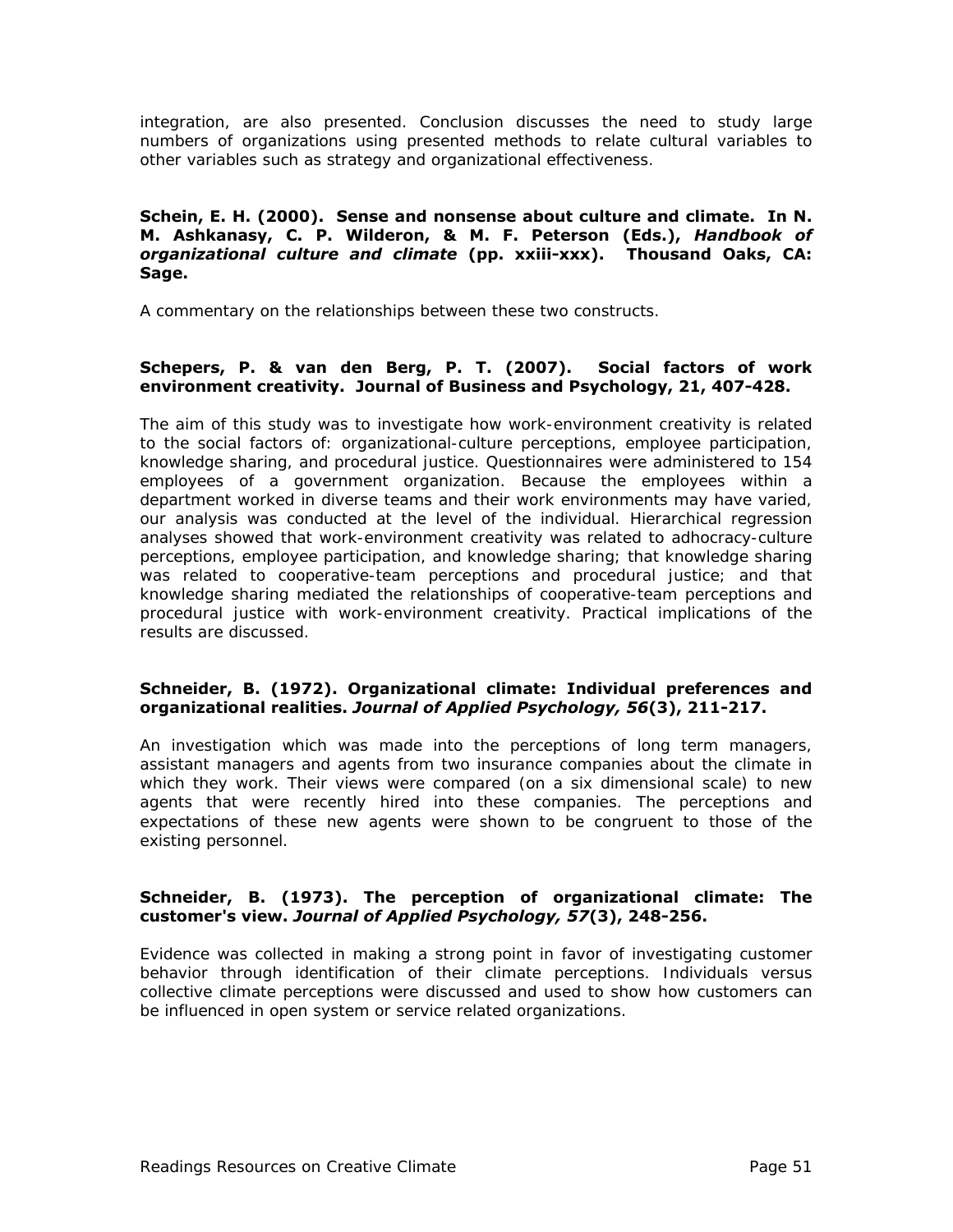integration, are also presented. Conclusion discusses the need to study large numbers of organizations using presented methods to relate cultural variables to other variables such as strategy and organizational effectiveness.

#### **Schein, E. H. (2000). Sense and nonsense about culture and climate. In N. M. Ashkanasy, C. P. Wilderon, & M. F. Peterson (Eds.),** *Handbook of organizational culture and climate* **(pp. xxiii-xxx). Thousand Oaks, CA: Sage.**

A commentary on the relationships between these two constructs.

#### **Schepers, P. & van den Berg, P. T. (2007). Social factors of work environment creativity. Journal of Business and Psychology, 21, 407-428.**

The aim of this study was to investigate how work-environment creativity is related to the social factors of: organizational-culture perceptions, employee participation, knowledge sharing, and procedural justice. Questionnaires were administered to 154 employees of a government organization. Because the employees within a department worked in diverse teams and their work environments may have varied, our analysis was conducted at the level of the individual. Hierarchical regression analyses showed that work-environment creativity was related to adhocracy-culture perceptions, employee participation, and knowledge sharing; that knowledge sharing was related to cooperative-team perceptions and procedural justice; and that knowledge sharing mediated the relationships of cooperative-team perceptions and procedural justice with work-environment creativity. Practical implications of the results are discussed.

#### **Schneider, B. (1972). Organizational climate: Individual preferences and organizational realities.** *Journal of Applied Psychology, 56***(3), 211-217.**

An investigation which was made into the perceptions of long term managers, assistant managers and agents from two insurance companies about the climate in which they work. Their views were compared (on a six dimensional scale) to new agents that were recently hired into these companies. The perceptions and expectations of these new agents were shown to be congruent to those of the existing personnel.

#### **Schneider, B. (1973). The perception of organizational climate: The customer's view.** *Journal of Applied Psychology, 57***(3), 248-256.**

Evidence was collected in making a strong point in favor of investigating customer behavior through identification of their climate perceptions. Individuals versus collective climate perceptions were discussed and used to show how customers can be influenced in open system or service related organizations.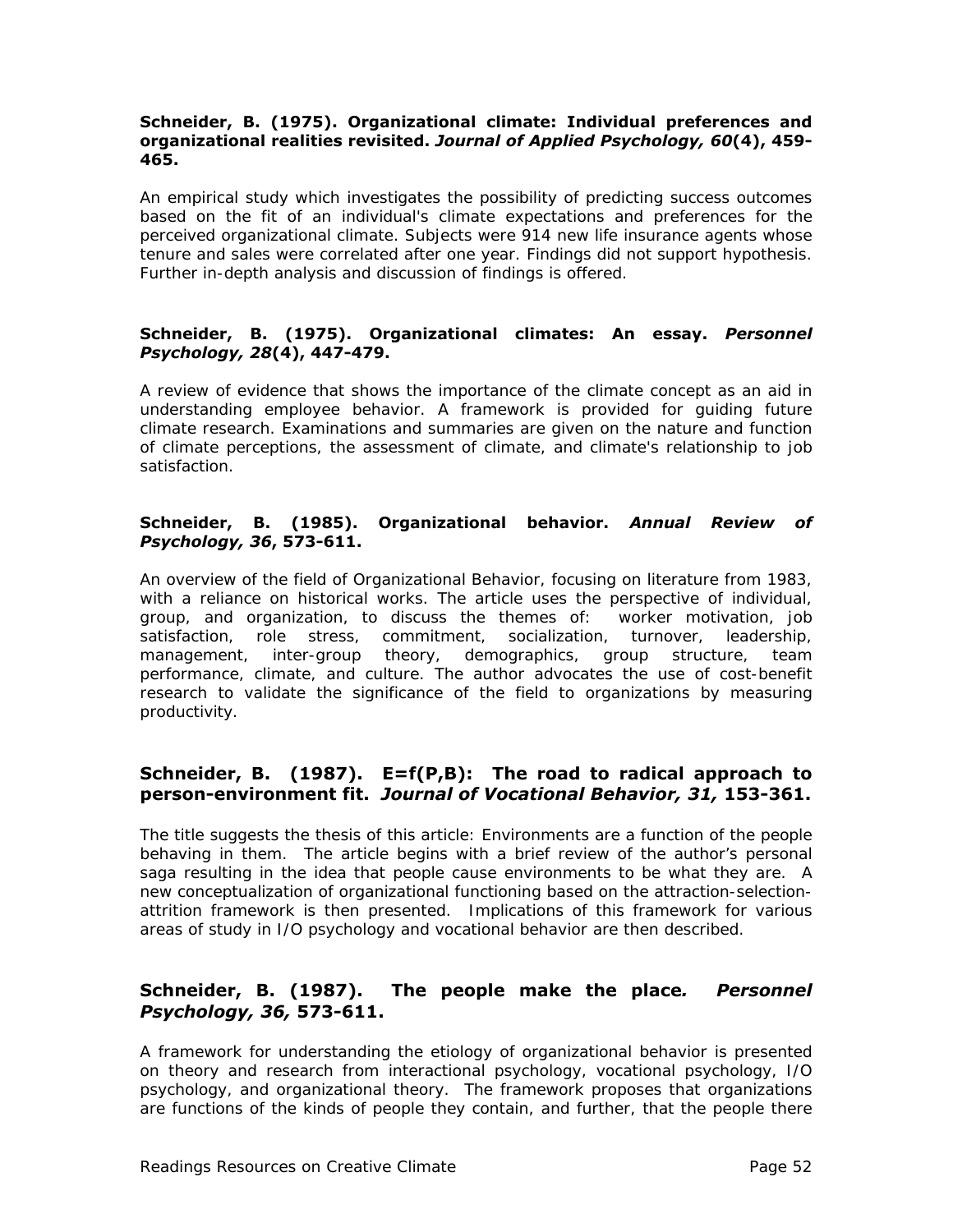#### **Schneider, B. (1975). Organizational climate: Individual preferences and organizational realities revisited.** *Journal of Applied Psychology, 60***(4), 459- 465.**

An empirical study which investigates the possibility of predicting success outcomes based on the fit of an individual's climate expectations and preferences for the perceived organizational climate. Subjects were 914 new life insurance agents whose tenure and sales were correlated after one year. Findings did not support hypothesis. Further in-depth analysis and discussion of findings is offered.

#### **Schneider, B. (1975). Organizational climates: An essay.** *Personnel Psychology, 28***(4), 447-479.**

A review of evidence that shows the importance of the climate concept as an aid in understanding employee behavior. A framework is provided for guiding future climate research. Examinations and summaries are given on the nature and function of climate perceptions, the assessment of climate, and climate's relationship to job satisfaction.

#### **Schneider, B. (1985). Organizational behavior.** *Annual Review of Psychology, 36***, 573-611.**

An overview of the field of Organizational Behavior, focusing on literature from 1983, with a reliance on historical works. The article uses the perspective of individual, group, and organization, to discuss the themes of: worker motivation, job satisfaction, role stress, commitment, socialization, turnover, leadership, management, inter-group theory, demographics, group structure, team performance, climate, and culture. The author advocates the use of cost-benefit research to validate the significance of the field to organizations by measuring productivity.

# **Schneider, B. (1987). E=f(P,B): The road to radical approach to person-environment fit.** *Journal of Vocational Behavior, 31,* **153-361.**

The title suggests the thesis of this article: Environments are a function of the people behaving in them. The article begins with a brief review of the author's personal saga resulting in the idea that people cause environments to be what they are. A new conceptualization of organizational functioning based on the attraction-selectionattrition framework is then presented. Implications of this framework for various areas of study in I/O psychology and vocational behavior are then described.

# **Schneider, B. (1987). The people make the place***. Personnel Psychology, 36,* **573-611.**

A framework for understanding the etiology of organizational behavior is presented on theory and research from interactional psychology, vocational psychology, I/O psychology, and organizational theory. The framework proposes that organizations are functions of the kinds of people they contain, and further, that the people there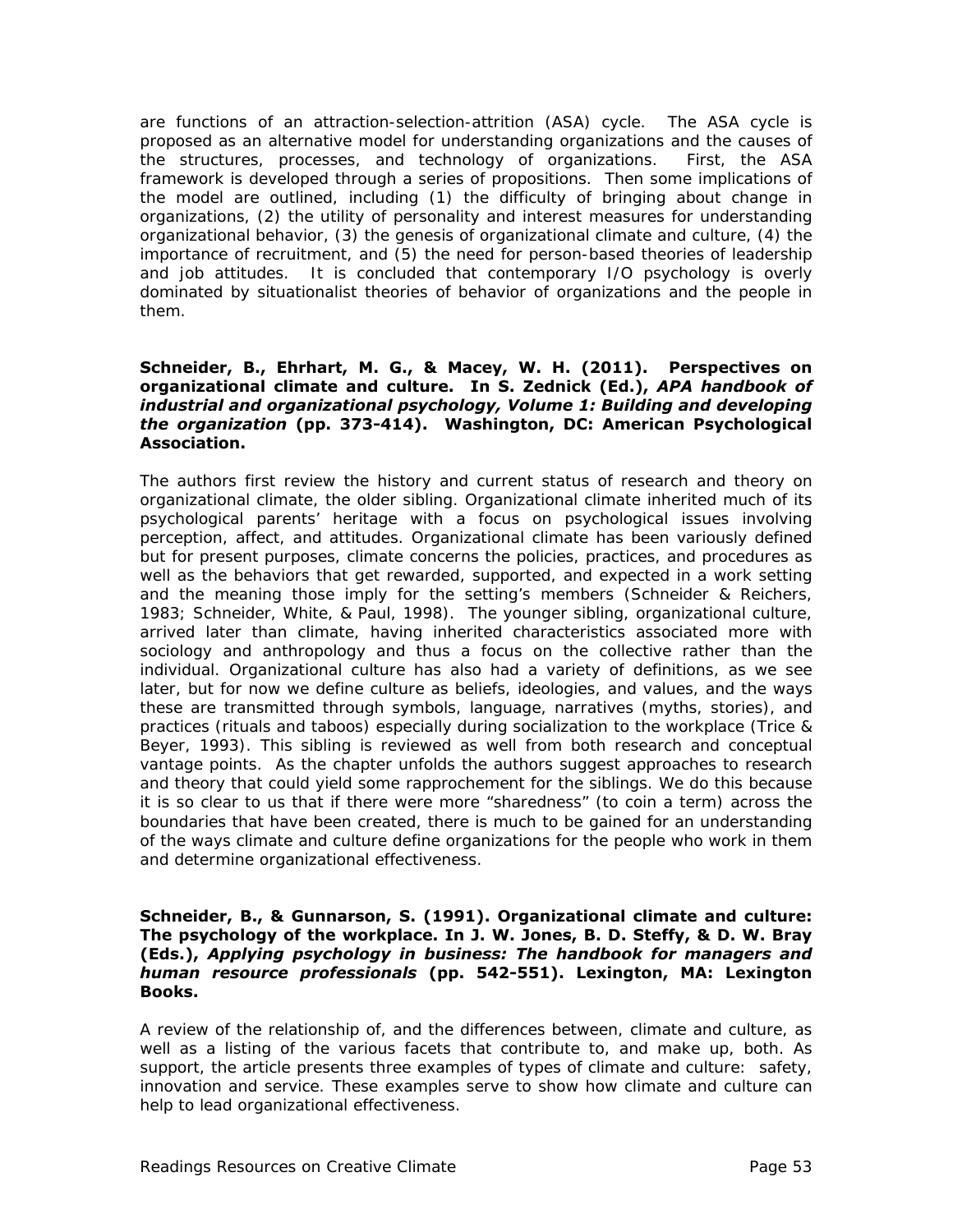are functions of an attraction-selection-attrition (ASA) cycle. The ASA cycle is proposed as an alternative model for understanding organizations and the causes of the structures, processes, and technology of organizations. First, the ASA framework is developed through a series of propositions. Then some implications of the model are outlined, including (1) the difficulty of bringing about change in organizations, (2) the utility of personality and interest measures for understanding organizational behavior, (3) the genesis of organizational climate and culture, (4) the importance of recruitment, and (5) the need for person-based theories of leadership and job attitudes. It is concluded that contemporary I/O psychology is overly dominated by situationalist theories of behavior of organizations and the people in them.

#### **Schneider, B., Ehrhart, M. G., & Macey, W. H. (2011). Perspectives on organizational climate and culture. In S. Zednick (Ed.),** *APA handbook of industrial and organizational psychology, Volume 1: Building and developing the organization* **(pp. 373-414). Washington, DC: American Psychological Association.**

The authors first review the history and current status of research and theory on organizational climate, the older sibling. Organizational climate inherited much of its psychological parents' heritage with a focus on psychological issues involving perception, affect, and attitudes. Organizational climate has been variously defined but for present purposes, climate concerns the policies, practices, and procedures as well as the behaviors that get rewarded, supported, and expected in a work setting and the meaning those imply for the setting's members (Schneider & Reichers, 1983; Schneider, White, & Paul, 1998). The younger sibling, organizational culture, arrived later than climate, having inherited characteristics associated more with sociology and anthropology and thus a focus on the collective rather than the individual. Organizational culture has also had a variety of definitions, as we see later, but for now we define culture as beliefs, ideologies, and values, and the ways these are transmitted through symbols, language, narratives (myths, stories), and practices (rituals and taboos) especially during socialization to the workplace (Trice & Beyer, 1993). This sibling is reviewed as well from both research and conceptual vantage points. As the chapter unfolds the authors suggest approaches to research and theory that could yield some rapprochement for the siblings. We do this because it is so clear to us that if there were more "sharedness" (to coin a term) across the boundaries that have been created, there is much to be gained for an understanding of the ways climate and culture define organizations for the people who work in them and determine organizational effectiveness.

#### **Schneider, B., & Gunnarson, S. (1991). Organizational climate and culture: The psychology of the workplace. In J. W. Jones, B. D. Steffy, & D. W. Bray (Eds.),** *Applying psychology in business: The handbook for managers and human resource professionals* **(pp. 542-551). Lexington, MA: Lexington Books.**

A review of the relationship of, and the differences between, climate and culture, as well as a listing of the various facets that contribute to, and make up, both. As support, the article presents three examples of types of climate and culture: safety, innovation and service. These examples serve to show how climate and culture can help to lead organizational effectiveness.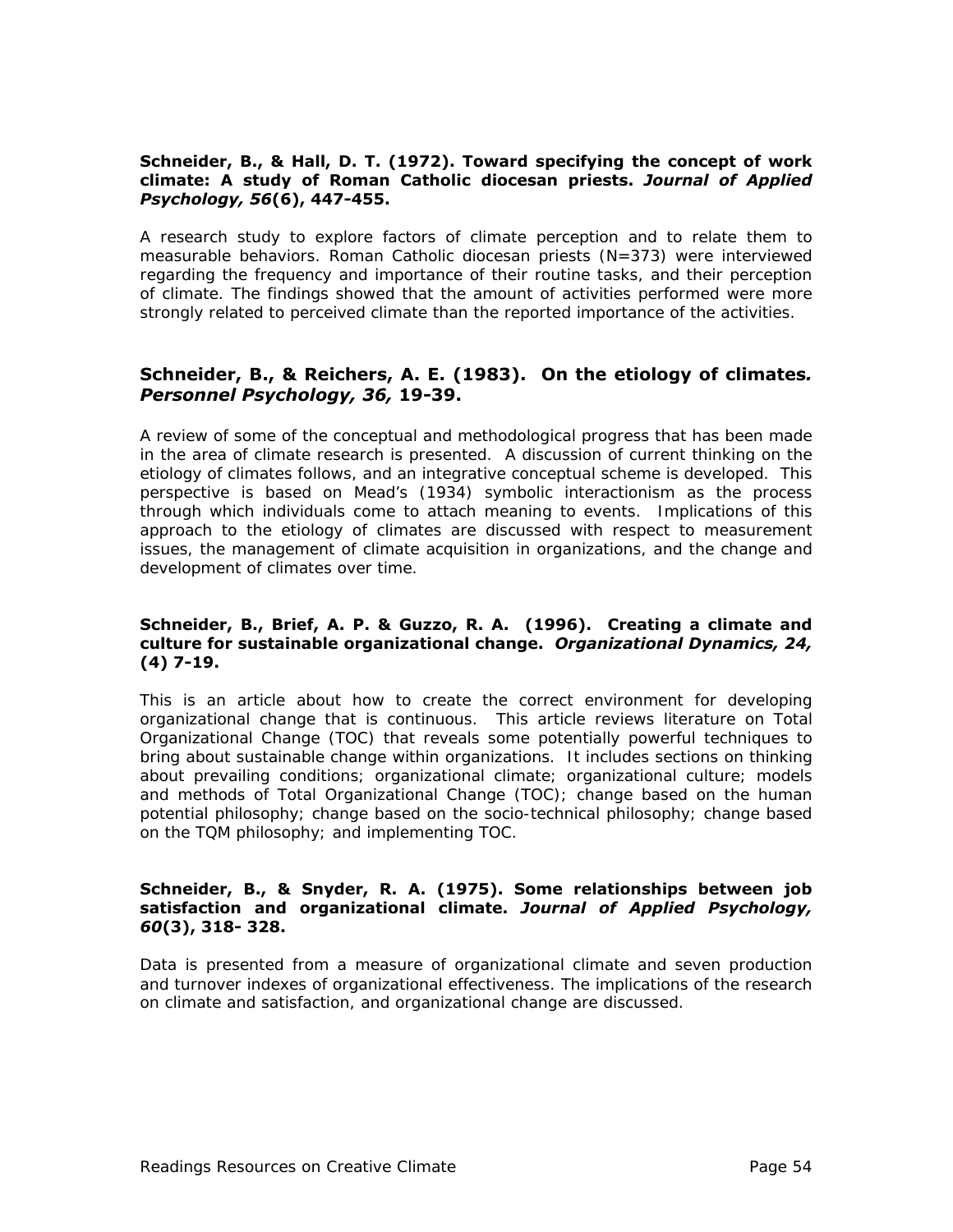#### **Schneider, B., & Hall, D. T. (1972). Toward specifying the concept of work climate: A study of Roman Catholic diocesan priests.** *Journal of Applied Psychology, 56***(6), 447-455.**

A research study to explore factors of climate perception and to relate them to measurable behaviors. Roman Catholic diocesan priests (N=373) were interviewed regarding the frequency and importance of their routine tasks, and their perception of climate. The findings showed that the amount of activities performed were more strongly related to perceived climate than the reported importance of the activities.

### **Schneider, B., & Reichers, A. E. (1983). On the etiology of climates***. Personnel Psychology, 36,* **19-39.**

A review of some of the conceptual and methodological progress that has been made in the area of climate research is presented. A discussion of current thinking on the etiology of climates follows, and an integrative conceptual scheme is developed. This perspective is based on Mead's (1934) symbolic interactionism as the process through which individuals come to attach meaning to events. Implications of this approach to the etiology of climates are discussed with respect to measurement issues, the management of climate acquisition in organizations, and the change and development of climates over time.

#### **Schneider, B., Brief, A. P. & Guzzo, R. A. (1996). Creating a climate and culture for sustainable organizational change.** *Organizational Dynamics, 24,* **(4) 7-19.**

This is an article about how to create the correct environment for developing organizational change that is continuous. This article reviews literature on Total Organizational Change (TOC) that reveals some potentially powerful techniques to bring about sustainable change within organizations. It includes sections on thinking about prevailing conditions; organizational climate; organizational culture; models and methods of Total Organizational Change (TOC); change based on the human potential philosophy; change based on the socio-technical philosophy; change based on the TQM philosophy; and implementing TOC.

#### **Schneider, B., & Snyder, R. A. (1975). Some relationships between job satisfaction and organizational climate.** *Journal of Applied Psychology, 60***(3), 318- 328.**

Data is presented from a measure of organizational climate and seven production and turnover indexes of organizational effectiveness. The implications of the research on climate and satisfaction, and organizational change are discussed.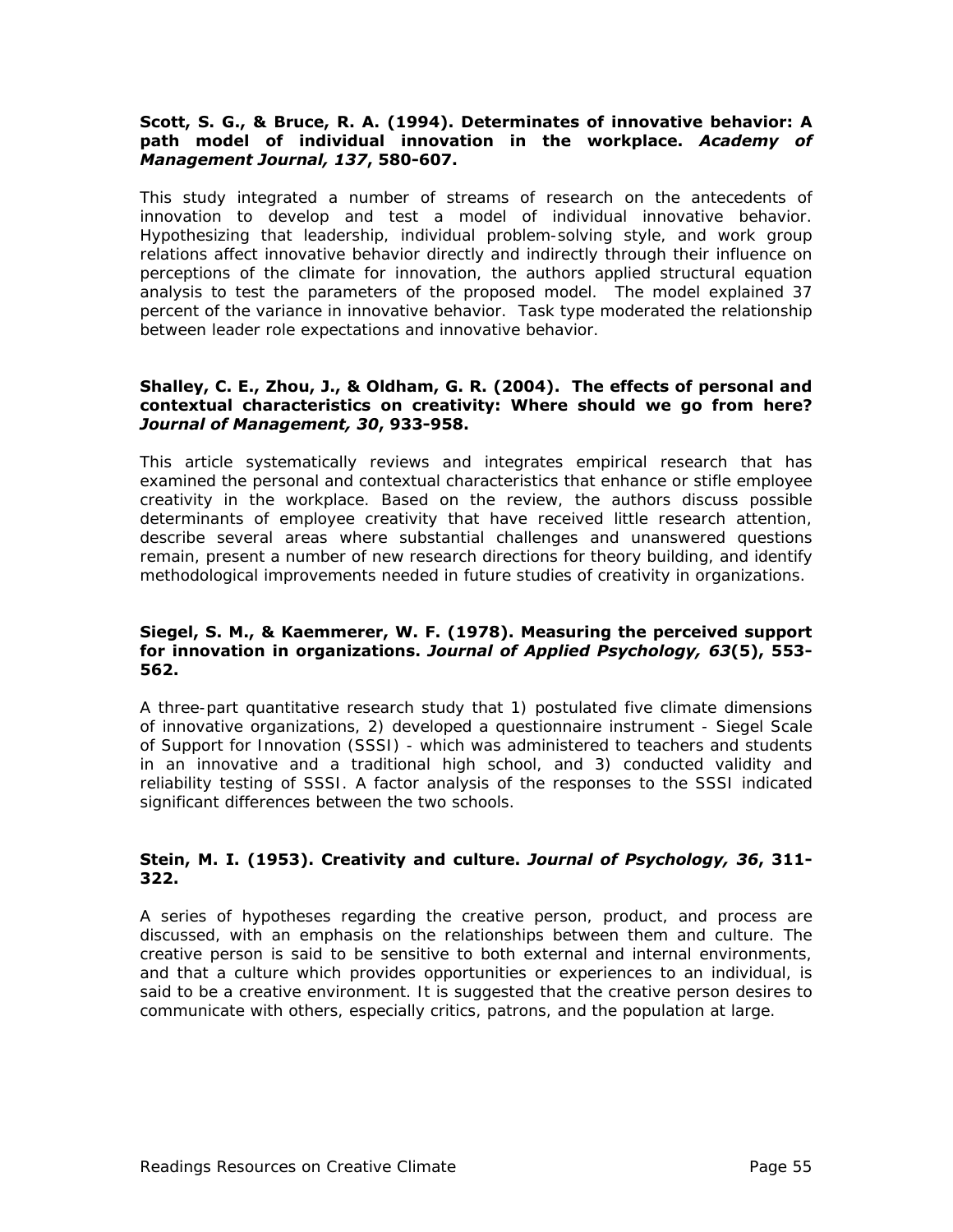#### **Scott, S. G., & Bruce, R. A. (1994). Determinates of innovative behavior: A path model of individual innovation in the workplace.** *Academy of Management Journal, 137***, 580-607.**

This study integrated a number of streams of research on the antecedents of innovation to develop and test a model of individual innovative behavior. Hypothesizing that leadership, individual problem-solving style, and work group relations affect innovative behavior directly and indirectly through their influence on perceptions of the climate for innovation, the authors applied structural equation analysis to test the parameters of the proposed model. The model explained 37 percent of the variance in innovative behavior. Task type moderated the relationship between leader role expectations and innovative behavior.

#### **Shalley, C. E., Zhou, J., & Oldham, G. R. (2004). The effects of personal and contextual characteristics on creativity: Where should we go from here?**  *Journal of Management, 30***, 933-958.**

This article systematically reviews and integrates empirical research that has examined the personal and contextual characteristics that enhance or stifle employee creativity in the workplace. Based on the review, the authors discuss possible determinants of employee creativity that have received little research attention, describe several areas where substantial challenges and unanswered questions remain, present a number of new research directions for theory building, and identify methodological improvements needed in future studies of creativity in organizations.

#### **Siegel, S. M., & Kaemmerer, W. F. (1978). Measuring the perceived support for innovation in organizations.** *Journal of Applied Psychology, 63***(5), 553- 562.**

A three-part quantitative research study that 1) postulated five climate dimensions of innovative organizations, 2) developed a questionnaire instrument - Siegel Scale of Support for Innovation (SSSI) - which was administered to teachers and students in an innovative and a traditional high school, and 3) conducted validity and reliability testing of SSSI. A factor analysis of the responses to the SSSI indicated significant differences between the two schools.

#### **Stein, M. I. (1953). Creativity and culture.** *Journal of Psychology, 36***, 311- 322.**

A series of hypotheses regarding the creative person, product, and process are discussed, with an emphasis on the relationships between them and culture. The creative person is said to be sensitive to both external and internal environments, and that a culture which provides opportunities or experiences to an individual, is said to be a creative environment. It is suggested that the creative person desires to communicate with others, especially critics, patrons, and the population at large.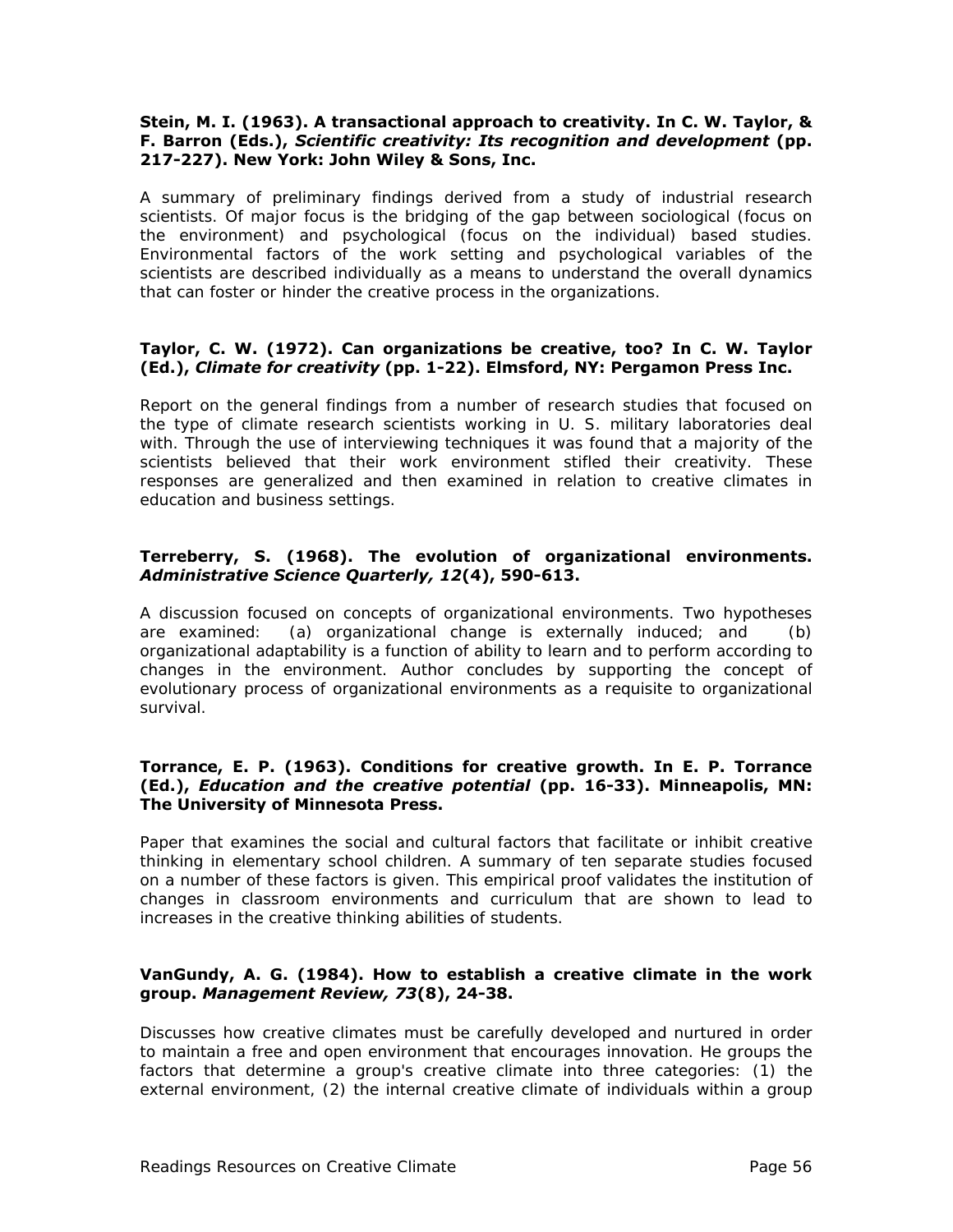#### **Stein, M. I. (1963). A transactional approach to creativity. In C. W. Taylor, & F. Barron (Eds.),** *Scientific creativity: Its recognition and development* **(pp. 217-227). New York: John Wiley & Sons, Inc.**

A summary of preliminary findings derived from a study of industrial research scientists. Of major focus is the bridging of the gap between sociological (focus on the environment) and psychological (focus on the individual) based studies. Environmental factors of the work setting and psychological variables of the scientists are described individually as a means to understand the overall dynamics that can foster or hinder the creative process in the organizations.

#### **Taylor, C. W. (1972). Can organizations be creative, too? In C. W. Taylor (Ed.),** *Climate for creativity* **(pp. 1-22). Elmsford, NY: Pergamon Press Inc.**

Report on the general findings from a number of research studies that focused on the type of climate research scientists working in U. S. military laboratories deal with. Through the use of interviewing techniques it was found that a majority of the scientists believed that their work environment stifled their creativity. These responses are generalized and then examined in relation to creative climates in education and business settings.

#### **Terreberry, S. (1968). The evolution of organizational environments.**  *Administrative Science Quarterly, 12***(4), 590-613.**

A discussion focused on concepts of organizational environments. Two hypotheses are examined: (a) organizational change is externally induced; and (b) organizational adaptability is a function of ability to learn and to perform according to changes in the environment. Author concludes by supporting the concept of evolutionary process of organizational environments as a requisite to organizational survival.

#### **Torrance, E. P. (1963). Conditions for creative growth. In E. P. Torrance (Ed.),** *Education and the creative potential* **(pp. 16-33). Minneapolis, MN: The University of Minnesota Press.**

Paper that examines the social and cultural factors that facilitate or inhibit creative thinking in elementary school children. A summary of ten separate studies focused on a number of these factors is given. This empirical proof validates the institution of changes in classroom environments and curriculum that are shown to lead to increases in the creative thinking abilities of students.

#### **VanGundy, A. G. (1984). How to establish a creative climate in the work group.** *Management Review, 73***(8), 24-38.**

Discusses how creative climates must be carefully developed and nurtured in order to maintain a free and open environment that encourages innovation. He groups the factors that determine a group's creative climate into three categories: (1) the external environment, (2) the internal creative climate of individuals within a group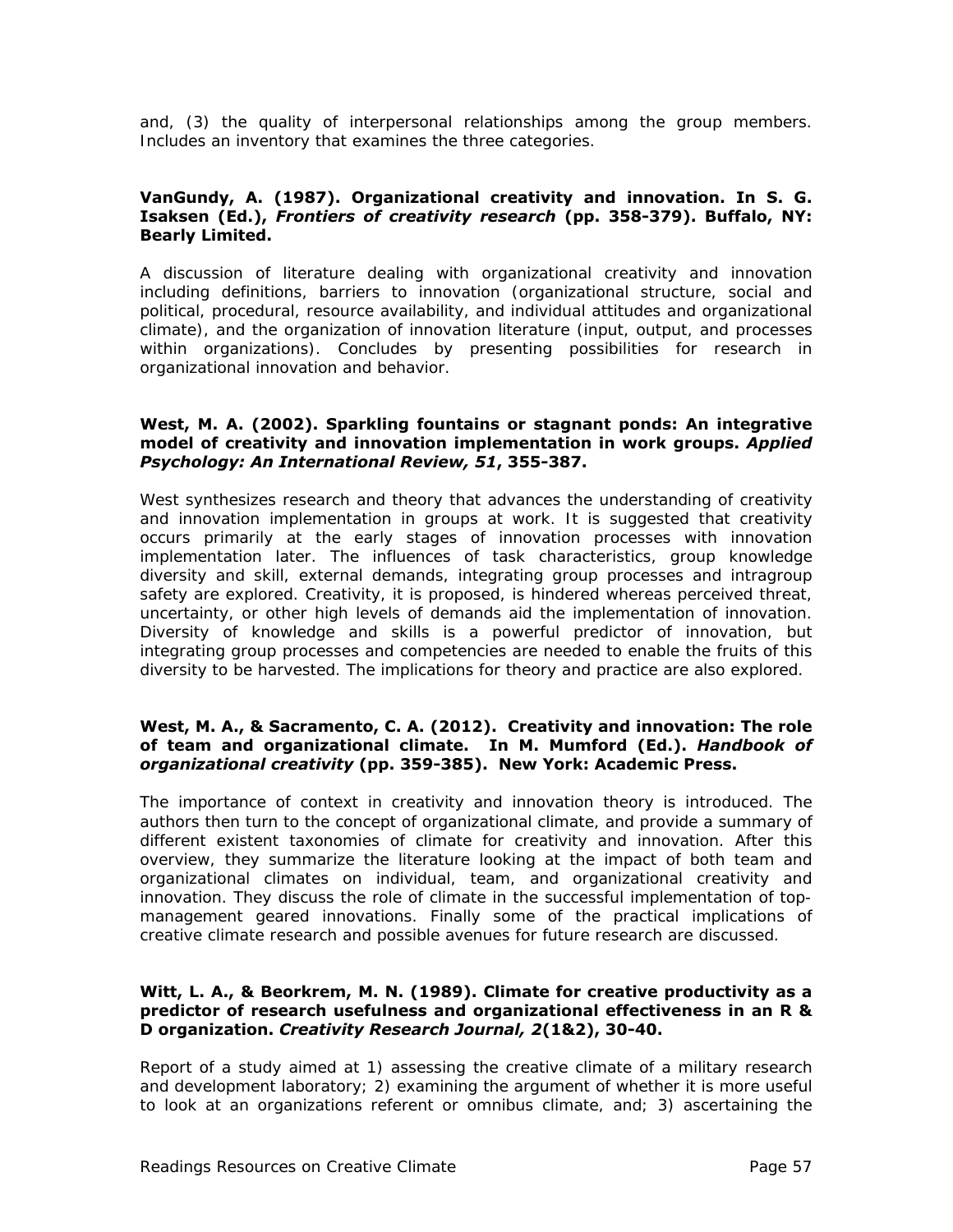and, (3) the quality of interpersonal relationships among the group members. Includes an inventory that examines the three categories.

#### **VanGundy, A. (1987). Organizational creativity and innovation. In S. G. Isaksen (Ed.),** *Frontiers of creativity research* **(pp. 358-379). Buffalo, NY: Bearly Limited.**

A discussion of literature dealing with organizational creativity and innovation including definitions, barriers to innovation (organizational structure, social and political, procedural, resource availability, and individual attitudes and organizational climate), and the organization of innovation literature (input, output, and processes within organizations). Concludes by presenting possibilities for research in organizational innovation and behavior.

#### **West, M. A. (2002). Sparkling fountains or stagnant ponds: An integrative model of creativity and innovation implementation in work groups.** *Applied Psychology: An International Review, 51***, 355-387.**

West synthesizes research and theory that advances the understanding of creativity and innovation implementation in groups at work. It is suggested that creativity occurs primarily at the early stages of innovation processes with innovation implementation later. The influences of task characteristics, group knowledge diversity and skill, external demands, integrating group processes and intragroup safety are explored. Creativity, it is proposed, is hindered whereas perceived threat, uncertainty, or other high levels of demands aid the implementation of innovation. Diversity of knowledge and skills is a powerful predictor of innovation, but integrating group processes and competencies are needed to enable the fruits of this diversity to be harvested. The implications for theory and practice are also explored.

#### **West, M. A., & Sacramento, C. A. (2012). Creativity and innovation: The role of team and organizational climate. In M. Mumford (Ed.).** *Handbook of organizational creativity* **(pp. 359-385). New York: Academic Press.**

The importance of context in creativity and innovation theory is introduced. The authors then turn to the concept of organizational climate, and provide a summary of different existent taxonomies of climate for creativity and innovation. After this overview, they summarize the literature looking at the impact of both team and organizational climates on individual, team, and organizational creativity and innovation. They discuss the role of climate in the successful implementation of topmanagement geared innovations. Finally some of the practical implications of creative climate research and possible avenues for future research are discussed.

#### **Witt, L. A., & Beorkrem, M. N. (1989). Climate for creative productivity as a predictor of research usefulness and organizational effectiveness in an R & D organization.** *Creativity Research Journal, 2***(1&2), 30-40.**

Report of a study aimed at 1) assessing the creative climate of a military research and development laboratory; 2) examining the argument of whether it is more useful to look at an organizations referent or omnibus climate, and; 3) ascertaining the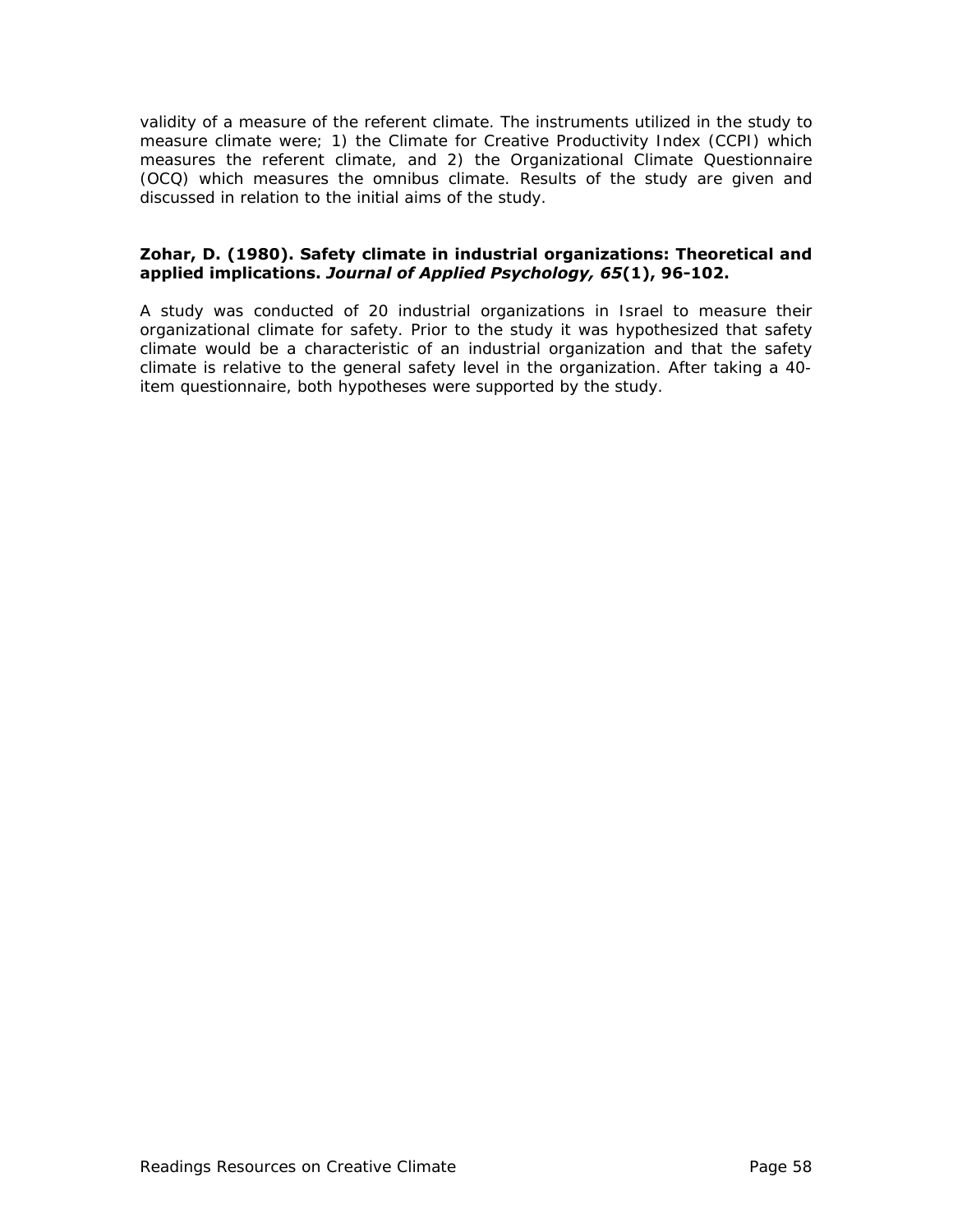validity of a measure of the referent climate. The instruments utilized in the study to measure climate were; 1) the Climate for Creative Productivity Index (CCPI) which measures the referent climate, and 2) the Organizational Climate Questionnaire (OCQ) which measures the omnibus climate. Results of the study are given and discussed in relation to the initial aims of the study.

#### **Zohar, D. (1980). Safety climate in industrial organizations: Theoretical and applied implications.** *Journal of Applied Psychology, 65***(1), 96-102.**

A study was conducted of 20 industrial organizations in Israel to measure their organizational climate for safety. Prior to the study it was hypothesized that safety climate would be a characteristic of an industrial organization and that the safety climate is relative to the general safety level in the organization. After taking a 40 item questionnaire, both hypotheses were supported by the study.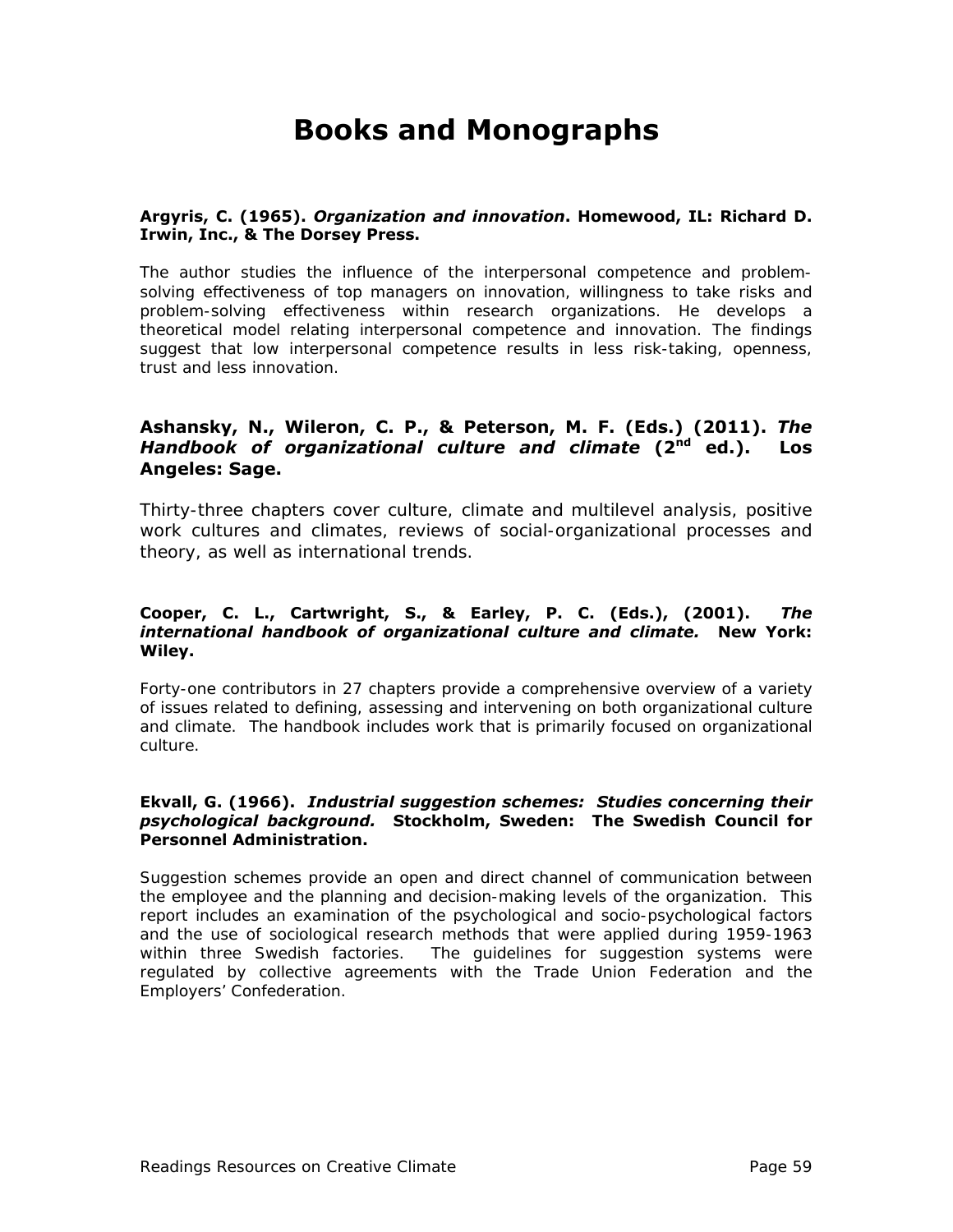# **Books and Monographs**

#### **Argyris, C. (1965).** *Organization and innovation***. Homewood, IL: Richard D. Irwin, Inc., & The Dorsey Press.**

The author studies the influence of the interpersonal competence and problemsolving effectiveness of top managers on innovation, willingness to take risks and problem-solving effectiveness within research organizations. He develops a theoretical model relating interpersonal competence and innovation. The findings suggest that low interpersonal competence results in less risk-taking, openness, trust and less innovation.

### **Ashansky, N., Wileron, C. P., & Peterson, M. F. (Eds.) (2011).** *The Handbook of organizational culture and climate* **(2nd ed.). Los Angeles: Sage.**

Thirty-three chapters cover culture, climate and multilevel analysis, positive work cultures and climates, reviews of social-organizational processes and theory, as well as international trends.

#### **Cooper, C. L., Cartwright, S., & Earley, P. C. (Eds.), (2001).** *The international handbook of organizational culture and climate.* **New York: Wiley.**

Forty-one contributors in 27 chapters provide a comprehensive overview of a variety of issues related to defining, assessing and intervening on both organizational culture and climate. The handbook includes work that is primarily focused on organizational culture.

#### **Ekvall, G. (1966).** *Industrial suggestion schemes: Studies concerning their psychological background.* **Stockholm, Sweden: The Swedish Council for Personnel Administration.**

Suggestion schemes provide an open and direct channel of communication between the employee and the planning and decision-making levels of the organization. This report includes an examination of the psychological and socio-psychological factors and the use of sociological research methods that were applied during 1959-1963 within three Swedish factories. The guidelines for suggestion systems were regulated by collective agreements with the Trade Union Federation and the Employers' Confederation.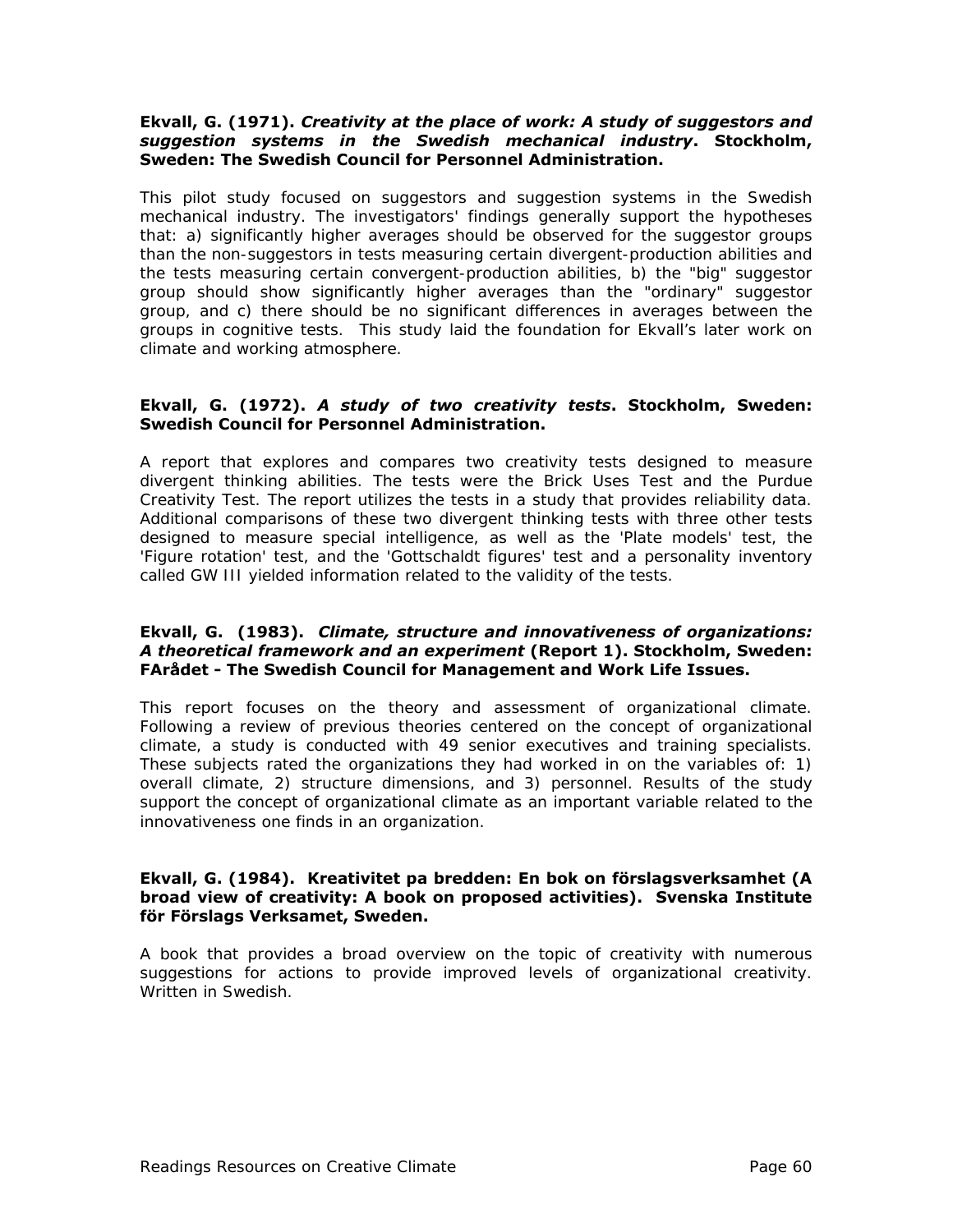#### **Ekvall, G. (1971).** *Creativity at the place of work: A study of suggestors and suggestion systems in the Swedish mechanical industry***. Stockholm, Sweden: The Swedish Council for Personnel Administration.**

This pilot study focused on suggestors and suggestion systems in the Swedish mechanical industry. The investigators' findings generally support the hypotheses that: a) significantly higher averages should be observed for the suggestor groups than the non-suggestors in tests measuring certain divergent-production abilities and the tests measuring certain convergent-production abilities, b) the "big" suggestor group should show significantly higher averages than the "ordinary" suggestor group, and c) there should be no significant differences in averages between the groups in cognitive tests. This study laid the foundation for Ekvall's later work on climate and working atmosphere.

#### **Ekvall, G. (1972).** *A study of two creativity tests***. Stockholm, Sweden: Swedish Council for Personnel Administration.**

A report that explores and compares two creativity tests designed to measure divergent thinking abilities. The tests were the Brick Uses Test and the Purdue Creativity Test. The report utilizes the tests in a study that provides reliability data. Additional comparisons of these two divergent thinking tests with three other tests designed to measure special intelligence, as well as the 'Plate models' test, the 'Figure rotation' test, and the 'Gottschaldt figures' test and a personality inventory called GW III yielded information related to the validity of the tests.

#### **Ekvall, G. (1983).** *Climate, structure and innovativeness of organizations: A theoretical framework and an experiment* **(Report 1). Stockholm, Sweden: FArådet - The Swedish Council for Management and Work Life Issues.**

This report focuses on the theory and assessment of organizational climate. Following a review of previous theories centered on the concept of organizational climate, a study is conducted with 49 senior executives and training specialists. These subjects rated the organizations they had worked in on the variables of: 1) overall climate, 2) structure dimensions, and 3) personnel. Results of the study support the concept of organizational climate as an important variable related to the innovativeness one finds in an organization.

#### **Ekvall, G. (1984). Kreativitet pa bredden: En bok on förslagsverksamhet (A broad view of creativity: A book on proposed activities). Svenska Institute för Förslags Verksamet, Sweden.**

A book that provides a broad overview on the topic of creativity with numerous suggestions for actions to provide improved levels of organizational creativity. Written in Swedish.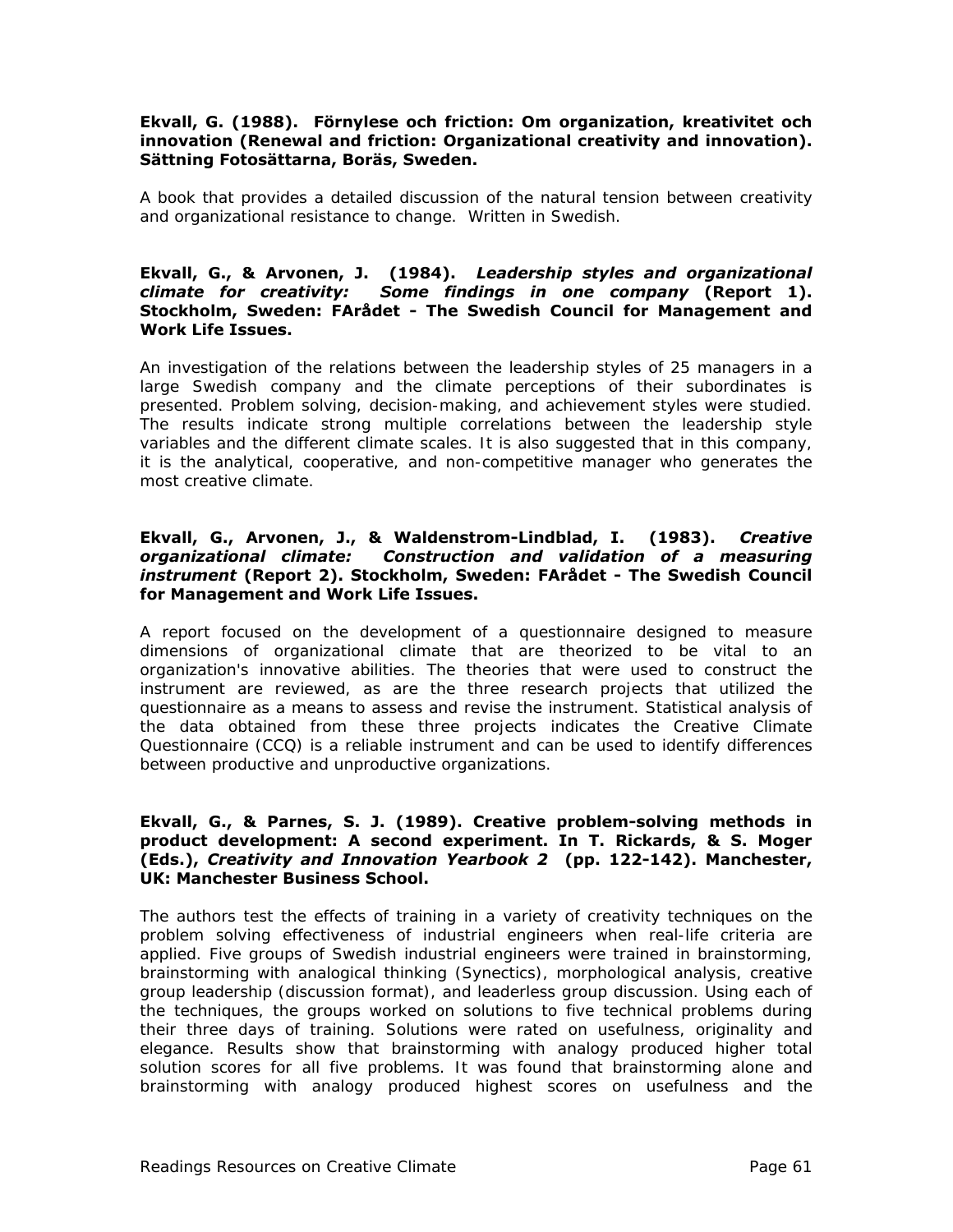#### **Ekvall, G. (1988). Förnylese och friction: Om organization, kreativitet och innovation (Renewal and friction: Organizational creativity and innovation). Sättning Fotosättarna, Boräs, Sweden.**

A book that provides a detailed discussion of the natural tension between creativity and organizational resistance to change. Written in Swedish.

#### **Ekvall, G., & Arvonen, J. (1984).** *Leadership styles and organizational climate for creativity: Some findings in one company* **(Report 1). Stockholm, Sweden: FArådet - The Swedish Council for Management and Work Life Issues.**

An investigation of the relations between the leadership styles of 25 managers in a large Swedish company and the climate perceptions of their subordinates is presented. Problem solving, decision-making, and achievement styles were studied. The results indicate strong multiple correlations between the leadership style variables and the different climate scales. It is also suggested that in this company, it is the analytical, cooperative, and non-competitive manager who generates the most creative climate.

#### **Ekvall, G., Arvonen, J., & Waldenstrom-Lindblad, I. (1983).** *Creative organizational climate: Construction and validation of a measuring instrument* **(Report 2). Stockholm, Sweden: FArådet - The Swedish Council for Management and Work Life Issues.**

A report focused on the development of a questionnaire designed to measure dimensions of organizational climate that are theorized to be vital to an organization's innovative abilities. The theories that were used to construct the instrument are reviewed, as are the three research projects that utilized the questionnaire as a means to assess and revise the instrument. Statistical analysis of the data obtained from these three projects indicates the Creative Climate Questionnaire (CCQ) is a reliable instrument and can be used to identify differences between productive and unproductive organizations.

#### **Ekvall, G., & Parnes, S. J. (1989). Creative problem-solving methods in product development: A second experiment. In T. Rickards, & S. Moger (Eds.),** *Creativity and Innovation Yearbook 2* **(pp. 122-142). Manchester, UK: Manchester Business School.**

The authors test the effects of training in a variety of creativity techniques on the problem solving effectiveness of industrial engineers when real-life criteria are applied. Five groups of Swedish industrial engineers were trained in brainstorming, brainstorming with analogical thinking (Synectics), morphological analysis, creative group leadership (discussion format), and leaderless group discussion. Using each of the techniques, the groups worked on solutions to five technical problems during their three days of training. Solutions were rated on usefulness, originality and elegance. Results show that brainstorming with analogy produced higher total solution scores for all five problems. It was found that brainstorming alone and brainstorming with analogy produced highest scores on usefulness and the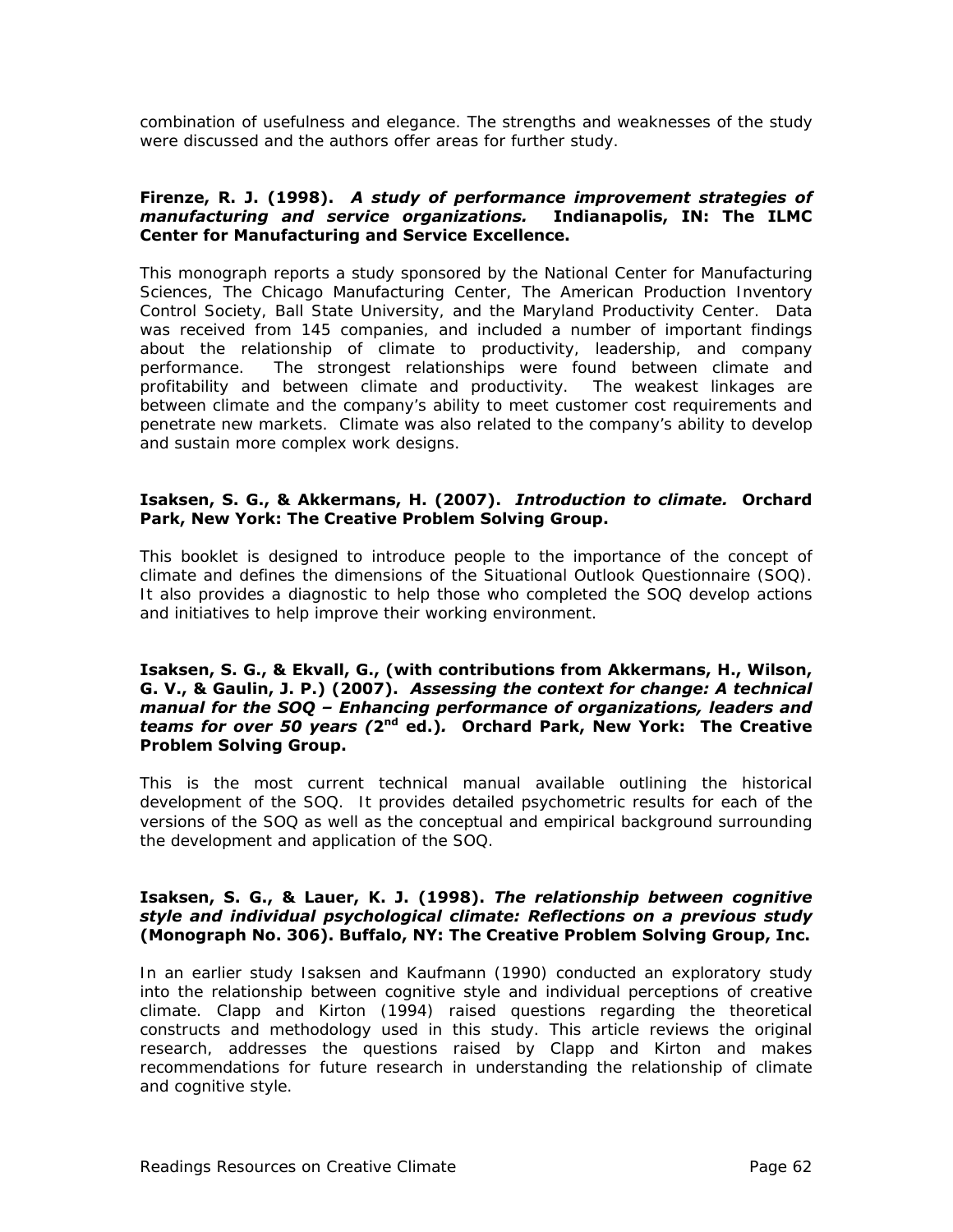combination of usefulness and elegance. The strengths and weaknesses of the study were discussed and the authors offer areas for further study.

#### **Firenze, R. J. (1998).** *A study of performance improvement strategies of manufacturing and service organizations.* **Indianapolis, IN: The ILMC Center for Manufacturing and Service Excellence.**

This monograph reports a study sponsored by the National Center for Manufacturing Sciences, The Chicago Manufacturing Center, The American Production Inventory Control Society, Ball State University, and the Maryland Productivity Center. Data was received from 145 companies, and included a number of important findings about the relationship of climate to productivity, leadership, and company performance. The strongest relationships were found between climate and profitability and between climate and productivity. The weakest linkages are between climate and the company's ability to meet customer cost requirements and penetrate new markets. Climate was also related to the company's ability to develop and sustain more complex work designs.

#### **Isaksen, S. G., & Akkermans, H. (2007).** *Introduction to climate.* **Orchard Park, New York: The Creative Problem Solving Group.**

This booklet is designed to introduce people to the importance of the concept of climate and defines the dimensions of the Situational Outlook Questionnaire (SOQ). It also provides a diagnostic to help those who completed the SOQ develop actions and initiatives to help improve their working environment.

#### **Isaksen, S. G., & Ekvall, G., (with contributions from Akkermans, H., Wilson, G. V., & Gaulin, J. P.) (2007).** *Assessing the context for change: A technical manual for the SOQ – Enhancing performance of organizations, leaders and teams for over 50 years (***2nd ed.)***.* **Orchard Park, New York: The Creative Problem Solving Group.**

This is the most current technical manual available outlining the historical development of the SOQ. It provides detailed psychometric results for each of the versions of the SOQ as well as the conceptual and empirical background surrounding the development and application of the SOQ.

#### **Isaksen, S. G., & Lauer, K. J. (1998).** *The relationship between cognitive style and individual psychological climate: Reflections on a previous study* **(Monograph No. 306). Buffalo, NY: The Creative Problem Solving Group, Inc.**

In an earlier study Isaksen and Kaufmann (1990) conducted an exploratory study into the relationship between cognitive style and individual perceptions of creative climate. Clapp and Kirton (1994) raised questions regarding the theoretical constructs and methodology used in this study. This article reviews the original research, addresses the questions raised by Clapp and Kirton and makes recommendations for future research in understanding the relationship of climate and cognitive style.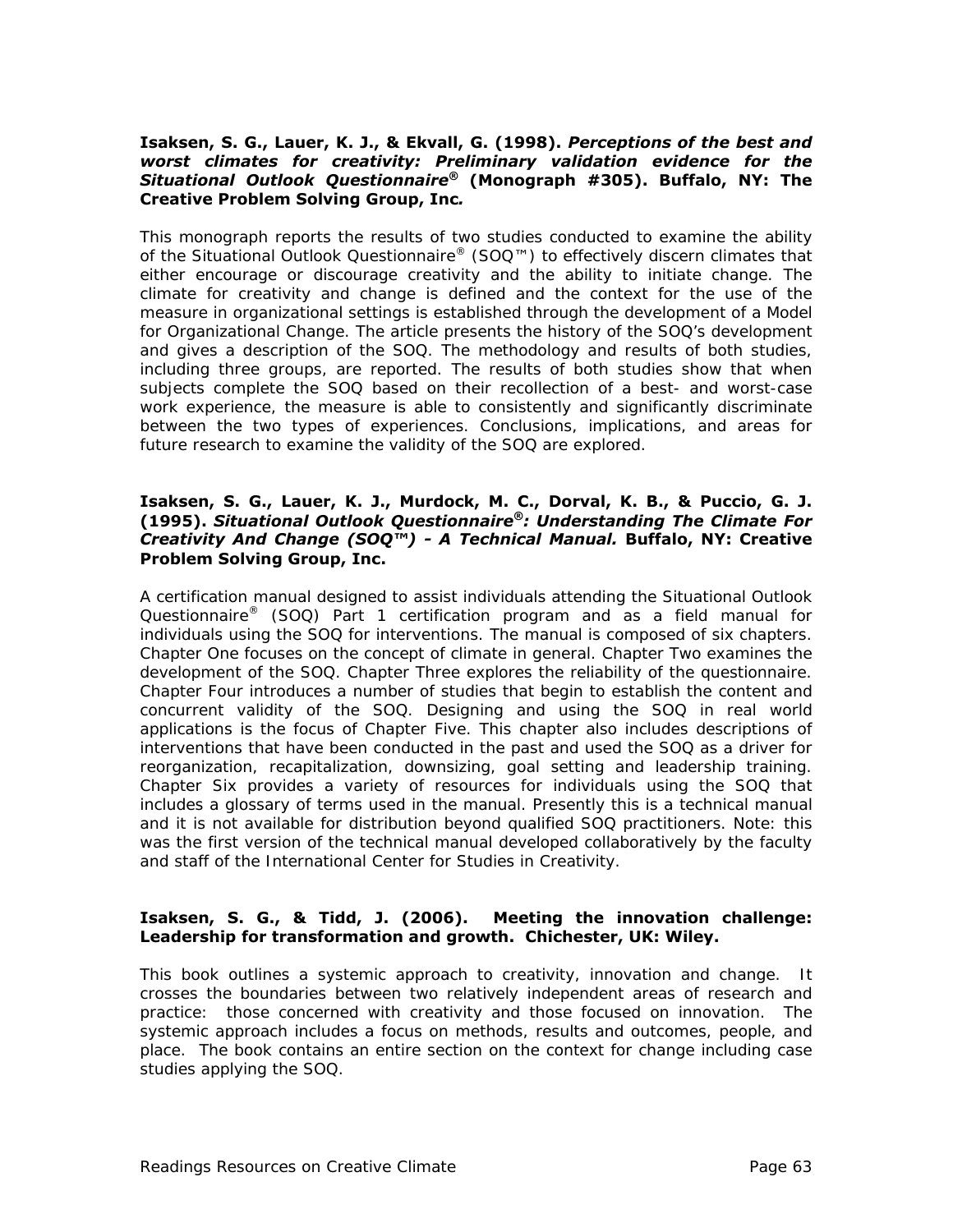#### **Isaksen, S. G., Lauer, K. J., & Ekvall, G. (1998).** *Perceptions of the best and worst climates for creativity: Preliminary validation evidence for the Situational Outlook Questionnaire®* **(Monograph #305). Buffalo, NY: The Creative Problem Solving Group, Inc***.*

This monograph reports the results of two studies conducted to examine the ability of the Situational Outlook Questionnaire® (SOQ™) to effectively discern climates that either encourage or discourage creativity and the ability to initiate change. The climate for creativity and change is defined and the context for the use of the measure in organizational settings is established through the development of a Model for Organizational Change. The article presents the history of the SOQ's development and gives a description of the SOQ. The methodology and results of both studies, including three groups, are reported. The results of both studies show that when subjects complete the SOQ based on their recollection of a best- and worst-case work experience, the measure is able to consistently and significantly discriminate between the two types of experiences. Conclusions, implications, and areas for future research to examine the validity of the SOQ are explored.

#### **Isaksen, S. G., Lauer, K. J., Murdock, M. C., Dorval, K. B., & Puccio, G. J. (1995).** *Situational Outlook Questionnaire®: Understanding The Climate For Creativity And Change (SOQ™) - A Technical Manual.* **Buffalo, NY: Creative Problem Solving Group, Inc.**

A certification manual designed to assist individuals attending the Situational Outlook Questionnaire® (SOQ) Part 1 certification program and as a field manual for individuals using the SOQ for interventions. The manual is composed of six chapters. Chapter One focuses on the concept of climate in general. Chapter Two examines the development of the SOQ. Chapter Three explores the reliability of the questionnaire. Chapter Four introduces a number of studies that begin to establish the content and concurrent validity of the SOQ. Designing and using the SOQ in real world applications is the focus of Chapter Five. This chapter also includes descriptions of interventions that have been conducted in the past and used the SOQ as a driver for reorganization, recapitalization, downsizing, goal setting and leadership training. Chapter Six provides a variety of resources for individuals using the SOQ that includes a glossary of terms used in the manual. Presently this is a technical manual and it is not available for distribution beyond qualified SOQ practitioners. Note: this was the first version of the technical manual developed collaboratively by the faculty and staff of the International Center for Studies in Creativity.

#### **Isaksen, S. G., & Tidd, J. (2006). Meeting the innovation challenge: Leadership for transformation and growth. Chichester, UK: Wiley.**

This book outlines a systemic approach to creativity, innovation and change. It crosses the boundaries between two relatively independent areas of research and practice: those concerned with creativity and those focused on innovation. The systemic approach includes a focus on methods, results and outcomes, people, and place. The book contains an entire section on the context for change including case studies applying the SOQ.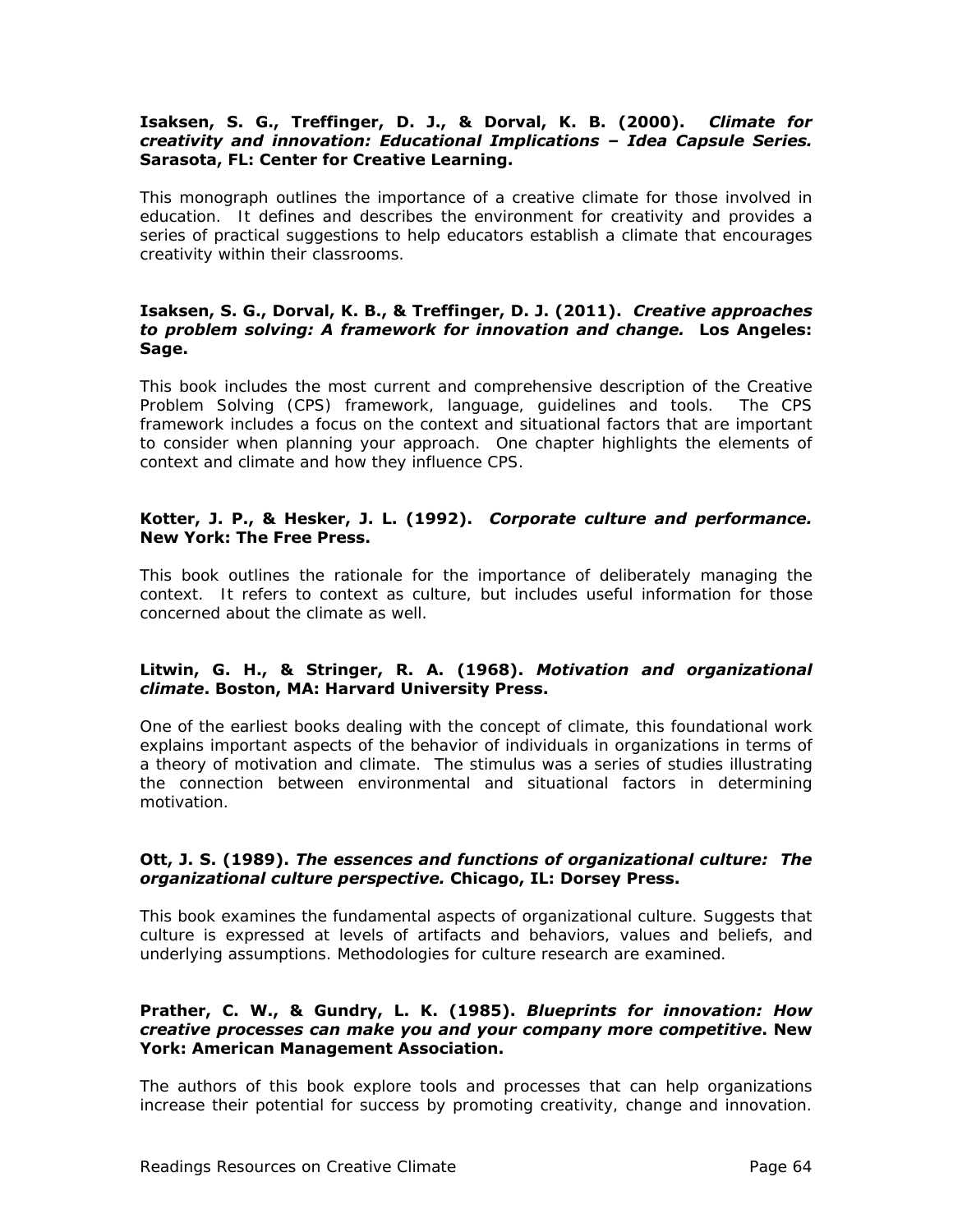#### **Isaksen, S. G., Treffinger, D. J., & Dorval, K. B. (2000).** *Climate for creativity and innovation: Educational Implications – Idea Capsule Series.* **Sarasota, FL: Center for Creative Learning.**

This monograph outlines the importance of a creative climate for those involved in education. It defines and describes the environment for creativity and provides a series of practical suggestions to help educators establish a climate that encourages creativity within their classrooms.

#### **Isaksen, S. G., Dorval, K. B., & Treffinger, D. J. (2011).** *Creative approaches to problem solving: A framework for innovation and change.* **Los Angeles: Sage.**

This book includes the most current and comprehensive description of the Creative Problem Solving (CPS) framework, language, guidelines and tools. The CPS framework includes a focus on the context and situational factors that are important to consider when planning your approach. One chapter highlights the elements of context and climate and how they influence CPS.

#### **Kotter, J. P., & Hesker, J. L. (1992).** *Corporate culture and performance.* **New York: The Free Press.**

This book outlines the rationale for the importance of deliberately managing the context. It refers to context as culture, but includes useful information for those concerned about the climate as well.

#### **Litwin, G. H., & Stringer, R. A. (1968).** *Motivation and organizational climate***. Boston, MA: Harvard University Press.**

One of the earliest books dealing with the concept of climate, this foundational work explains important aspects of the behavior of individuals in organizations in terms of a theory of motivation and climate. The stimulus was a series of studies illustrating the connection between environmental and situational factors in determining motivation.

#### **Ott, J. S. (1989).** *The essences and functions of organizational culture: The organizational culture perspective.* **Chicago, IL: Dorsey Press.**

This book examines the fundamental aspects of organizational culture. Suggests that culture is expressed at levels of artifacts and behaviors, values and beliefs, and underlying assumptions. Methodologies for culture research are examined.

#### **Prather, C. W., & Gundry, L. K. (1985).** *Blueprints for innovation: How creative processes can make you and your company more competitive***. New York: American Management Association.**

The authors of this book explore tools and processes that can help organizations increase their potential for success by promoting creativity, change and innovation.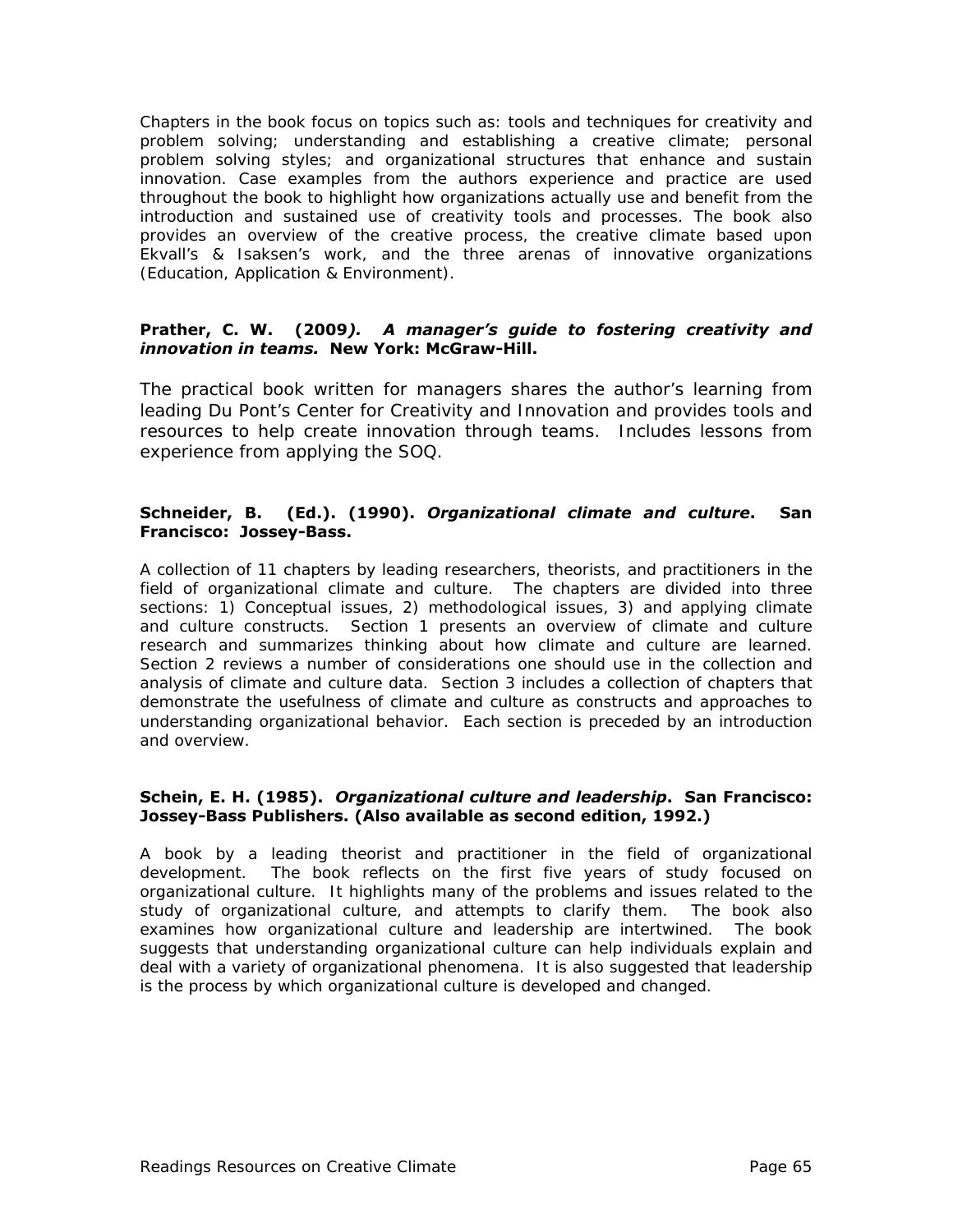Chapters in the book focus on topics such as: tools and techniques for creativity and problem solving; understanding and establishing a creative climate; personal problem solving styles; and organizational structures that enhance and sustain innovation. Case examples from the authors experience and practice are used throughout the book to highlight how organizations actually use and benefit from the introduction and sustained use of creativity tools and processes. The book also provides an overview of the creative process, the creative climate based upon Ekvall's & Isaksen's work, and the three arenas of innovative organizations (Education, Application & Environment).

#### **Prather, C. W. (2009***). A manager's guide to fostering creativity and innovation in teams.* **New York: McGraw-Hill.**

The practical book written for managers shares the author's learning from leading Du Pont's Center for Creativity and Innovation and provides tools and resources to help create innovation through teams. Includes lessons from experience from applying the SOQ.

#### **Schneider, B. (Ed.). (1990).** *Organizational climate and culture***. San Francisco: Jossey-Bass.**

A collection of 11 chapters by leading researchers, theorists, and practitioners in the field of organizational climate and culture. The chapters are divided into three sections: 1) Conceptual issues, 2) methodological issues, 3) and applying climate and culture constructs. Section 1 presents an overview of climate and culture research and summarizes thinking about how climate and culture are learned. Section 2 reviews a number of considerations one should use in the collection and analysis of climate and culture data. Section 3 includes a collection of chapters that demonstrate the usefulness of climate and culture as constructs and approaches to understanding organizational behavior. Each section is preceded by an introduction and overview.

#### **Schein, E. H. (1985).** *Organizational culture and leadership***. San Francisco: Jossey-Bass Publishers. (Also available as second edition, 1992.)**

A book by a leading theorist and practitioner in the field of organizational development. The book reflects on the first five years of study focused on organizational culture. It highlights many of the problems and issues related to the study of organizational culture, and attempts to clarify them. The book also examines how organizational culture and leadership are intertwined. The book suggests that understanding organizational culture can help individuals explain and deal with a variety of organizational phenomena. It is also suggested that leadership is the process by which organizational culture is developed and changed.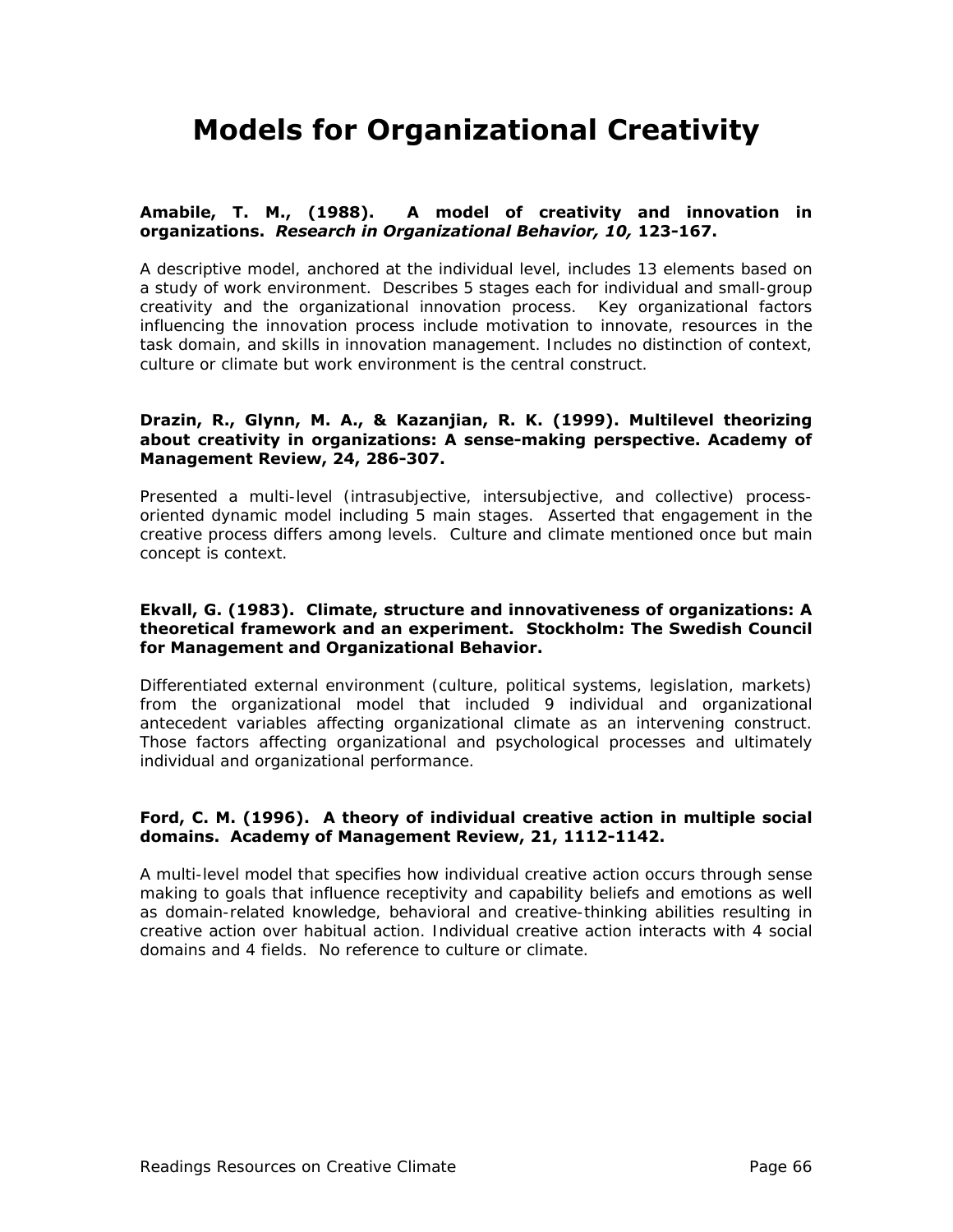# **Models for Organizational Creativity**

#### **Amabile, T. M., (1988). A model of creativity and innovation in organizations.** *Research in Organizational Behavior, 10,* **123-167.**

A descriptive model, anchored at the individual level, includes 13 elements based on a study of work environment. Describes 5 stages each for individual and small-group creativity and the organizational innovation process. Key organizational factors influencing the innovation process include motivation to innovate, resources in the task domain, and skills in innovation management. Includes no distinction of context, culture or climate but work environment is the central construct.

#### **Drazin, R., Glynn, M. A., & Kazanjian, R. K. (1999). Multilevel theorizing about creativity in organizations: A sense-making perspective. Academy of Management Review, 24, 286-307.**

Presented a multi-level (intrasubjective, intersubjective, and collective) processoriented dynamic model including 5 main stages. Asserted that engagement in the creative process differs among levels. Culture and climate mentioned once but main concept is context.

#### **Ekvall, G. (1983). Climate, structure and innovativeness of organizations: A theoretical framework and an experiment. Stockholm: The Swedish Council for Management and Organizational Behavior.**

Differentiated external environment (culture, political systems, legislation, markets) from the organizational model that included 9 individual and organizational antecedent variables affecting organizational climate as an intervening construct. Those factors affecting organizational and psychological processes and ultimately individual and organizational performance.

#### **Ford, C. M. (1996). A theory of individual creative action in multiple social domains. Academy of Management Review, 21, 1112-1142.**

A multi-level model that specifies how individual creative action occurs through sense making to goals that influence receptivity and capability beliefs and emotions as well as domain-related knowledge, behavioral and creative-thinking abilities resulting in creative action over habitual action. Individual creative action interacts with 4 social domains and 4 fields. No reference to culture or climate.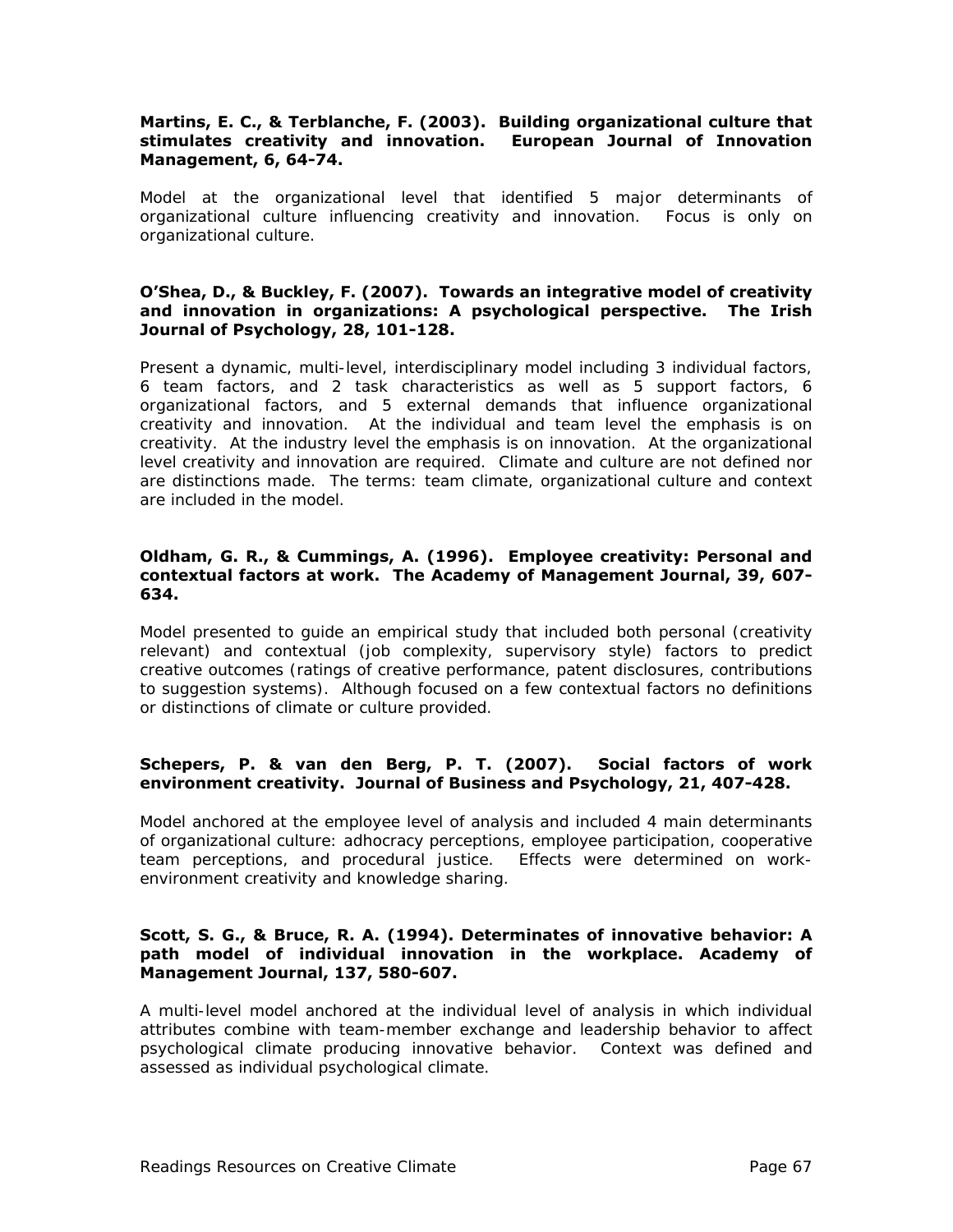#### **Martins, E. C., & Terblanche, F. (2003). Building organizational culture that stimulates creativity and innovation. European Journal of Innovation Management, 6, 64-74.**

Model at the organizational level that identified 5 major determinants of organizational culture influencing creativity and innovation. Focus is only on organizational culture.

#### **O'Shea, D., & Buckley, F. (2007). Towards an integrative model of creativity and innovation in organizations: A psychological perspective. The Irish Journal of Psychology, 28, 101-128.**

Present a dynamic, multi-level, interdisciplinary model including 3 individual factors, 6 team factors, and 2 task characteristics as well as 5 support factors, 6 organizational factors, and 5 external demands that influence organizational creativity and innovation. At the individual and team level the emphasis is on creativity. At the industry level the emphasis is on innovation. At the organizational level creativity and innovation are required. Climate and culture are not defined nor are distinctions made. The terms: team climate, organizational culture and context are included in the model.

#### **Oldham, G. R., & Cummings, A. (1996). Employee creativity: Personal and contextual factors at work. The Academy of Management Journal, 39, 607- 634.**

Model presented to guide an empirical study that included both personal (creativity relevant) and contextual (job complexity, supervisory style) factors to predict creative outcomes (ratings of creative performance, patent disclosures, contributions to suggestion systems). Although focused on a few contextual factors no definitions or distinctions of climate or culture provided.

#### **Schepers, P. & van den Berg, P. T. (2007). Social factors of work environment creativity. Journal of Business and Psychology, 21, 407-428.**

Model anchored at the employee level of analysis and included 4 main determinants of organizational culture: adhocracy perceptions, employee participation, cooperative team perceptions, and procedural justice. Effects were determined on workenvironment creativity and knowledge sharing.

#### **Scott, S. G., & Bruce, R. A. (1994). Determinates of innovative behavior: A path model of individual innovation in the workplace. Academy of Management Journal, 137, 580-607.**

A multi-level model anchored at the individual level of analysis in which individual attributes combine with team-member exchange and leadership behavior to affect psychological climate producing innovative behavior. Context was defined and assessed as individual psychological climate.